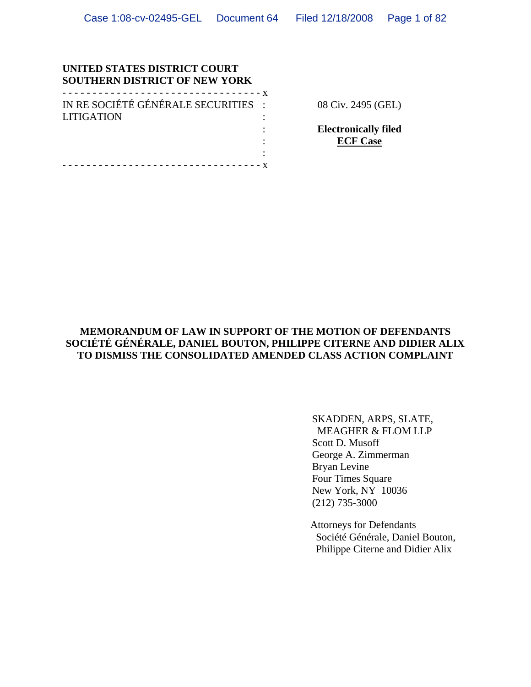### **UNITED STATES DISTRICT COURT SOUTHERN DISTRICT OF NEW YORK**

| .                                   |  |
|-------------------------------------|--|
| IN RE SOCIÉTÉ GÉNÉRALE SECURITIES : |  |
| <b>LITIGATION</b>                   |  |
|                                     |  |
|                                     |  |
|                                     |  |

- - - - - - - - - - - - - - - - - - - - - - - - - - - - - - - - - x

08 Civ. 2495 (GEL)

**Electronically filed ECF Case**

## **MEMORANDUM OF LAW IN SUPPORT OF THE MOTION OF DEFENDANTS SOCIÉTÉ GÉNÉRALE, DANIEL BOUTON, PHILIPPE CITERNE AND DIDIER ALIX TO DISMISS THE CONSOLIDATED AMENDED CLASS ACTION COMPLAINT**

SKADDEN, ARPS, SLATE, MEAGHER & FLOM LLP Scott D. Musoff George A. Zimmerman Bryan Levine Four Times Square New York, NY 10036 (212) 735-3000

Attorneys for Defendants Société Générale, Daniel Bouton, Philippe Citerne and Didier Alix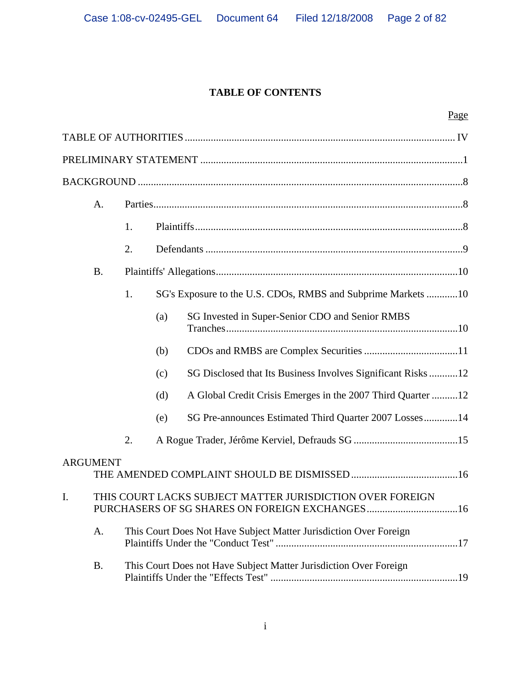# **TABLE OF CONTENTS**

|                | A.              |    |     |                                                                   |
|----------------|-----------------|----|-----|-------------------------------------------------------------------|
|                |                 | 1. |     |                                                                   |
|                |                 | 2. |     |                                                                   |
|                | <b>B.</b>       |    |     |                                                                   |
|                |                 | 1. |     | SG's Exposure to the U.S. CDOs, RMBS and Subprime Markets 10      |
|                |                 |    | (a) | SG Invested in Super-Senior CDO and Senior RMBS                   |
|                |                 |    | (b) |                                                                   |
|                |                 |    | (c) | SG Disclosed that Its Business Involves Significant Risks  12     |
|                |                 |    | (d) | A Global Credit Crisis Emerges in the 2007 Third Quarter 12       |
|                |                 |    | (e) | SG Pre-announces Estimated Third Quarter 2007 Losses14            |
|                |                 | 2. |     |                                                                   |
|                | <b>ARGUMENT</b> |    |     |                                                                   |
| $\mathbf{I}$ . |                 |    |     | THIS COURT LACKS SUBJECT MATTER JURISDICTION OVER FOREIGN         |
|                | A.              |    |     | This Court Does Not Have Subject Matter Jurisdiction Over Foreign |
|                | <b>B.</b>       |    |     | This Court Does not Have Subject Matter Jurisdiction Over Foreign |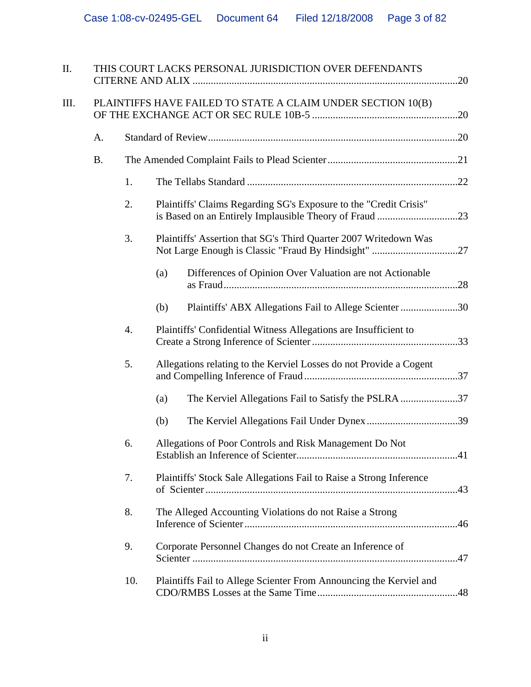| II.  |                                                             | THIS COURT LACKS PERSONAL JURISDICTION OVER DEFENDANTS |                                                                     |  |  |  |
|------|-------------------------------------------------------------|--------------------------------------------------------|---------------------------------------------------------------------|--|--|--|
| III. | PLAINTIFFS HAVE FAILED TO STATE A CLAIM UNDER SECTION 10(B) |                                                        |                                                                     |  |  |  |
|      | A.                                                          |                                                        |                                                                     |  |  |  |
|      | <b>B.</b>                                                   |                                                        |                                                                     |  |  |  |
|      |                                                             | 1.                                                     |                                                                     |  |  |  |
|      |                                                             | 2.                                                     | Plaintiffs' Claims Regarding SG's Exposure to the "Credit Crisis"   |  |  |  |
|      |                                                             | 3.                                                     | Plaintiffs' Assertion that SG's Third Quarter 2007 Writedown Was    |  |  |  |
|      |                                                             |                                                        | Differences of Opinion Over Valuation are not Actionable<br>(a)     |  |  |  |
|      |                                                             |                                                        | Plaintiffs' ABX Allegations Fail to Allege Scienter 30<br>(b)       |  |  |  |
|      |                                                             | 4.                                                     | Plaintiffs' Confidential Witness Allegations are Insufficient to    |  |  |  |
|      |                                                             | 5.                                                     | Allegations relating to the Kerviel Losses do not Provide a Cogent  |  |  |  |
|      |                                                             |                                                        | The Kerviel Allegations Fail to Satisfy the PSLRA 37<br>(a)         |  |  |  |
|      |                                                             |                                                        | (b)                                                                 |  |  |  |
|      |                                                             | 6.                                                     | Allegations of Poor Controls and Risk Management Do Not             |  |  |  |
|      |                                                             | 7.                                                     | Plaintiffs' Stock Sale Allegations Fail to Raise a Strong Inference |  |  |  |
|      |                                                             | 8.                                                     | The Alleged Accounting Violations do not Raise a Strong             |  |  |  |
|      |                                                             | 9.                                                     | Corporate Personnel Changes do not Create an Inference of           |  |  |  |
|      |                                                             | 10.                                                    | Plaintiffs Fail to Allege Scienter From Announcing the Kerviel and  |  |  |  |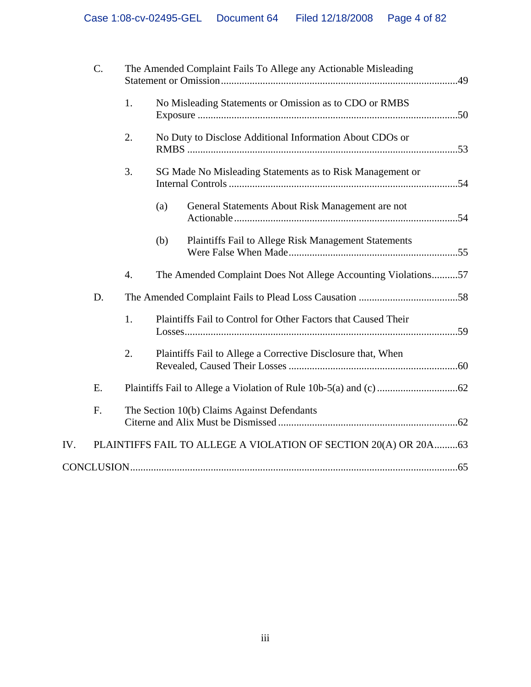|     | $C$ . |    | The Amended Complaint Fails To Allege any Actionable Misleading  |  |  |
|-----|-------|----|------------------------------------------------------------------|--|--|
|     |       | 1. | No Misleading Statements or Omission as to CDO or RMBS           |  |  |
|     |       | 2. | No Duty to Disclose Additional Information About CDOs or         |  |  |
|     |       | 3. | SG Made No Misleading Statements as to Risk Management or        |  |  |
|     |       |    | General Statements About Risk Management are not<br>(a)          |  |  |
|     |       |    | Plaintiffs Fail to Allege Risk Management Statements<br>(b)      |  |  |
|     |       | 4. | The Amended Complaint Does Not Allege Accounting Violations57    |  |  |
|     | D.    |    |                                                                  |  |  |
|     |       | 1. | Plaintiffs Fail to Control for Other Factors that Caused Their   |  |  |
|     |       | 2. | Plaintiffs Fail to Allege a Corrective Disclosure that, When     |  |  |
|     | E.    |    |                                                                  |  |  |
|     | F.    |    | The Section 10(b) Claims Against Defendants                      |  |  |
| IV. |       |    | PLAINTIFFS FAIL TO ALLEGE A VIOLATION OF SECTION 20(A) OR 20A 63 |  |  |
|     |       |    |                                                                  |  |  |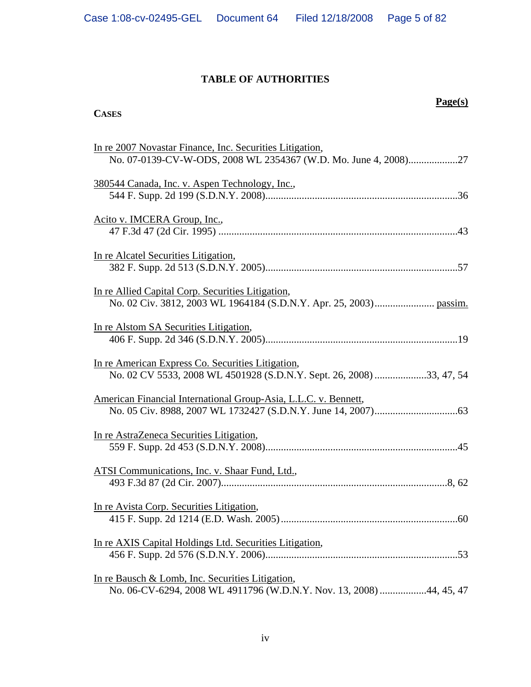# **TABLE OF AUTHORITIES**

# **CASES**

# **Page(s)**

| In re 2007 Novastar Finance, Inc. Securities Litigation,<br>No. 07-0139-CV-W-ODS, 2008 WL 2354367 (W.D. Mo. June 4, 2008)27 |
|-----------------------------------------------------------------------------------------------------------------------------|
| 380544 Canada, Inc. v. Aspen Technology, Inc.,                                                                              |
| Acito v. IMCERA Group, Inc.,                                                                                                |
| In re Alcatel Securities Litigation,                                                                                        |
| In re Allied Capital Corp. Securities Litigation,                                                                           |
| In re Alstom SA Securities Litigation,                                                                                      |
| In re American Express Co. Securities Litigation,<br>No. 02 CV 5533, 2008 WL 4501928 (S.D.N.Y. Sept. 26, 2008) 33, 47, 54   |
| American Financial International Group-Asia, L.L.C. v. Bennett,                                                             |
| In re AstraZeneca Securities Litigation,                                                                                    |
| ATSI Communications, Inc. v. Shaar Fund, Ltd.,                                                                              |
| In re Avista Corp. Securities Litigation,                                                                                   |
| In re AXIS Capital Holdings Ltd. Securities Litigation,                                                                     |
| In re Bausch & Lomb, Inc. Securities Litigation,<br>No. 06-CV-6294, 2008 WL 4911796 (W.D.N.Y. Nov. 13, 2008) 44, 45, 47     |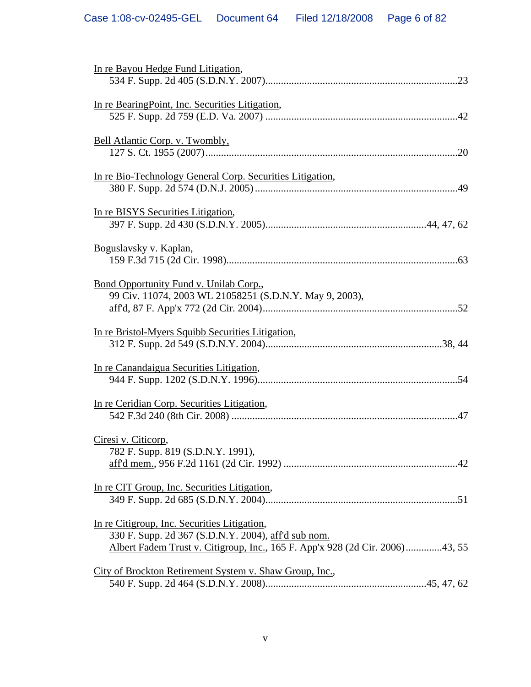| In re Bayou Hedge Fund Litigation,                                                                                                                                                  |
|-------------------------------------------------------------------------------------------------------------------------------------------------------------------------------------|
| In re Bearing Point, Inc. Securities Litigation,                                                                                                                                    |
| Bell Atlantic Corp. v. Twombly,                                                                                                                                                     |
| In re Bio-Technology General Corp. Securities Litigation,                                                                                                                           |
| In re BISYS Securities Litigation,                                                                                                                                                  |
| Boguslavsky v. Kaplan,                                                                                                                                                              |
| <u>Bond Opportunity Fund v. Unilab Corp.</u> ,<br>99 Civ. 11074, 2003 WL 21058251 (S.D.N.Y. May 9, 2003),                                                                           |
| In re Bristol-Myers Squibb Securities Litigation,                                                                                                                                   |
| In re Canandaigua Securities Litigation,                                                                                                                                            |
| In re Ceridian Corp. Securities Litigation,                                                                                                                                         |
| Ciresi v. Citicorp,<br>782 F. Supp. 819 (S.D.N.Y. 1991),                                                                                                                            |
| In re CIT Group, Inc. Securities Litigation,                                                                                                                                        |
| In re Citigroup, Inc. Securities Litigation,<br>330 F. Supp. 2d 367 (S.D.N.Y. 2004), aff'd sub nom.<br>Albert Fadem Trust v. Citigroup, Inc., 165 F. App'x 928 (2d Cir. 2006)43, 55 |
| City of Brockton Retirement System v. Shaw Group, Inc.,                                                                                                                             |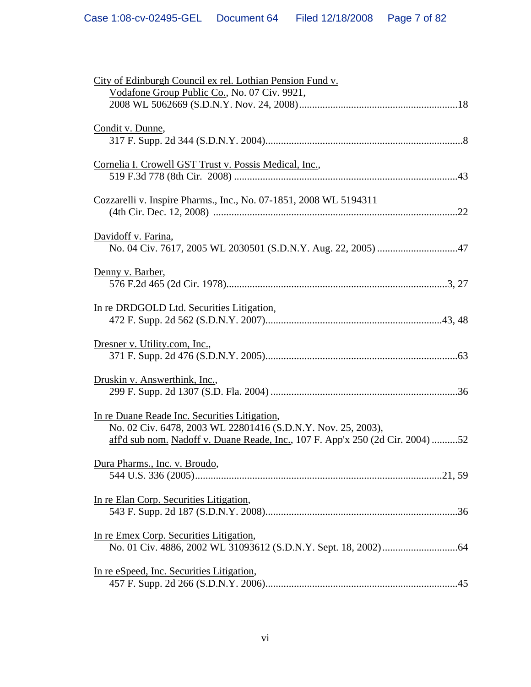| City of Edinburgh Council ex rel. Lothian Pension Fund v.                                                                                                                                       |
|-------------------------------------------------------------------------------------------------------------------------------------------------------------------------------------------------|
| Vodafone Group Public Co., No. 07 Civ. 9921,                                                                                                                                                    |
| Condit v. Dunne,                                                                                                                                                                                |
| Cornelia I. Crowell GST Trust v. Possis Medical, Inc.,                                                                                                                                          |
| Cozzarelli v. Inspire Pharms., Inc., No. 07-1851, 2008 WL 5194311                                                                                                                               |
| Davidoff v. Farina,                                                                                                                                                                             |
| Denny v. Barber,                                                                                                                                                                                |
| In re DRDGOLD Ltd. Securities Litigation,                                                                                                                                                       |
| Dresner v. Utility.com, Inc.,                                                                                                                                                                   |
| Druskin v. Answerthink, Inc.,                                                                                                                                                                   |
| In re Duane Reade Inc. Securities Litigation,<br>No. 02 Civ. 6478, 2003 WL 22801416 (S.D.N.Y. Nov. 25, 2003),<br>aff'd sub nom. Nadoff v. Duane Reade, Inc., 107 F. App'x 250 (2d Cir. 2004) 52 |
| Dura Pharms., Inc. v. Broudo,                                                                                                                                                                   |
| In re Elan Corp. Securities Litigation,                                                                                                                                                         |
| In re Emex Corp. Securities Litigation,                                                                                                                                                         |
| In re eSpeed, Inc. Securities Litigation,                                                                                                                                                       |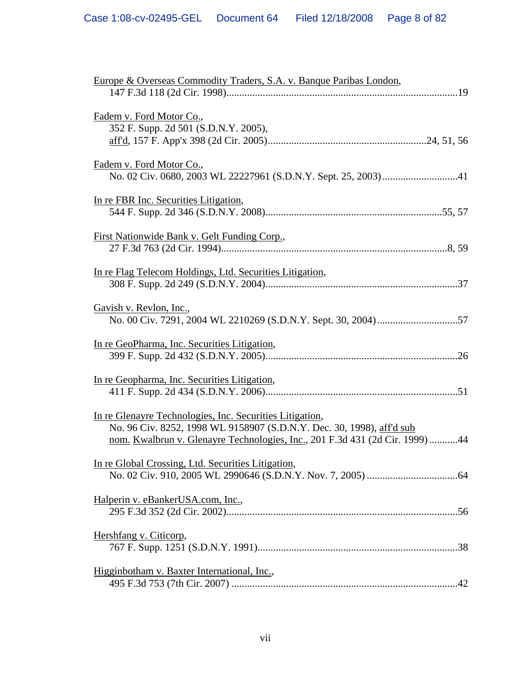| Europe & Overseas Commodity Traders, S.A. v. Banque Paribas London,                                                                                                                                              |
|------------------------------------------------------------------------------------------------------------------------------------------------------------------------------------------------------------------|
| Fadem v. Ford Motor Co.,<br>352 F. Supp. 2d 501 (S.D.N.Y. 2005),                                                                                                                                                 |
| Fadem v. Ford Motor Co.,                                                                                                                                                                                         |
| In re FBR Inc. Securities Litigation,                                                                                                                                                                            |
| <u>First Nationwide Bank v. Gelt Funding Corp.</u> ,                                                                                                                                                             |
| In re Flag Telecom Holdings, Ltd. Securities Litigation,                                                                                                                                                         |
| Gavish v. Revlon, Inc.,                                                                                                                                                                                          |
| In re GeoPharma, Inc. Securities Litigation,                                                                                                                                                                     |
| In re Geopharma, Inc. Securities Litigation,                                                                                                                                                                     |
| In re Glenayre Technologies, Inc. Securities Litigation,<br>No. 96 Civ. 8252, 1998 WL 9158907 (S.D.N.Y. Dec. 30, 1998), aff'd sub<br>nom. Kwalbrun v. Glenayre Technologies, Inc., 201 F.3d 431 (2d Cir. 1999)44 |
| In re Global Crossing, Ltd. Securities Litigation,                                                                                                                                                               |
| Halperin v. eBankerUSA.com, Inc.,                                                                                                                                                                                |
| Hershfang v. Citicorp,                                                                                                                                                                                           |
| Higginbotham v. Baxter International, Inc.,                                                                                                                                                                      |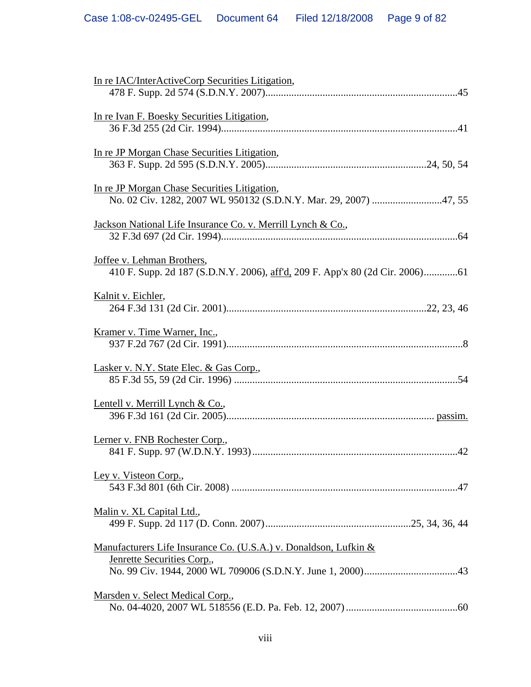| In re IAC/InterActiveCorp Securities Litigation,                                               |
|------------------------------------------------------------------------------------------------|
|                                                                                                |
| In re Ivan F. Boesky Securities Litigation,                                                    |
|                                                                                                |
| In re JP Morgan Chase Securities Litigation,                                                   |
|                                                                                                |
|                                                                                                |
| In re JP Morgan Chase Securities Litigation,                                                   |
|                                                                                                |
| Jackson National Life Insurance Co. v. Merrill Lynch & Co.,                                    |
|                                                                                                |
| Joffee v. Lehman Brothers,                                                                     |
|                                                                                                |
|                                                                                                |
| Kalnit v. Eichler,                                                                             |
|                                                                                                |
| Kramer v. Time Warner, Inc.,                                                                   |
|                                                                                                |
| Lasker v. N.Y. State Elec. & Gas Corp.,                                                        |
|                                                                                                |
|                                                                                                |
| Lentell v. Merrill Lynch & Co.,                                                                |
|                                                                                                |
| Lerner v. FNB Rochester Corp.,                                                                 |
|                                                                                                |
| Ley v. Visteon Corp.,                                                                          |
|                                                                                                |
| Malin v. XL Capital Ltd.,                                                                      |
|                                                                                                |
|                                                                                                |
| Manufacturers Life Insurance Co. (U.S.A.) v. Donaldson, Lufkin &<br>Jenrette Securities Corp., |
|                                                                                                |
|                                                                                                |
| Marsden v. Select Medical Corp.,                                                               |
|                                                                                                |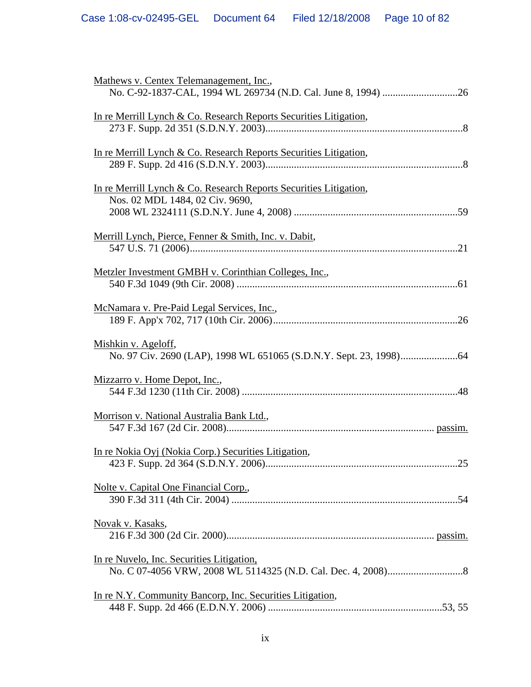| Mathews v. Centex Telemanagement, Inc.,                                                              |
|------------------------------------------------------------------------------------------------------|
| In re Merrill Lynch & Co. Research Reports Securities Litigation,                                    |
| In re Merrill Lynch & Co. Research Reports Securities Litigation,                                    |
| In re Merrill Lynch & Co. Research Reports Securities Litigation,<br>Nos. 02 MDL 1484, 02 Civ. 9690, |
| Merrill Lynch, Pierce, Fenner & Smith, Inc. v. Dabit,                                                |
| Metzler Investment GMBH v. Corinthian Colleges, Inc.,                                                |
| McNamara v. Pre-Paid Legal Services, Inc.,                                                           |
| Mishkin v. Ageloff,                                                                                  |
| Mizzarro v. Home Depot, Inc.,                                                                        |
| Morrison v. National Australia Bank Ltd.,                                                            |
| In re Nokia Oyj (Nokia Corp.) Securities Litigation,<br>25                                           |
| Nolte v. Capital One Financial Corp.,                                                                |
| <u>Novak v. Kasaks,</u>                                                                              |
| In re Nuvelo, Inc. Securities Litigation,                                                            |
| In re N.Y. Community Bancorp, Inc. Securities Litigation,                                            |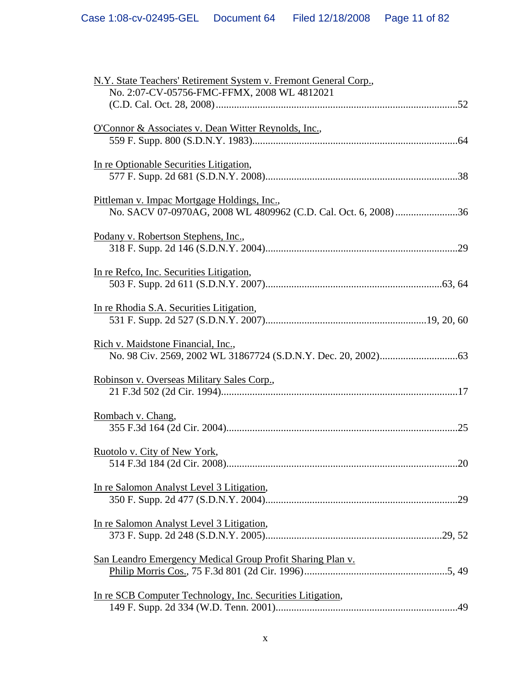| N.Y. State Teachers' Retirement System v. Fremont General Corp., |
|------------------------------------------------------------------|
| No. 2:07-CV-05756-FMC-FFMX, 2008 WL 4812021                      |
|                                                                  |
|                                                                  |
| O'Connor & Associates v. Dean Witter Reynolds, Inc.,             |
|                                                                  |
|                                                                  |
| In re Optionable Securities Litigation,                          |
|                                                                  |
|                                                                  |
| Pittleman v. Impac Mortgage Holdings, Inc.,                      |
|                                                                  |
| No. SACV 07-0970AG, 2008 WL 4809962 (C.D. Cal. Oct. 6, 2008) 36  |
|                                                                  |
| Podany v. Robertson Stephens, Inc.,                              |
|                                                                  |
|                                                                  |
| In re Refco, Inc. Securities Litigation,                         |
|                                                                  |
|                                                                  |
| In re Rhodia S.A. Securities Litigation,                         |
|                                                                  |
|                                                                  |
| Rich v. Maidstone Financial, Inc.,                               |
|                                                                  |
|                                                                  |
| Robinson v. Overseas Military Sales Corp.,                       |
|                                                                  |
|                                                                  |
| Rombach v. Chang,                                                |
|                                                                  |
|                                                                  |
|                                                                  |
| Ruotolo v. City of New York,                                     |
| 20                                                               |
|                                                                  |
| In re Salomon Analyst Level 3 Litigation,                        |
|                                                                  |
|                                                                  |
| In re Salomon Analyst Level 3 Litigation,                        |
|                                                                  |
|                                                                  |
| San Leandro Emergency Medical Group Profit Sharing Plan v.       |
|                                                                  |
|                                                                  |
| In re SCB Computer Technology, Inc. Securities Litigation,       |
|                                                                  |
|                                                                  |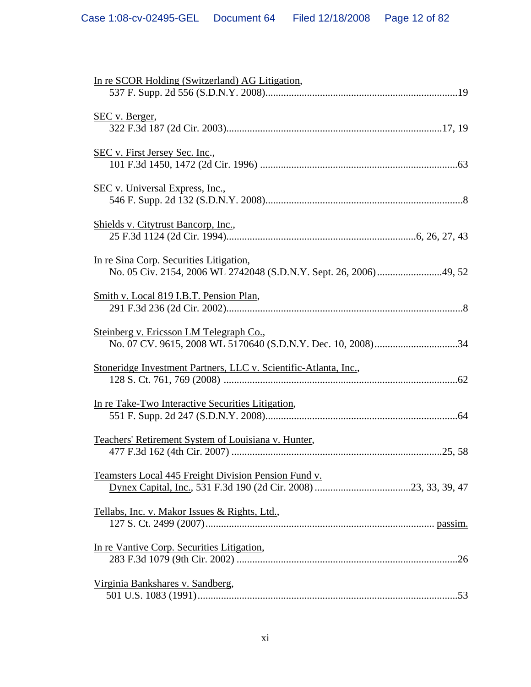| In re SCOR Holding (Switzerland) AG Litigation,                  |
|------------------------------------------------------------------|
| <u>SEC v. Berger,</u>                                            |
| <u>SEC v. First Jersey Sec. Inc.,</u>                            |
| SEC v. Universal Express, Inc.,                                  |
| Shields v. Citytrust Bancorp, Inc.,                              |
| In re Sina Corp. Securities Litigation,                          |
| Smith v. Local 819 I.B.T. Pension Plan,                          |
| Steinberg v. Ericsson LM Telegraph Co.,                          |
| Stoneridge Investment Partners, LLC v. Scientific-Atlanta, Inc., |
| In re Take-Two Interactive Securities Litigation,                |
| Teachers' Retirement System of Louisiana v. Hunter,              |
| Teamsters Local 445 Freight Division Pension Fund v.             |
| Tellabs, Inc. v. Makor Issues & Rights, Ltd.,                    |
| In re Vantive Corp. Securities Litigation,                       |
| Virginia Bankshares v. Sandberg,                                 |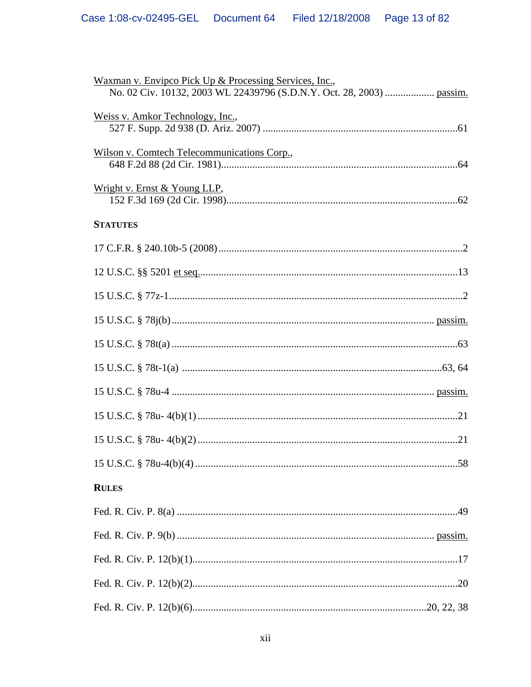| Waxman v. Envipco Pick Up & Processing Services, Inc.,<br>No. 02 Civ. 10132, 2003 WL 22439796 (S.D.N.Y. Oct. 28, 2003)  passim. |
|---------------------------------------------------------------------------------------------------------------------------------|
| Weiss v. Amkor Technology, Inc.,                                                                                                |
| Wilson v. Comtech Telecommunications Corp.,                                                                                     |
| Wright v. Ernst & Young LLP,                                                                                                    |
| <b>STATUTES</b>                                                                                                                 |
|                                                                                                                                 |
|                                                                                                                                 |
|                                                                                                                                 |
|                                                                                                                                 |
|                                                                                                                                 |
|                                                                                                                                 |
|                                                                                                                                 |
|                                                                                                                                 |
|                                                                                                                                 |
|                                                                                                                                 |
| <b>RULES</b>                                                                                                                    |
|                                                                                                                                 |
|                                                                                                                                 |
|                                                                                                                                 |
|                                                                                                                                 |
|                                                                                                                                 |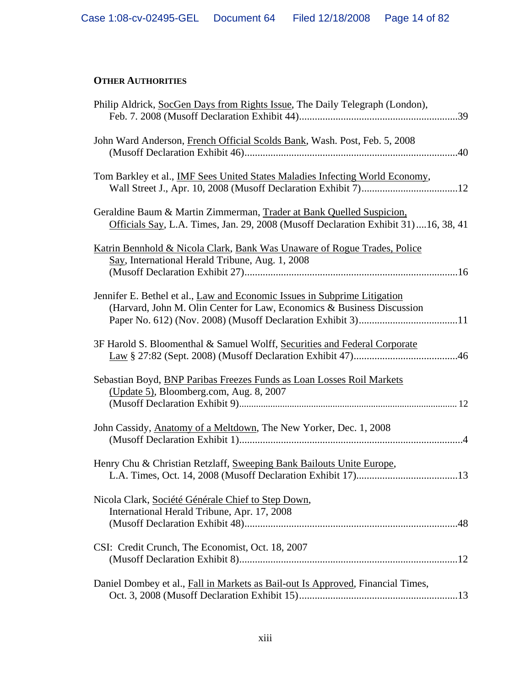# **OTHER AUTHORITIES**

| Philip Aldrick, SocGen Days from Rights Issue, The Daily Telegraph (London),                                                                               |
|------------------------------------------------------------------------------------------------------------------------------------------------------------|
| John Ward Anderson, French Official Scolds Bank, Wash. Post, Feb. 5, 2008                                                                                  |
| Tom Barkley et al., IMF Sees United States Maladies Infecting World Economy,                                                                               |
| Geraldine Baum & Martin Zimmerman, Trader at Bank Quelled Suspicion,<br>Officials Say, L.A. Times, Jan. 29, 2008 (Musoff Declaration Exhibit 31)16, 38, 41 |
| Katrin Bennhold & Nicola Clark, Bank Was Unaware of Rogue Trades, Police<br>Say, International Herald Tribune, Aug. 1, 2008                                |
| Jennifer E. Bethel et al., Law and Economic Issues in Subprime Litigation<br>(Harvard, John M. Olin Center for Law, Economics & Business Discussion        |
| 3F Harold S. Bloomenthal & Samuel Wolff, Securities and Federal Corporate                                                                                  |
| Sebastian Boyd, BNP Paribas Freezes Funds as Loan Losses Roil Markets<br>(Update 5), Bloomberg.com, Aug. 8, 2007                                           |
| John Cassidy, Anatomy of a Meltdown, The New Yorker, Dec. 1, 2008                                                                                          |
| Henry Chu & Christian Retzlaff, Sweeping Bank Bailouts Unite Europe,                                                                                       |
| Nicola Clark, Société Générale Chief to Step Down,<br>International Herald Tribune, Apr. 17, 2008                                                          |
| CSI: Credit Crunch, The Economist, Oct. 18, 2007                                                                                                           |
| Daniel Dombey et al., Fall in Markets as Bail-out Is Approved, Financial Times,                                                                            |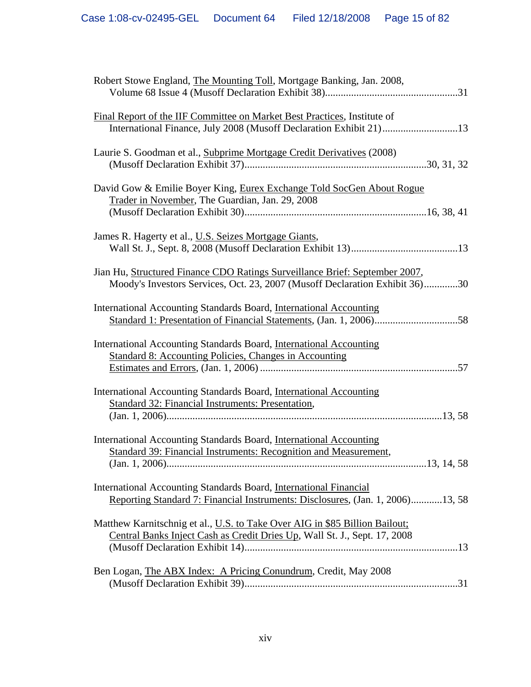| Robert Stowe England, The Mounting Toll, Mortgage Banking, Jan. 2008,                                                                                      |
|------------------------------------------------------------------------------------------------------------------------------------------------------------|
| Final Report of the IIF Committee on Market Best Practices, Institute of<br>International Finance, July 2008 (Musoff Declaration Exhibit 21)13             |
| Laurie S. Goodman et al., Subprime Mortgage Credit Derivatives (2008)                                                                                      |
| David Gow & Emilie Boyer King, Eurex Exchange Told SocGen About Rogue<br>Trader in November, The Guardian, Jan. 29, 2008                                   |
| James R. Hagerty et al., U.S. Seizes Mortgage Giants,                                                                                                      |
| Jian Hu, Structured Finance CDO Ratings Surveillance Brief: September 2007,<br>Moody's Investors Services, Oct. 23, 2007 (Musoff Declaration Exhibit 36)30 |
| International Accounting Standards Board, International Accounting                                                                                         |
| International Accounting Standards Board, International Accounting<br><b>Standard 8: Accounting Policies, Changes in Accounting</b>                        |
| International Accounting Standards Board, International Accounting<br><b>Standard 32: Financial Instruments: Presentation,</b>                             |
| International Accounting Standards Board, International Accounting<br>Standard 39: Financial Instruments: Recognition and Measurement,                     |
| International Accounting Standards Board, International Financial<br>Reporting Standard 7: Financial Instruments: Disclosures, (Jan. 1, 2006)13, 58        |
| Matthew Karnitschnig et al., U.S. to Take Over AIG in \$85 Billion Bailout;<br>Central Banks Inject Cash as Credit Dries Up, Wall St. J., Sept. 17, 2008   |
| Ben Logan, The ABX Index: A Pricing Conundrum, Credit, May 2008                                                                                            |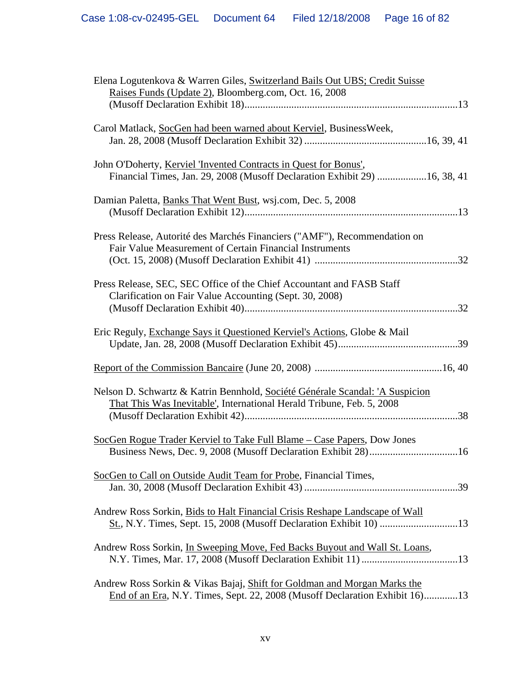| Elena Logutenkova & Warren Giles, Switzerland Bails Out UBS; Credit Suisse<br>Raises Funds (Update 2), Bloomberg.com, Oct. 16, 2008                     |
|---------------------------------------------------------------------------------------------------------------------------------------------------------|
| Carol Matlack, SocGen had been warned about Kerviel, BusinessWeek,                                                                                      |
| John O'Doherty, Kerviel 'Invented Contracts in Quest for Bonus',<br>Financial Times, Jan. 29, 2008 (Musoff Declaration Exhibit 29) 16, 38, 41           |
| Damian Paletta, Banks That Went Bust, wsj.com, Dec. 5, 2008                                                                                             |
| Press Release, Autorité des Marchés Financiers ("AMF"), Recommendation on<br>Fair Value Measurement of Certain Financial Instruments                    |
| Press Release, SEC, SEC Office of the Chief Accountant and FASB Staff<br>Clarification on Fair Value Accounting (Sept. 30, 2008)                        |
| Eric Reguly, Exchange Says it Questioned Kerviel's Actions, Globe & Mail                                                                                |
|                                                                                                                                                         |
| Nelson D. Schwartz & Katrin Bennhold, Société Générale Scandal: 'A Suspicion<br>That This Was Inevitable', International Herald Tribune, Feb. 5, 2008   |
| SocGen Rogue Trader Kerviel to Take Full Blame – Case Papers, Dow Jones                                                                                 |
| SocGen to Call on Outside Audit Team for Probe, Financial Times,                                                                                        |
| Andrew Ross Sorkin, Bids to Halt Financial Crisis Reshape Landscape of Wall                                                                             |
| Andrew Ross Sorkin, In Sweeping Move, Fed Backs Buyout and Wall St. Loans,                                                                              |
| Andrew Ross Sorkin & Vikas Bajaj, Shift for Goldman and Morgan Marks the<br>End of an Era, N.Y. Times, Sept. 22, 2008 (Musoff Declaration Exhibit 16)13 |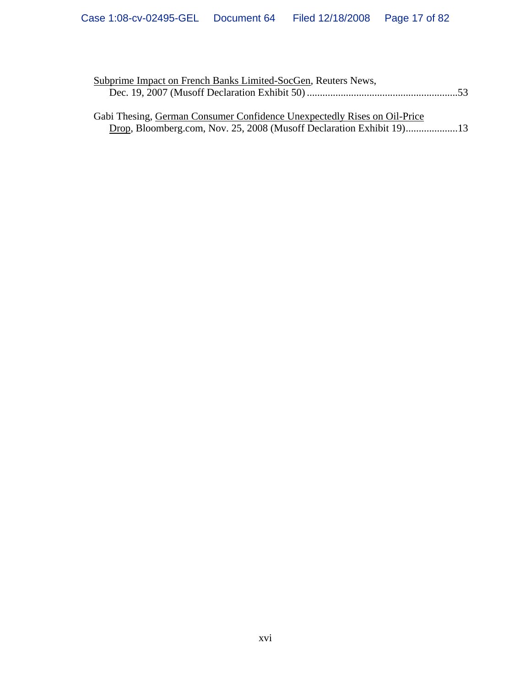| Subprime Impact on French Banks Limited-SocGen, Reuters News,            |  |
|--------------------------------------------------------------------------|--|
|                                                                          |  |
|                                                                          |  |
| Gabi Thesing, German Consumer Confidence Unexpectedly Rises on Oil-Price |  |

Drop, Bloomberg.com, Nov. 25, 2008 (Musoff Declaration Exhibit 19)....................13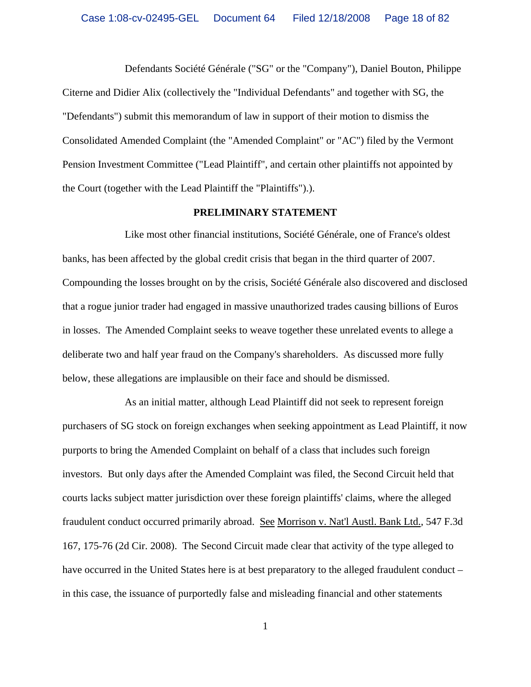Defendants Société Générale ("SG" or the "Company"), Daniel Bouton, Philippe Citerne and Didier Alix (collectively the "Individual Defendants" and together with SG, the "Defendants") submit this memorandum of law in support of their motion to dismiss the Consolidated Amended Complaint (the "Amended Complaint" or "AC") filed by the Vermont Pension Investment Committee ("Lead Plaintiff", and certain other plaintiffs not appointed by the Court (together with the Lead Plaintiff the "Plaintiffs").).

#### **PRELIMINARY STATEMENT**

Like most other financial institutions, Société Générale, one of France's oldest banks, has been affected by the global credit crisis that began in the third quarter of 2007. Compounding the losses brought on by the crisis, Société Générale also discovered and disclosed that a rogue junior trader had engaged in massive unauthorized trades causing billions of Euros in losses. The Amended Complaint seeks to weave together these unrelated events to allege a deliberate two and half year fraud on the Company's shareholders. As discussed more fully below, these allegations are implausible on their face and should be dismissed.

As an initial matter, although Lead Plaintiff did not seek to represent foreign purchasers of SG stock on foreign exchanges when seeking appointment as Lead Plaintiff, it now purports to bring the Amended Complaint on behalf of a class that includes such foreign investors. But only days after the Amended Complaint was filed, the Second Circuit held that courts lacks subject matter jurisdiction over these foreign plaintiffs' claims, where the alleged fraudulent conduct occurred primarily abroad. See Morrison v. Nat'l Austl. Bank Ltd., 547 F.3d 167, 175-76 (2d Cir. 2008). The Second Circuit made clear that activity of the type alleged to have occurred in the United States here is at best preparatory to the alleged fraudulent conduct – in this case, the issuance of purportedly false and misleading financial and other statements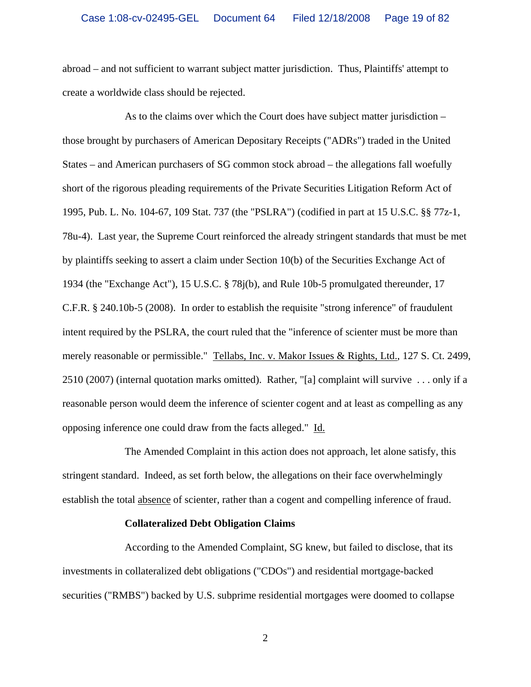abroad – and not sufficient to warrant subject matter jurisdiction. Thus, Plaintiffs' attempt to create a worldwide class should be rejected.

As to the claims over which the Court does have subject matter jurisdiction – those brought by purchasers of American Depositary Receipts ("ADRs") traded in the United States – and American purchasers of SG common stock abroad – the allegations fall woefully short of the rigorous pleading requirements of the Private Securities Litigation Reform Act of 1995, Pub. L. No. 104-67, 109 Stat. 737 (the "PSLRA") (codified in part at 15 U.S.C. §§ 77z-1, 78u-4). Last year, the Supreme Court reinforced the already stringent standards that must be met by plaintiffs seeking to assert a claim under Section 10(b) of the Securities Exchange Act of 1934 (the "Exchange Act"), 15 U.S.C. § 78j(b), and Rule 10b-5 promulgated thereunder, 17 C.F.R. § 240.10b-5 (2008). In order to establish the requisite "strong inference" of fraudulent intent required by the PSLRA, the court ruled that the "inference of scienter must be more than merely reasonable or permissible." Tellabs, Inc. v. Makor Issues & Rights, Ltd., 127 S. Ct. 2499, 2510 (2007) (internal quotation marks omitted). Rather, "[a] complaint will survive . . . only if a reasonable person would deem the inference of scienter cogent and at least as compelling as any opposing inference one could draw from the facts alleged." Id.

The Amended Complaint in this action does not approach, let alone satisfy, this stringent standard. Indeed, as set forth below, the allegations on their face overwhelmingly establish the total absence of scienter, rather than a cogent and compelling inference of fraud.

#### **Collateralized Debt Obligation Claims**

According to the Amended Complaint, SG knew, but failed to disclose, that its investments in collateralized debt obligations ("CDOs") and residential mortgage-backed securities ("RMBS") backed by U.S. subprime residential mortgages were doomed to collapse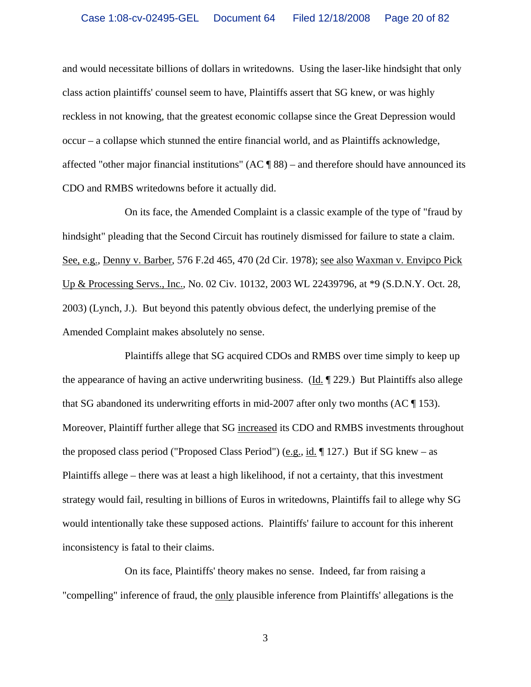and would necessitate billions of dollars in writedowns. Using the laser-like hindsight that only class action plaintiffs' counsel seem to have, Plaintiffs assert that SG knew, or was highly reckless in not knowing, that the greatest economic collapse since the Great Depression would occur – a collapse which stunned the entire financial world, and as Plaintiffs acknowledge, affected "other major financial institutions" (AC ¶ 88) – and therefore should have announced its CDO and RMBS writedowns before it actually did.

On its face, the Amended Complaint is a classic example of the type of "fraud by hindsight" pleading that the Second Circuit has routinely dismissed for failure to state a claim. See, e.g., Denny v. Barber, 576 F.2d 465, 470 (2d Cir. 1978); see also Waxman v. Envipco Pick Up & Processing Servs., Inc., No. 02 Civ. 10132, 2003 WL 22439796, at \*9 (S.D.N.Y. Oct. 28, 2003) (Lynch, J.). But beyond this patently obvious defect, the underlying premise of the Amended Complaint makes absolutely no sense.

Plaintiffs allege that SG acquired CDOs and RMBS over time simply to keep up the appearance of having an active underwriting business. (Id.  $\parallel$  229.) But Plaintiffs also allege that SG abandoned its underwriting efforts in mid-2007 after only two months (AC ¶ 153). Moreover, Plaintiff further allege that SG increased its CDO and RMBS investments throughout the proposed class period ("Proposed Class Period") (e.g., id.  $\P$  127.) But if SG knew – as Plaintiffs allege – there was at least a high likelihood, if not a certainty, that this investment strategy would fail, resulting in billions of Euros in writedowns, Plaintiffs fail to allege why SG would intentionally take these supposed actions. Plaintiffs' failure to account for this inherent inconsistency is fatal to their claims.

On its face, Plaintiffs' theory makes no sense. Indeed, far from raising a "compelling" inference of fraud, the only plausible inference from Plaintiffs' allegations is the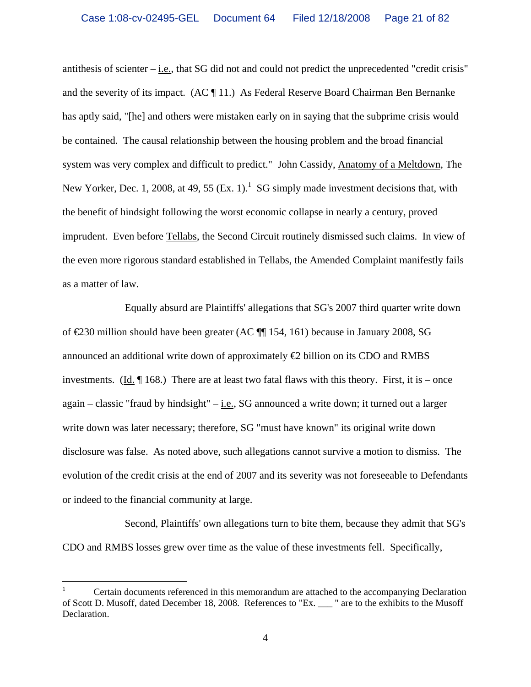antithesis of scienter – i.e., that SG did not and could not predict the unprecedented "credit crisis" and the severity of its impact. (AC ¶ 11.) As Federal Reserve Board Chairman Ben Bernanke has aptly said, "[he] and others were mistaken early on in saying that the subprime crisis would be contained. The causal relationship between the housing problem and the broad financial system was very complex and difficult to predict." John Cassidy, Anatomy of a Meltdown, The New Yorker, Dec. 1, 2008, at 49, 55  $(\underline{Ex. 1})$ .<sup>1</sup> SG simply made investment decisions that, with the benefit of hindsight following the worst economic collapse in nearly a century, proved imprudent. Even before Tellabs, the Second Circuit routinely dismissed such claims. In view of the even more rigorous standard established in Tellabs, the Amended Complaint manifestly fails as a matter of law.

Equally absurd are Plaintiffs' allegations that SG's 2007 third quarter write down of €230 million should have been greater (AC ¶¶ 154, 161) because in January 2008, SG announced an additional write down of approximately  $\oplus$  billion on its CDO and RMBS investments. (Id.  $\P$  168.) There are at least two fatal flaws with this theory. First, it is – once again – classic "fraud by hindsight" –  $i.e.,$  SG announced a write down; it turned out a larger write down was later necessary; therefore, SG "must have known" its original write down disclosure was false. As noted above, such allegations cannot survive a motion to dismiss. The evolution of the credit crisis at the end of 2007 and its severity was not foreseeable to Defendants or indeed to the financial community at large.

Second, Plaintiffs' own allegations turn to bite them, because they admit that SG's CDO and RMBS losses grew over time as the value of these investments fell. Specifically,

 $\overline{a}$ 

<sup>1</sup> Certain documents referenced in this memorandum are attached to the accompanying Declaration of Scott D. Musoff, dated December 18, 2008. References to "Ex. \_\_\_ " are to the exhibits to the Musoff Declaration.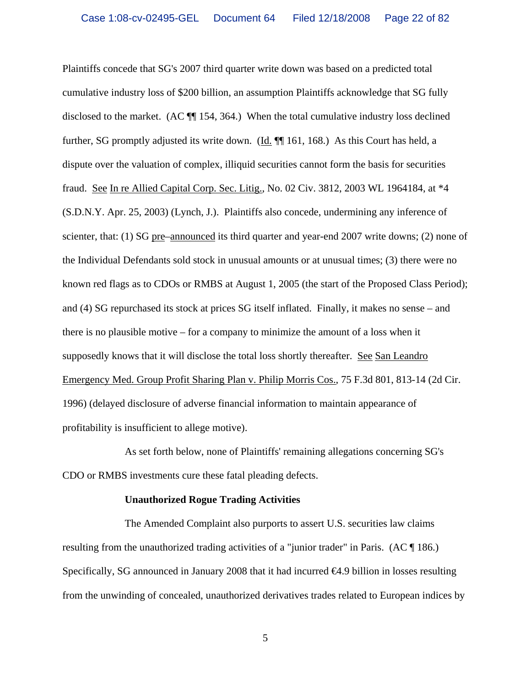Plaintiffs concede that SG's 2007 third quarter write down was based on a predicted total cumulative industry loss of \$200 billion, an assumption Plaintiffs acknowledge that SG fully disclosed to the market. (AC ¶¶ 154, 364.) When the total cumulative industry loss declined further, SG promptly adjusted its write down. (Id. ¶¶ 161, 168.) As this Court has held, a dispute over the valuation of complex, illiquid securities cannot form the basis for securities fraud. See In re Allied Capital Corp. Sec. Litig., No. 02 Civ. 3812, 2003 WL 1964184, at \*4 (S.D.N.Y. Apr. 25, 2003) (Lynch, J.). Plaintiffs also concede, undermining any inference of scienter, that: (1) SG pre–announced its third quarter and year-end 2007 write downs; (2) none of the Individual Defendants sold stock in unusual amounts or at unusual times; (3) there were no known red flags as to CDOs or RMBS at August 1, 2005 (the start of the Proposed Class Period); and (4) SG repurchased its stock at prices SG itself inflated. Finally, it makes no sense – and there is no plausible motive – for a company to minimize the amount of a loss when it supposedly knows that it will disclose the total loss shortly thereafter. See San Leandro Emergency Med. Group Profit Sharing Plan v. Philip Morris Cos., 75 F.3d 801, 813-14 (2d Cir. 1996) (delayed disclosure of adverse financial information to maintain appearance of profitability is insufficient to allege motive).

As set forth below, none of Plaintiffs' remaining allegations concerning SG's CDO or RMBS investments cure these fatal pleading defects.

#### **Unauthorized Rogue Trading Activities**

The Amended Complaint also purports to assert U.S. securities law claims resulting from the unauthorized trading activities of a "junior trader" in Paris. (AC ¶ 186.) Specifically, SG announced in January 2008 that it had incurred  $\epsilon 4.9$  billion in losses resulting from the unwinding of concealed, unauthorized derivatives trades related to European indices by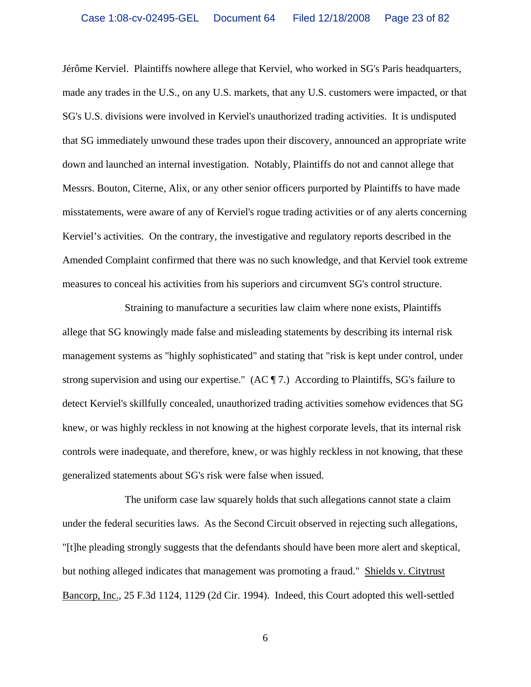Jérôme Kerviel. Plaintiffs nowhere allege that Kerviel, who worked in SG's Paris headquarters, made any trades in the U.S., on any U.S. markets, that any U.S. customers were impacted, or that SG's U.S. divisions were involved in Kerviel's unauthorized trading activities. It is undisputed that SG immediately unwound these trades upon their discovery, announced an appropriate write down and launched an internal investigation. Notably, Plaintiffs do not and cannot allege that Messrs. Bouton, Citerne, Alix, or any other senior officers purported by Plaintiffs to have made misstatements, were aware of any of Kerviel's rogue trading activities or of any alerts concerning Kerviel's activities. On the contrary, the investigative and regulatory reports described in the Amended Complaint confirmed that there was no such knowledge, and that Kerviel took extreme measures to conceal his activities from his superiors and circumvent SG's control structure.

Straining to manufacture a securities law claim where none exists, Plaintiffs allege that SG knowingly made false and misleading statements by describing its internal risk management systems as "highly sophisticated" and stating that "risk is kept under control, under strong supervision and using our expertise." (AC ¶ 7.) According to Plaintiffs, SG's failure to detect Kerviel's skillfully concealed, unauthorized trading activities somehow evidences that SG knew, or was highly reckless in not knowing at the highest corporate levels, that its internal risk controls were inadequate, and therefore, knew, or was highly reckless in not knowing, that these generalized statements about SG's risk were false when issued.

The uniform case law squarely holds that such allegations cannot state a claim under the federal securities laws. As the Second Circuit observed in rejecting such allegations, "[t]he pleading strongly suggests that the defendants should have been more alert and skeptical, but nothing alleged indicates that management was promoting a fraud." Shields v. Citytrust Bancorp, Inc., 25 F.3d 1124, 1129 (2d Cir. 1994). Indeed, this Court adopted this well-settled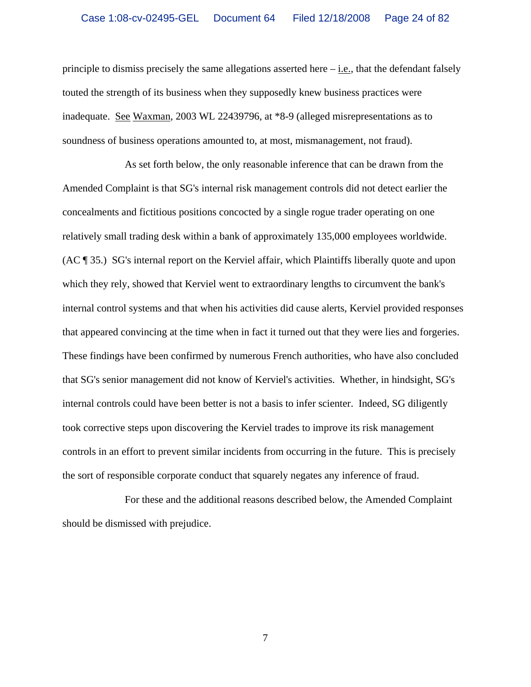principle to dismiss precisely the same allegations asserted here  $-\underline{i.e.}$ , that the defendant falsely touted the strength of its business when they supposedly knew business practices were inadequate. See Waxman, 2003 WL 22439796, at \*8-9 (alleged misrepresentations as to soundness of business operations amounted to, at most, mismanagement, not fraud).

As set forth below, the only reasonable inference that can be drawn from the Amended Complaint is that SG's internal risk management controls did not detect earlier the concealments and fictitious positions concocted by a single rogue trader operating on one relatively small trading desk within a bank of approximately 135,000 employees worldwide. (AC ¶ 35.) SG's internal report on the Kerviel affair, which Plaintiffs liberally quote and upon which they rely, showed that Kerviel went to extraordinary lengths to circumvent the bank's internal control systems and that when his activities did cause alerts, Kerviel provided responses that appeared convincing at the time when in fact it turned out that they were lies and forgeries. These findings have been confirmed by numerous French authorities, who have also concluded that SG's senior management did not know of Kerviel's activities. Whether, in hindsight, SG's internal controls could have been better is not a basis to infer scienter. Indeed, SG diligently took corrective steps upon discovering the Kerviel trades to improve its risk management controls in an effort to prevent similar incidents from occurring in the future. This is precisely the sort of responsible corporate conduct that squarely negates any inference of fraud.

For these and the additional reasons described below, the Amended Complaint should be dismissed with prejudice.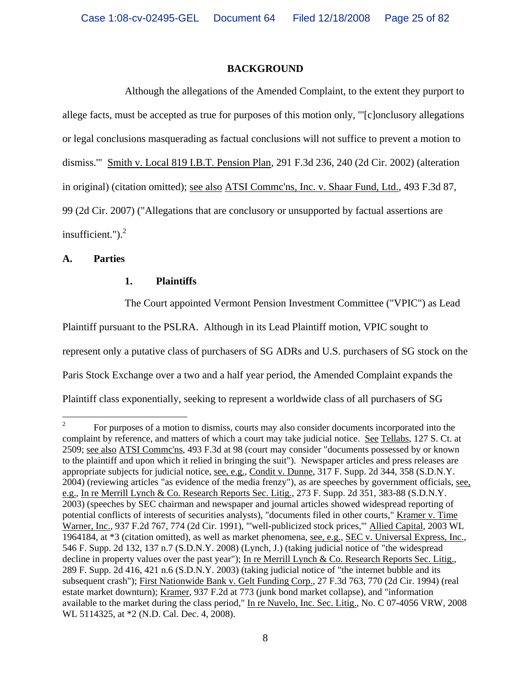### **BACKGROUND**

Although the allegations of the Amended Complaint, to the extent they purport to allege facts, must be accepted as true for purposes of this motion only, "'[c]onclusory allegations or legal conclusions masquerading as factual conclusions will not suffice to prevent a motion to dismiss.'" Smith v. Local 819 I.B.T. Pension Plan, 291 F.3d 236, 240 (2d Cir. 2002) (alteration in original) (citation omitted); see also ATSI Commc'ns, Inc. v. Shaar Fund, Ltd., 493 F.3d 87, 99 (2d Cir. 2007) ("Allegations that are conclusory or unsupported by factual assertions are insufficient." $)^2$ 

### **A. Parties**

### **1. Plaintiffs**

The Court appointed Vermont Pension Investment Committee ("VPIC") as Lead

Plaintiff pursuant to the PSLRA. Although in its Lead Plaintiff motion, VPIC sought to

represent only a putative class of purchasers of SG ADRs and U.S. purchasers of SG stock on the

Paris Stock Exchange over a two and a half year period, the Amended Complaint expands the

Plaintiff class exponentially, seeking to represent a worldwide class of all purchasers of SG

 $\frac{1}{2}$  For purposes of a motion to dismiss, courts may also consider documents incorporated into the complaint by reference, and matters of which a court may take judicial notice. See Tellabs, 127 S. Ct. at 2509; see also ATSI Commc'ns, 493 F.3d at 98 (court may consider "documents possessed by or known to the plaintiff and upon which it relied in bringing the suit"). Newspaper articles and press releases are appropriate subjects for judicial notice, see, e.g., Condit v. Dunne, 317 F. Supp. 2d 344, 358 (S.D.N.Y. 2004) (reviewing articles "as evidence of the media frenzy"), as are speeches by government officials, see, e.g., In re Merrill Lynch & Co. Research Reports Sec. Litig., 273 F. Supp. 2d 351, 383-88 (S.D.N.Y. 2003) (speeches by SEC chairman and newspaper and journal articles showed widespread reporting of potential conflicts of interests of securities analysts), "documents filed in other courts," Kramer v. Time Warner, Inc., 937 F.2d 767, 774 (2d Cir. 1991), "'well-publicized stock prices,'" Allied Capital, 2003 WL 1964184, at \*3 (citation omitted), as well as market phenomena, see, e.g., SEC v. Universal Express, Inc., 546 F. Supp. 2d 132, 137 n.7 (S.D.N.Y. 2008) (Lynch, J.) (taking judicial notice of "the widespread decline in property values over the past year"); In re Merrill Lynch & Co. Research Reports Sec. Litig., 289 F. Supp. 2d 416, 421 n.6 (S.D.N.Y. 2003) (taking judicial notice of "the internet bubble and its subsequent crash"); First Nationwide Bank v. Gelt Funding Corp., 27 F.3d 763, 770 (2d Cir. 1994) (real estate market downturn); Kramer, 937 F.2d at 773 (junk bond market collapse), and "information available to the market during the class period," In re Nuvelo, Inc. Sec. Litig., No. C 07-4056 VRW, 2008 WL 5114325, at \*2 (N.D. Cal. Dec. 4, 2008).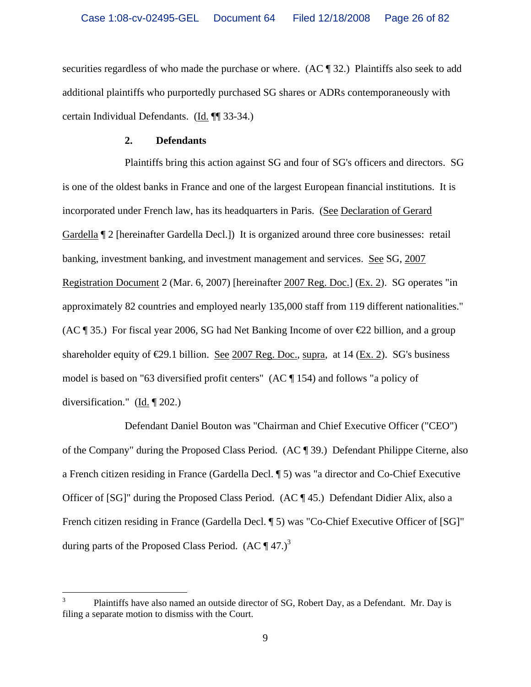securities regardless of who made the purchase or where. (AC ¶ 32.) Plaintiffs also seek to add additional plaintiffs who purportedly purchased SG shares or ADRs contemporaneously with certain Individual Defendants. (Id. ¶¶ 33-34.)

#### **2. Defendants**

 $\overline{a}$ 

Plaintiffs bring this action against SG and four of SG's officers and directors. SG is one of the oldest banks in France and one of the largest European financial institutions. It is incorporated under French law, has its headquarters in Paris. (See Declaration of Gerard Gardella ¶ 2 [hereinafter Gardella Decl.]) It is organized around three core businesses: retail banking, investment banking, and investment management and services. See SG, 2007 Registration Document 2 (Mar. 6, 2007) [hereinafter 2007 Reg. Doc.] (Ex. 2). SG operates "in approximately 82 countries and employed nearly 135,000 staff from 119 different nationalities." (AC  $\parallel$  35.) For fiscal year 2006, SG had Net Banking Income of over  $\epsilon$  22 billion, and a group shareholder equity of  $\epsilon$ 29.1 billion. See 2007 Reg. Doc., supra, at 14 (Ex. 2). SG's business model is based on "63 diversified profit centers" (AC ¶ 154) and follows "a policy of diversification." ( $\underline{Id}$ .  $\P$  202.)

Defendant Daniel Bouton was "Chairman and Chief Executive Officer ("CEO") of the Company" during the Proposed Class Period. (AC ¶ 39.) Defendant Philippe Citerne, also a French citizen residing in France (Gardella Decl. ¶ 5) was "a director and Co-Chief Executive Officer of [SG]" during the Proposed Class Period. (AC ¶ 45.) Defendant Didier Alix, also a French citizen residing in France (Gardella Decl. ¶ 5) was "Co-Chief Executive Officer of [SG]" during parts of the Proposed Class Period.  $(AC \P 47.)^3$ 

<sup>3</sup> Plaintiffs have also named an outside director of SG, Robert Day, as a Defendant. Mr. Day is filing a separate motion to dismiss with the Court.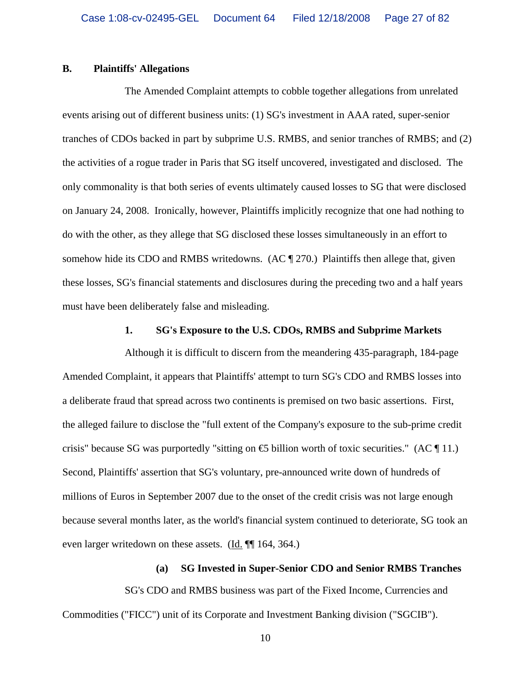#### **B. Plaintiffs' Allegations**

The Amended Complaint attempts to cobble together allegations from unrelated events arising out of different business units: (1) SG's investment in AAA rated, super-senior tranches of CDOs backed in part by subprime U.S. RMBS, and senior tranches of RMBS; and (2) the activities of a rogue trader in Paris that SG itself uncovered, investigated and disclosed. The only commonality is that both series of events ultimately caused losses to SG that were disclosed on January 24, 2008. Ironically, however, Plaintiffs implicitly recognize that one had nothing to do with the other, as they allege that SG disclosed these losses simultaneously in an effort to somehow hide its CDO and RMBS writedowns. (AC ¶ 270.) Plaintiffs then allege that, given these losses, SG's financial statements and disclosures during the preceding two and a half years must have been deliberately false and misleading.

## **1. SG's Exposure to the U.S. CDOs, RMBS and Subprime Markets**

Although it is difficult to discern from the meandering 435-paragraph, 184-page Amended Complaint, it appears that Plaintiffs' attempt to turn SG's CDO and RMBS losses into a deliberate fraud that spread across two continents is premised on two basic assertions. First, the alleged failure to disclose the "full extent of the Company's exposure to the sub-prime credit crisis" because SG was purportedly "sitting on  $\oplus$  billion worth of toxic securities." (AC ¶ 11.) Second, Plaintiffs' assertion that SG's voluntary, pre-announced write down of hundreds of millions of Euros in September 2007 due to the onset of the credit crisis was not large enough because several months later, as the world's financial system continued to deteriorate, SG took an even larger writedown on these assets. (Id. ¶¶ 164, 364.)

#### **(a) SG Invested in Super-Senior CDO and Senior RMBS Tranches**

SG's CDO and RMBS business was part of the Fixed Income, Currencies and Commodities ("FICC") unit of its Corporate and Investment Banking division ("SGCIB").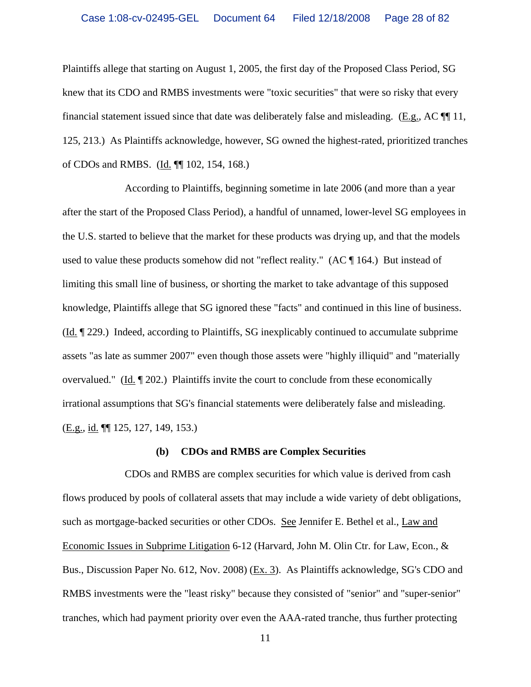Plaintiffs allege that starting on August 1, 2005, the first day of the Proposed Class Period, SG knew that its CDO and RMBS investments were "toxic securities" that were so risky that every financial statement issued since that date was deliberately false and misleading. (E.g., AC ¶¶ 11, 125, 213.) As Plaintiffs acknowledge, however, SG owned the highest-rated, prioritized tranches of CDOs and RMBS. (Id. ¶¶ 102, 154, 168.)

According to Plaintiffs, beginning sometime in late 2006 (and more than a year after the start of the Proposed Class Period), a handful of unnamed, lower-level SG employees in the U.S. started to believe that the market for these products was drying up, and that the models used to value these products somehow did not "reflect reality." (AC ¶ 164.) But instead of limiting this small line of business, or shorting the market to take advantage of this supposed knowledge, Plaintiffs allege that SG ignored these "facts" and continued in this line of business. (Id. ¶ 229.) Indeed, according to Plaintiffs, SG inexplicably continued to accumulate subprime assets "as late as summer 2007" even though those assets were "highly illiquid" and "materially overvalued." ( $\underline{Id}$ .  $\P$  202.) Plaintiffs invite the court to conclude from these economically irrational assumptions that SG's financial statements were deliberately false and misleading. (E.g., id. ¶¶ 125, 127, 149, 153.)

#### **(b) CDOs and RMBS are Complex Securities**

CDOs and RMBS are complex securities for which value is derived from cash flows produced by pools of collateral assets that may include a wide variety of debt obligations, such as mortgage-backed securities or other CDOs. See Jennifer E. Bethel et al., Law and Economic Issues in Subprime Litigation 6-12 (Harvard, John M. Olin Ctr. for Law, Econ., & Bus., Discussion Paper No. 612, Nov. 2008) (Ex. 3). As Plaintiffs acknowledge, SG's CDO and RMBS investments were the "least risky" because they consisted of "senior" and "super-senior" tranches, which had payment priority over even the AAA-rated tranche, thus further protecting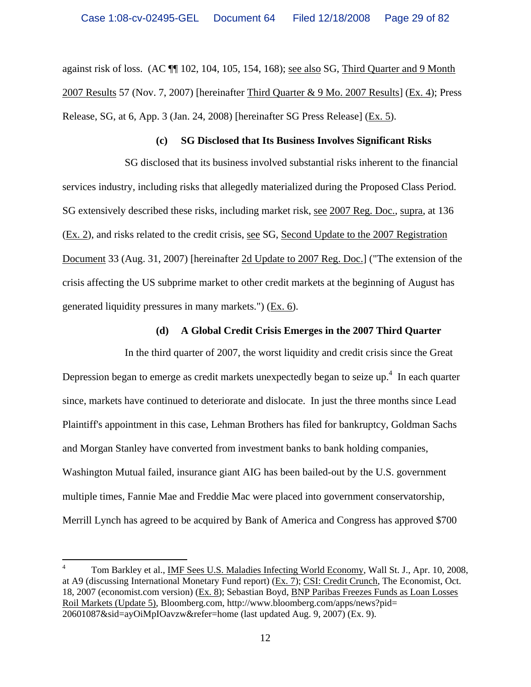against risk of loss. (AC ¶¶ 102, 104, 105, 154, 168); see also SG, Third Quarter and 9 Month 2007 Results 57 (Nov. 7, 2007) [hereinafter Third Quarter & 9 Mo. 2007 Results] (Ex. 4); Press Release, SG, at 6, App. 3 (Jan. 24, 2008) [hereinafter SG Press Release] (Ex. 5).

#### **(c) SG Disclosed that Its Business Involves Significant Risks**

SG disclosed that its business involved substantial risks inherent to the financial services industry, including risks that allegedly materialized during the Proposed Class Period. SG extensively described these risks, including market risk, see 2007 Reg. Doc., supra, at 136 (Ex. 2), and risks related to the credit crisis, see SG, Second Update to the 2007 Registration Document 33 (Aug. 31, 2007) [hereinafter 2d Update to 2007 Reg. Doc.] ("The extension of the crisis affecting the US subprime market to other credit markets at the beginning of August has generated liquidity pressures in many markets.") (Ex. 6).

### **(d) A Global Credit Crisis Emerges in the 2007 Third Quarter**

In the third quarter of 2007, the worst liquidity and credit crisis since the Great Depression began to emerge as credit markets unexpectedly began to seize up.<sup>4</sup> In each quarter since, markets have continued to deteriorate and dislocate. In just the three months since Lead Plaintiff's appointment in this case, Lehman Brothers has filed for bankruptcy, Goldman Sachs and Morgan Stanley have converted from investment banks to bank holding companies, Washington Mutual failed, insurance giant AIG has been bailed-out by the U.S. government multiple times, Fannie Mae and Freddie Mac were placed into government conservatorship, Merrill Lynch has agreed to be acquired by Bank of America and Congress has approved \$700

 $\overline{a}$ 

<sup>4</sup> Tom Barkley et al., IMF Sees U.S. Maladies Infecting World Economy, Wall St. J., Apr. 10, 2008, at A9 (discussing International Monetary Fund report) (Ex. 7); CSI: Credit Crunch, The Economist, Oct. 18, 2007 (economist.com version) (Ex. 8); Sebastian Boyd, BNP Paribas Freezes Funds as Loan Losses Roil Markets (Update 5), Bloomberg.com, http://www.bloomberg.com/apps/news?pid= 20601087&sid=ayOiMpIOavzw&refer=home (last updated Aug. 9, 2007) (Ex. 9).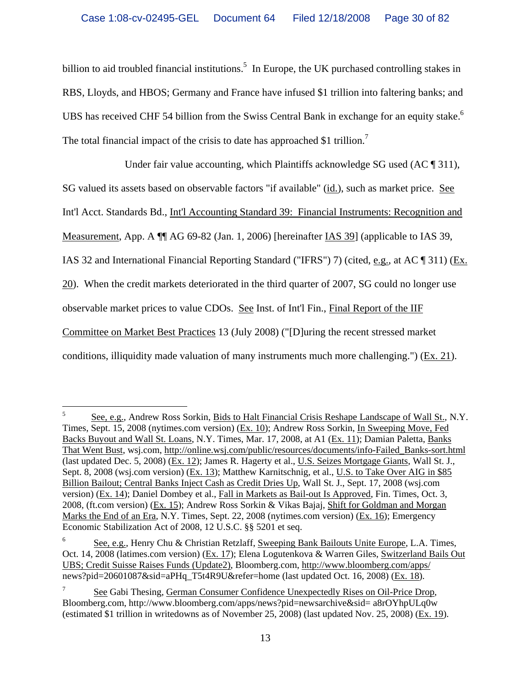billion to aid troubled financial institutions.<sup>5</sup> In Europe, the UK purchased controlling stakes in RBS, Lloyds, and HBOS; Germany and France have infused \$1 trillion into faltering banks; and UBS has received CHF 54 billion from the Swiss Central Bank in exchange for an equity stake.<sup>6</sup> The total financial impact of the crisis to date has approached \$1 trillion.<sup>7</sup>

Under fair value accounting, which Plaintiffs acknowledge SG used (AC ¶ 311), SG valued its assets based on observable factors "if available" (id.), such as market price. See Int'l Acct. Standards Bd., Int'l Accounting Standard 39: Financial Instruments: Recognition and Measurement, App. A ¶¶ AG 69-82 (Jan. 1, 2006) [hereinafter IAS 39] (applicable to IAS 39, IAS 32 and International Financial Reporting Standard ("IFRS") 7) (cited, e.g., at AC ¶ 311) (Ex. 20). When the credit markets deteriorated in the third quarter of 2007, SG could no longer use observable market prices to value CDOs. See Inst. of Int'l Fin., Final Report of the IIF Committee on Market Best Practices 13 (July 2008) ("[D]uring the recent stressed market conditions, illiquidity made valuation of many instruments much more challenging.") (Ex. 21).

 $\frac{1}{5}$  See, e.g., Andrew Ross Sorkin, Bids to Halt Financial Crisis Reshape Landscape of Wall St., N.Y. Times, Sept. 15, 2008 (nytimes.com version) (Ex. 10); Andrew Ross Sorkin, In Sweeping Move, Fed Backs Buyout and Wall St. Loans, N.Y. Times, Mar. 17, 2008, at A1 (Ex. 11); Damian Paletta, Banks That Went Bust, wsj.com, http://online.wsj.com/public/resources/documents/info-Failed\_Banks-sort.html (last updated Dec. 5, 2008) (Ex. 12); James R. Hagerty et al., U.S. Seizes Mortgage Giants, Wall St. J., Sept. 8, 2008 (wsj.com version) (Ex. 13); Matthew Karnitschnig, et al., U.S. to Take Over AIG in \$85 Billion Bailout; Central Banks Inject Cash as Credit Dries Up, Wall St. J., Sept. 17, 2008 (wsj.com version) (Ex. 14); Daniel Dombey et al., Fall in Markets as Bail-out Is Approved, Fin. Times, Oct. 3, 2008*,* (ft.com version) (Ex. 15); Andrew Ross Sorkin & Vikas Bajaj, Shift for Goldman and Morgan Marks the End of an Era, N.Y. Times, Sept. 22, 2008 (nytimes.com version) (Ex. 16); Emergency Economic Stabilization Act of 2008, 12 U.S.C. §§ 5201 et seq.

<sup>6</sup> See, e.g., Henry Chu & Christian Retzlaff, Sweeping Bank Bailouts Unite Europe, L.A. Times, Oct. 14, 2008 (latimes.com version) (Ex. 17); Elena Logutenkova & Warren Giles, Switzerland Bails Out UBS; Credit Suisse Raises Funds (Update2), Bloomberg.com, http://www.bloomberg.com/apps/ news?pid=20601087&sid=aPHq\_T5t4R9U&refer=home (last updated Oct. 16, 2008) (Ex. 18).

<sup>7</sup> See Gabi Thesing, German Consumer Confidence Unexpectedly Rises on Oil-Price Drop, Bloomberg.com, http://www.bloomberg.com/apps/news?pid=newsarchive&sid= a8rOYhpULq0w (estimated \$1 trillion in writedowns as of November 25, 2008) (last updated Nov. 25, 2008) (Ex. 19).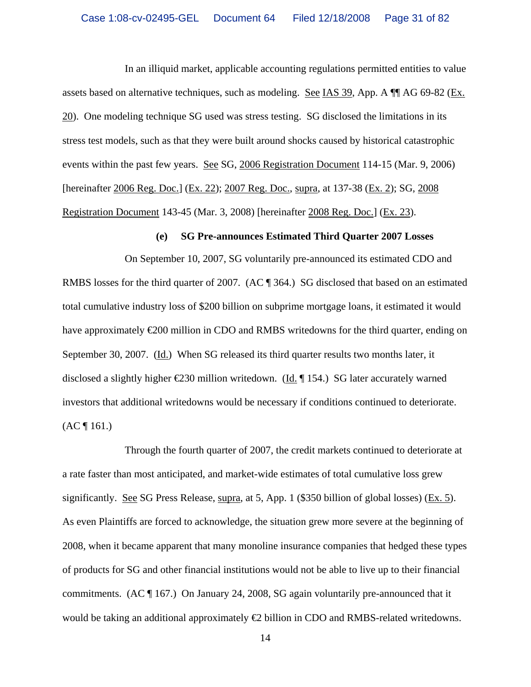In an illiquid market, applicable accounting regulations permitted entities to value assets based on alternative techniques, such as modeling. See IAS 39, App. A ¶¶ AG 69-82 (Ex. 20). One modeling technique SG used was stress testing. SG disclosed the limitations in its stress test models, such as that they were built around shocks caused by historical catastrophic events within the past few years. See SG, 2006 Registration Document 114-15 (Mar. 9, 2006) [hereinafter 2006 Reg. Doc.] (Ex. 22); 2007 Reg. Doc., supra, at 137-38 (Ex. 2); SG, 2008 Registration Document 143-45 (Mar. 3, 2008) [hereinafter 2008 Reg. Doc.] (Ex. 23).

#### **(e) SG Pre-announces Estimated Third Quarter 2007 Losses**

On September 10, 2007, SG voluntarily pre-announced its estimated CDO and RMBS losses for the third quarter of 2007. (AC ¶ 364.) SG disclosed that based on an estimated total cumulative industry loss of \$200 billion on subprime mortgage loans, it estimated it would have approximately €200 million in CDO and RMBS writedowns for the third quarter, ending on September 30, 2007. (Id.) When SG released its third quarter results two months later, it disclosed a slightly higher  $\epsilon$ 230 million writedown. (Id. ¶ 154.) SG later accurately warned investors that additional writedowns would be necessary if conditions continued to deteriorate.  $(AC \, \P \, 161.)$ 

Through the fourth quarter of 2007, the credit markets continued to deteriorate at a rate faster than most anticipated, and market-wide estimates of total cumulative loss grew significantly. See SG Press Release, supra, at 5, App. 1 (\$350 billion of global losses) (Ex. 5). As even Plaintiffs are forced to acknowledge, the situation grew more severe at the beginning of 2008, when it became apparent that many monoline insurance companies that hedged these types of products for SG and other financial institutions would not be able to live up to their financial commitments. (AC  $\P$  167.) On January 24, 2008, SG again voluntarily pre-announced that it would be taking an additional approximately  $\bigoplus$  billion in CDO and RMBS-related writedowns.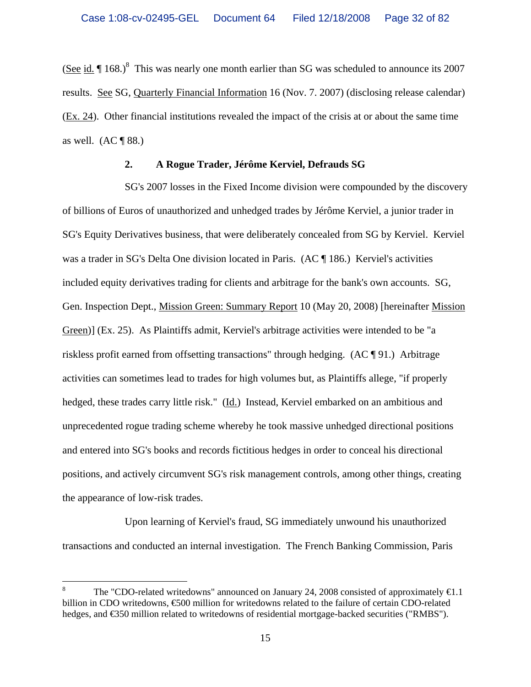(See id.  $\P$  168.)<sup>8</sup> This was nearly one month earlier than SG was scheduled to announce its 2007 results. See SG, Quarterly Financial Information 16 (Nov. 7. 2007) (disclosing release calendar) (Ex. 24). Other financial institutions revealed the impact of the crisis at or about the same time as well.  $(AC \parallel 88.)$ 

#### **2. A Rogue Trader, Jérôme Kerviel, Defrauds SG**

SG's 2007 losses in the Fixed Income division were compounded by the discovery of billions of Euros of unauthorized and unhedged trades by Jérôme Kerviel, a junior trader in SG's Equity Derivatives business, that were deliberately concealed from SG by Kerviel. Kerviel was a trader in SG's Delta One division located in Paris. (AC ¶ 186.) Kerviel's activities included equity derivatives trading for clients and arbitrage for the bank's own accounts. SG, Gen. Inspection Dept., Mission Green: Summary Report 10 (May 20, 2008) [hereinafter Mission Green)] (Ex. 25). As Plaintiffs admit, Kerviel's arbitrage activities were intended to be "a riskless profit earned from offsetting transactions" through hedging. (AC ¶ 91.) Arbitrage activities can sometimes lead to trades for high volumes but, as Plaintiffs allege, "if properly hedged, these trades carry little risk." (Id.) Instead, Kerviel embarked on an ambitious and unprecedented rogue trading scheme whereby he took massive unhedged directional positions and entered into SG's books and records fictitious hedges in order to conceal his directional positions, and actively circumvent SG's risk management controls, among other things, creating the appearance of low-risk trades.

Upon learning of Kerviel's fraud, SG immediately unwound his unauthorized transactions and conducted an internal investigation. The French Banking Commission, Paris

<sup>8</sup> The "CDO-related writedowns" announced on January 24, 2008 consisted of approximately  $\bigoplus$ .1 billion in CDO writedowns, €500 million for writedowns related to the failure of certain CDO-related hedges, and €350 million related to writedowns of residential mortgage-backed securities ("RMBS").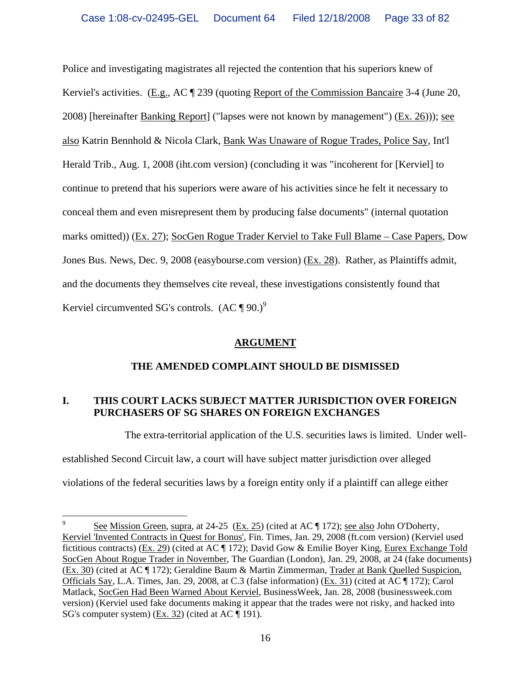Police and investigating magistrates all rejected the contention that his superiors knew of Kerviel's activities. (E.g., AC ¶ 239 (quoting Report of the Commission Bancaire 3-4 (June 20, 2008) [hereinafter Banking Report] ("lapses were not known by management") (Ex. 26))); see also Katrin Bennhold & Nicola Clark, Bank Was Unaware of Rogue Trades, Police Say, Int'l Herald Trib., Aug. 1, 2008 (iht.com version) (concluding it was "incoherent for [Kerviel] to continue to pretend that his superiors were aware of his activities since he felt it necessary to conceal them and even misrepresent them by producing false documents" (internal quotation marks omitted)) (Ex. 27); SocGen Rogue Trader Kerviel to Take Full Blame – Case Papers, Dow Jones Bus. News, Dec. 9, 2008 (easybourse.com version) (Ex. 28). Rather, as Plaintiffs admit, and the documents they themselves cite reveal, these investigations consistently found that Kerviel circumvented SG's controls.  $(AC \P 90.)^9$ 

### **ARGUMENT**

# **THE AMENDED COMPLAINT SHOULD BE DISMISSED**

# **I. THIS COURT LACKS SUBJECT MATTER JURISDICTION OVER FOREIGN PURCHASERS OF SG SHARES ON FOREIGN EXCHANGES**

The extra-territorial application of the U.S. securities laws is limited. Under well-

established Second Circuit law, a court will have subject matter jurisdiction over alleged

 $\overline{a}$ 

violations of the federal securities laws by a foreign entity only if a plaintiff can allege either

<sup>9</sup> See Mission Green, supra, at 24-25 (Ex. 25) (cited at AC ¶ 172); see also John O'Doherty, Kerviel 'Invented Contracts in Quest for Bonus', Fin. Times, Jan. 29, 2008 (ft.com version) (Kerviel used fictitious contracts) (Ex. 29) (cited at AC ¶ 172); David Gow & Emilie Boyer King, Eurex Exchange Told SocGen About Rogue Trader in November, The Guardian (London), Jan. 29, 2008, at 24 (fake documents) (Ex. 30) (cited at AC ¶ 172); Geraldine Baum & Martin Zimmerman, Trader at Bank Quelled Suspicion, Officials Say, L.A. Times, Jan. 29, 2008, at C.3 (false information) (Ex. 31) (cited at AC ¶ 172); Carol Matlack, SocGen Had Been Warned About Kerviel, BusinessWeek, Jan. 28, 2008 (businessweek.com version) (Kerviel used fake documents making it appear that the trades were not risky, and hacked into SG's computer system) (Ex. 32) (cited at AC ¶ 191).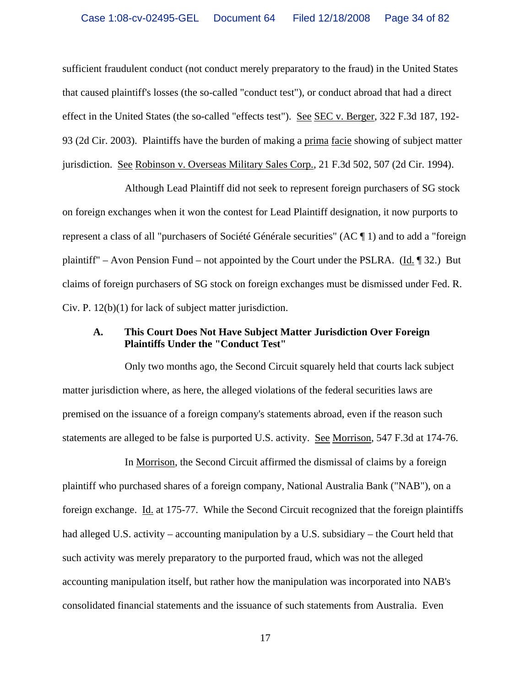sufficient fraudulent conduct (not conduct merely preparatory to the fraud) in the United States that caused plaintiff's losses (the so-called "conduct test"), or conduct abroad that had a direct effect in the United States (the so-called "effects test"). See SEC v. Berger, 322 F.3d 187, 192- 93 (2d Cir. 2003). Plaintiffs have the burden of making a prima facie showing of subject matter jurisdiction. See Robinson v. Overseas Military Sales Corp., 21 F.3d 502, 507 (2d Cir. 1994).

Although Lead Plaintiff did not seek to represent foreign purchasers of SG stock on foreign exchanges when it won the contest for Lead Plaintiff designation, it now purports to represent a class of all "purchasers of Société Générale securities" (AC ¶ 1) and to add a "foreign plaintiff" – Avon Pension Fund – not appointed by the Court under the PSLRA. (Id. ¶ 32.) But claims of foreign purchasers of SG stock on foreign exchanges must be dismissed under Fed. R. Civ. P. 12(b)(1) for lack of subject matter jurisdiction.

#### **A. This Court Does Not Have Subject Matter Jurisdiction Over Foreign Plaintiffs Under the "Conduct Test"**

Only two months ago, the Second Circuit squarely held that courts lack subject matter jurisdiction where, as here, the alleged violations of the federal securities laws are premised on the issuance of a foreign company's statements abroad, even if the reason such statements are alleged to be false is purported U.S. activity. See Morrison, 547 F.3d at 174-76.

In Morrison, the Second Circuit affirmed the dismissal of claims by a foreign plaintiff who purchased shares of a foreign company, National Australia Bank ("NAB"), on a foreign exchange. Id. at 175-77. While the Second Circuit recognized that the foreign plaintiffs had alleged U.S. activity – accounting manipulation by a U.S. subsidiary – the Court held that such activity was merely preparatory to the purported fraud, which was not the alleged accounting manipulation itself, but rather how the manipulation was incorporated into NAB's consolidated financial statements and the issuance of such statements from Australia. Even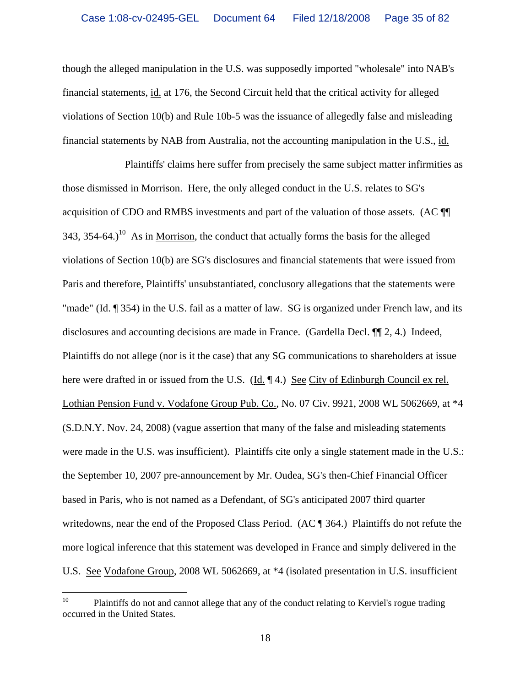though the alleged manipulation in the U.S. was supposedly imported "wholesale" into NAB's financial statements, id. at 176, the Second Circuit held that the critical activity for alleged violations of Section 10(b) and Rule 10b-5 was the issuance of allegedly false and misleading financial statements by NAB from Australia, not the accounting manipulation in the U.S., id.

Plaintiffs' claims here suffer from precisely the same subject matter infirmities as those dismissed in Morrison. Here, the only alleged conduct in the U.S. relates to SG's acquisition of CDO and RMBS investments and part of the valuation of those assets. (AC ¶¶ 343, 354-64.)<sup>10</sup> As in Morrison, the conduct that actually forms the basis for the alleged violations of Section 10(b) are SG's disclosures and financial statements that were issued from Paris and therefore, Plaintiffs' unsubstantiated, conclusory allegations that the statements were "made" (Id. ¶ 354) in the U.S. fail as a matter of law. SG is organized under French law, and its disclosures and accounting decisions are made in France. (Gardella Decl. ¶¶ 2, 4.) Indeed, Plaintiffs do not allege (nor is it the case) that any SG communications to shareholders at issue here were drafted in or issued from the U.S. (Id. ¶ 4.) See City of Edinburgh Council ex rel. Lothian Pension Fund v. Vodafone Group Pub. Co., No. 07 Civ. 9921, 2008 WL 5062669, at \*4 (S.D.N.Y. Nov. 24, 2008) (vague assertion that many of the false and misleading statements were made in the U.S. was insufficient). Plaintiffs cite only a single statement made in the U.S.: the September 10, 2007 pre-announcement by Mr. Oudea, SG's then-Chief Financial Officer based in Paris, who is not named as a Defendant, of SG's anticipated 2007 third quarter writedowns, near the end of the Proposed Class Period. (AC ¶ 364.) Plaintiffs do not refute the more logical inference that this statement was developed in France and simply delivered in the U.S. See Vodafone Group, 2008 WL 5062669, at \*4 (isolated presentation in U.S. insufficient

 $10\,$ 10 Plaintiffs do not and cannot allege that any of the conduct relating to Kerviel's rogue trading occurred in the United States.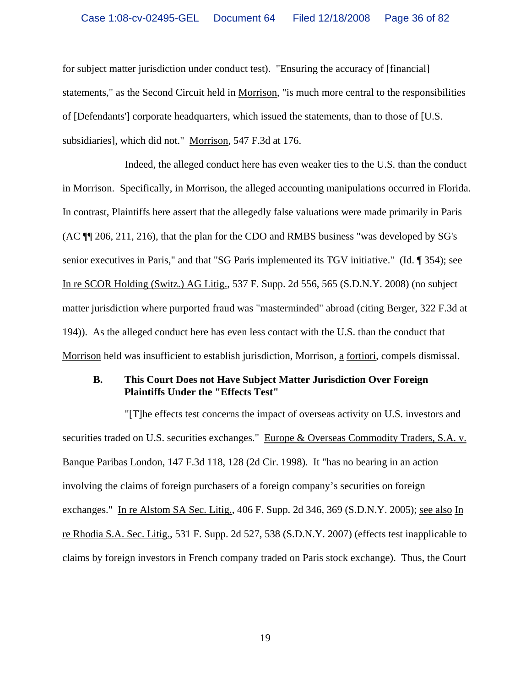for subject matter jurisdiction under conduct test). "Ensuring the accuracy of [financial] statements," as the Second Circuit held in Morrison, "is much more central to the responsibilities of [Defendants'] corporate headquarters, which issued the statements, than to those of [U.S. subsidiaries], which did not." Morrison, 547 F.3d at 176.

Indeed, the alleged conduct here has even weaker ties to the U.S. than the conduct in Morrison. Specifically, in Morrison, the alleged accounting manipulations occurred in Florida. In contrast, Plaintiffs here assert that the allegedly false valuations were made primarily in Paris (AC ¶¶ 206, 211, 216), that the plan for the CDO and RMBS business "was developed by SG's senior executives in Paris," and that "SG Paris implemented its TGV initiative." (Id. ¶ 354); see In re SCOR Holding (Switz.) AG Litig., 537 F. Supp. 2d 556, 565 (S.D.N.Y. 2008) (no subject matter jurisdiction where purported fraud was "masterminded" abroad (citing Berger, 322 F.3d at 194)). As the alleged conduct here has even less contact with the U.S. than the conduct that Morrison held was insufficient to establish jurisdiction, Morrison, a fortiori, compels dismissal.

### **B. This Court Does not Have Subject Matter Jurisdiction Over Foreign Plaintiffs Under the "Effects Test"**

"[T]he effects test concerns the impact of overseas activity on U.S. investors and securities traded on U.S. securities exchanges." Europe & Overseas Commodity Traders, S.A. v. Banque Paribas London, 147 F.3d 118, 128 (2d Cir. 1998). It "has no bearing in an action involving the claims of foreign purchasers of a foreign company's securities on foreign exchanges." In re Alstom SA Sec. Litig., 406 F. Supp. 2d 346, 369 (S.D.N.Y. 2005); see also In re Rhodia S.A. Sec. Litig., 531 F. Supp. 2d 527, 538 (S.D.N.Y. 2007) (effects test inapplicable to claims by foreign investors in French company traded on Paris stock exchange). Thus, the Court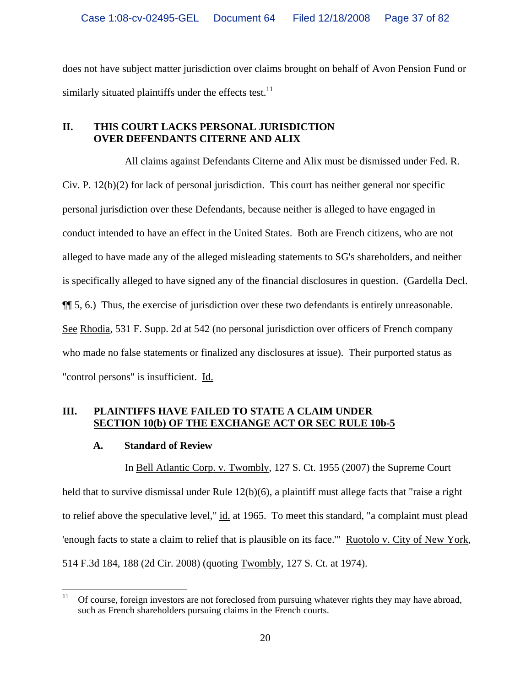does not have subject matter jurisdiction over claims brought on behalf of Avon Pension Fund or similarly situated plaintiffs under the effects test. $^{11}$ 

# **II. THIS COURT LACKS PERSONAL JURISDICTION OVER DEFENDANTS CITERNE AND ALIX**

All claims against Defendants Citerne and Alix must be dismissed under Fed. R. Civ. P. 12(b)(2) for lack of personal jurisdiction. This court has neither general nor specific personal jurisdiction over these Defendants, because neither is alleged to have engaged in conduct intended to have an effect in the United States. Both are French citizens, who are not alleged to have made any of the alleged misleading statements to SG's shareholders, and neither is specifically alleged to have signed any of the financial disclosures in question. (Gardella Decl. ¶¶ 5, 6.) Thus, the exercise of jurisdiction over these two defendants is entirely unreasonable. See Rhodia, 531 F. Supp. 2d at 542 (no personal jurisdiction over officers of French company who made no false statements or finalized any disclosures at issue). Their purported status as "control persons" is insufficient. Id.

# **III. PLAINTIFFS HAVE FAILED TO STATE A CLAIM UNDER SECTION 10(b) OF THE EXCHANGE ACT OR SEC RULE 10b-5**

# **A. Standard of Review**

In Bell Atlantic Corp. v. Twombly, 127 S. Ct. 1955 (2007) the Supreme Court held that to survive dismissal under Rule 12(b)(6), a plaintiff must allege facts that "raise a right to relief above the speculative level," id. at 1965. To meet this standard, "a complaint must plead 'enough facts to state a claim to relief that is plausible on its face.'" Ruotolo v. City of New York, 514 F.3d 184, 188 (2d Cir. 2008) (quoting Twombly, 127 S. Ct. at 1974).

 $11\,$ 11 Of course, foreign investors are not foreclosed from pursuing whatever rights they may have abroad, such as French shareholders pursuing claims in the French courts.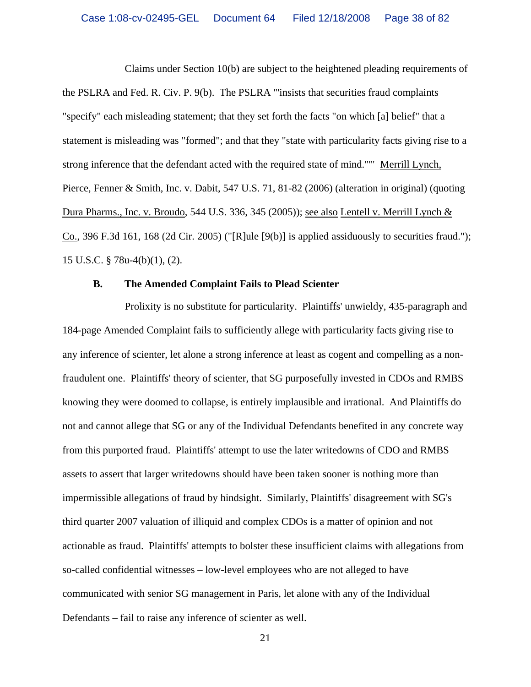Claims under Section 10(b) are subject to the heightened pleading requirements of the PSLRA and Fed. R. Civ. P. 9(b). The PSLRA "'insists that securities fraud complaints "specify" each misleading statement; that they set forth the facts "on which [a] belief" that a statement is misleading was "formed"; and that they "state with particularity facts giving rise to a strong inference that the defendant acted with the required state of mind."'" Merrill Lynch, Pierce, Fenner & Smith, Inc. v. Dabit, 547 U.S. 71, 81-82 (2006) (alteration in original) (quoting Dura Pharms., Inc. v. Broudo, 544 U.S. 336, 345 (2005)); see also Lentell v. Merrill Lynch & Co., 396 F.3d 161, 168 (2d Cir. 2005) ("[R]ule [9(b)] is applied assiduously to securities fraud."); 15 U.S.C. § 78u-4(b)(1), (2).

#### **B. The Amended Complaint Fails to Plead Scienter**

Prolixity is no substitute for particularity. Plaintiffs' unwieldy, 435-paragraph and 184-page Amended Complaint fails to sufficiently allege with particularity facts giving rise to any inference of scienter, let alone a strong inference at least as cogent and compelling as a nonfraudulent one. Plaintiffs' theory of scienter, that SG purposefully invested in CDOs and RMBS knowing they were doomed to collapse, is entirely implausible and irrational. And Plaintiffs do not and cannot allege that SG or any of the Individual Defendants benefited in any concrete way from this purported fraud. Plaintiffs' attempt to use the later writedowns of CDO and RMBS assets to assert that larger writedowns should have been taken sooner is nothing more than impermissible allegations of fraud by hindsight. Similarly, Plaintiffs' disagreement with SG's third quarter 2007 valuation of illiquid and complex CDOs is a matter of opinion and not actionable as fraud. Plaintiffs' attempts to bolster these insufficient claims with allegations from so-called confidential witnesses – low-level employees who are not alleged to have communicated with senior SG management in Paris, let alone with any of the Individual Defendants – fail to raise any inference of scienter as well.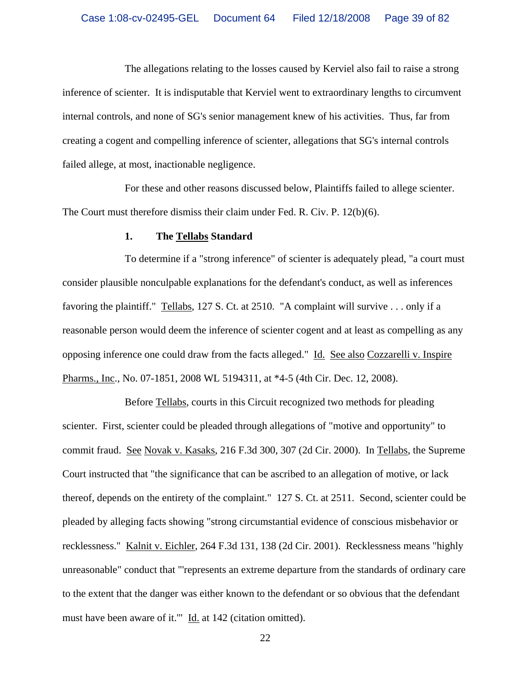The allegations relating to the losses caused by Kerviel also fail to raise a strong inference of scienter. It is indisputable that Kerviel went to extraordinary lengths to circumvent internal controls, and none of SG's senior management knew of his activities. Thus, far from creating a cogent and compelling inference of scienter, allegations that SG's internal controls failed allege, at most, inactionable negligence.

For these and other reasons discussed below, Plaintiffs failed to allege scienter. The Court must therefore dismiss their claim under Fed. R. Civ. P. 12(b)(6).

#### **1. The Tellabs Standard**

To determine if a "strong inference" of scienter is adequately plead, "a court must consider plausible nonculpable explanations for the defendant's conduct, as well as inferences favoring the plaintiff." Tellabs, 127 S. Ct. at 2510. "A complaint will survive . . . only if a reasonable person would deem the inference of scienter cogent and at least as compelling as any opposing inference one could draw from the facts alleged." Id. See also Cozzarelli v. Inspire Pharms., Inc., No. 07-1851, 2008 WL 5194311, at \*4-5 (4th Cir. Dec. 12, 2008).

Before Tellabs, courts in this Circuit recognized two methods for pleading scienter. First, scienter could be pleaded through allegations of "motive and opportunity" to commit fraud. See Novak v. Kasaks, 216 F.3d 300, 307 (2d Cir. 2000). In Tellabs, the Supreme Court instructed that "the significance that can be ascribed to an allegation of motive, or lack thereof, depends on the entirety of the complaint." 127 S. Ct. at 2511. Second, scienter could be pleaded by alleging facts showing "strong circumstantial evidence of conscious misbehavior or recklessness." Kalnit v. Eichler, 264 F.3d 131, 138 (2d Cir. 2001). Recklessness means "highly unreasonable" conduct that "'represents an extreme departure from the standards of ordinary care to the extent that the danger was either known to the defendant or so obvious that the defendant must have been aware of it." Id. at 142 (citation omitted).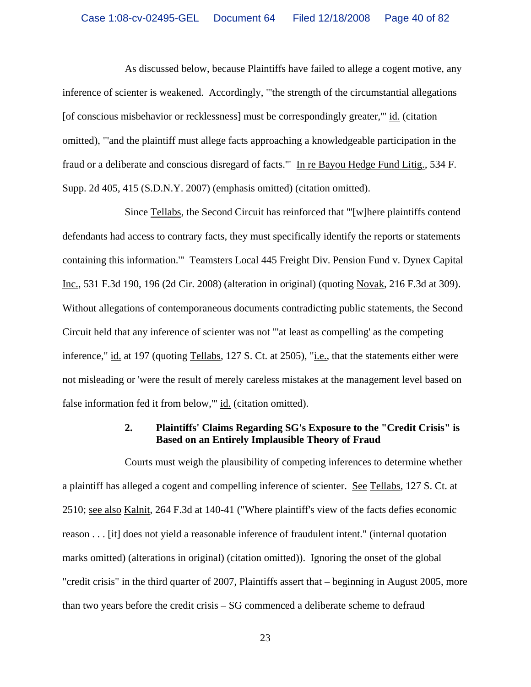As discussed below, because Plaintiffs have failed to allege a cogent motive, any inference of scienter is weakened. Accordingly, "'the strength of the circumstantial allegations [of conscious misbehavior or recklessness] must be correspondingly greater,'" id. (citation omitted), "'and the plaintiff must allege facts approaching a knowledgeable participation in the fraud or a deliberate and conscious disregard of facts.'" In re Bayou Hedge Fund Litig., 534 F. Supp. 2d 405, 415 (S.D.N.Y. 2007) (emphasis omitted) (citation omitted).

Since Tellabs, the Second Circuit has reinforced that "'[w]here plaintiffs contend defendants had access to contrary facts, they must specifically identify the reports or statements containing this information.'" Teamsters Local 445 Freight Div. Pension Fund v. Dynex Capital Inc., 531 F.3d 190, 196 (2d Cir. 2008) (alteration in original) (quoting Novak, 216 F.3d at 309). Without allegations of contemporaneous documents contradicting public statements, the Second Circuit held that any inference of scienter was not "'at least as compelling' as the competing inference," id. at 197 (quoting Tellabs, 127 S. Ct. at 2505), "i.e., that the statements either were not misleading or 'were the result of merely careless mistakes at the management level based on false information fed it from below," id. (citation omitted).

## **2. Plaintiffs' Claims Regarding SG's Exposure to the "Credit Crisis" is Based on an Entirely Implausible Theory of Fraud**

Courts must weigh the plausibility of competing inferences to determine whether a plaintiff has alleged a cogent and compelling inference of scienter. See Tellabs, 127 S. Ct. at 2510; see also Kalnit, 264 F.3d at 140-41 ("Where plaintiff's view of the facts defies economic reason . . . [it] does not yield a reasonable inference of fraudulent intent." (internal quotation marks omitted) (alterations in original) (citation omitted)). Ignoring the onset of the global "credit crisis" in the third quarter of 2007, Plaintiffs assert that – beginning in August 2005, more than two years before the credit crisis – SG commenced a deliberate scheme to defraud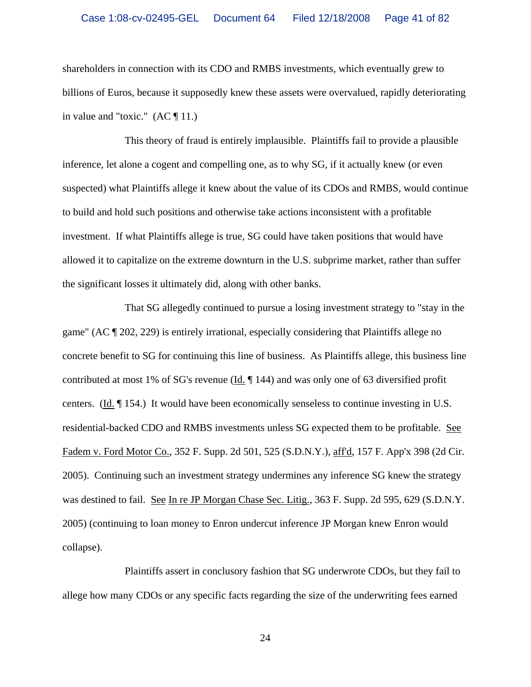shareholders in connection with its CDO and RMBS investments, which eventually grew to billions of Euros, because it supposedly knew these assets were overvalued, rapidly deteriorating in value and "toxic."  $(AC \parallel 11.)$ 

This theory of fraud is entirely implausible. Plaintiffs fail to provide a plausible inference, let alone a cogent and compelling one, as to why SG, if it actually knew (or even suspected) what Plaintiffs allege it knew about the value of its CDOs and RMBS, would continue to build and hold such positions and otherwise take actions inconsistent with a profitable investment. If what Plaintiffs allege is true, SG could have taken positions that would have allowed it to capitalize on the extreme downturn in the U.S. subprime market, rather than suffer the significant losses it ultimately did, along with other banks.

That SG allegedly continued to pursue a losing investment strategy to "stay in the game" (AC ¶ 202, 229) is entirely irrational, especially considering that Plaintiffs allege no concrete benefit to SG for continuing this line of business. As Plaintiffs allege, this business line contributed at most 1% of SG's revenue ( $\underline{Id}$ ,  $\P$  144) and was only one of 63 diversified profit centers. (Id. ¶ 154.) It would have been economically senseless to continue investing in U.S. residential-backed CDO and RMBS investments unless SG expected them to be profitable. See Fadem v. Ford Motor Co., 352 F. Supp. 2d 501, 525 (S.D.N.Y.), aff'd, 157 F. App'x 398 (2d Cir. 2005). Continuing such an investment strategy undermines any inference SG knew the strategy was destined to fail. See In re JP Morgan Chase Sec. Litig., 363 F. Supp. 2d 595, 629 (S.D.N.Y. 2005) (continuing to loan money to Enron undercut inference JP Morgan knew Enron would collapse).

Plaintiffs assert in conclusory fashion that SG underwrote CDOs, but they fail to allege how many CDOs or any specific facts regarding the size of the underwriting fees earned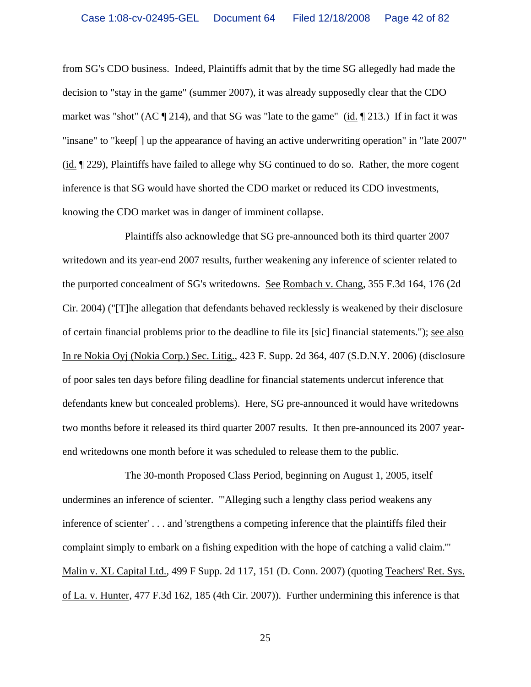from SG's CDO business. Indeed, Plaintiffs admit that by the time SG allegedly had made the decision to "stay in the game" (summer 2007), it was already supposedly clear that the CDO market was "shot" (AC  $\P$  214), and that SG was "late to the game" (id.  $\P$  213.) If in fact it was "insane" to "keep[ ] up the appearance of having an active underwriting operation" in "late 2007" (id. ¶ 229), Plaintiffs have failed to allege why SG continued to do so. Rather, the more cogent inference is that SG would have shorted the CDO market or reduced its CDO investments, knowing the CDO market was in danger of imminent collapse.

Plaintiffs also acknowledge that SG pre-announced both its third quarter 2007 writedown and its year-end 2007 results, further weakening any inference of scienter related to the purported concealment of SG's writedowns. See Rombach v. Chang, 355 F.3d 164, 176 (2d Cir. 2004) ("[T]he allegation that defendants behaved recklessly is weakened by their disclosure of certain financial problems prior to the deadline to file its [sic] financial statements."); see also In re Nokia Oyj (Nokia Corp.) Sec. Litig., 423 F. Supp. 2d 364, 407 (S.D.N.Y. 2006) (disclosure of poor sales ten days before filing deadline for financial statements undercut inference that defendants knew but concealed problems). Here, SG pre-announced it would have writedowns two months before it released its third quarter 2007 results. It then pre-announced its 2007 yearend writedowns one month before it was scheduled to release them to the public.

The 30-month Proposed Class Period, beginning on August 1, 2005, itself undermines an inference of scienter. "'Alleging such a lengthy class period weakens any inference of scienter' . . . and 'strengthens a competing inference that the plaintiffs filed their complaint simply to embark on a fishing expedition with the hope of catching a valid claim.'" Malin v. XL Capital Ltd., 499 F Supp. 2d 117, 151 (D. Conn. 2007) (quoting Teachers' Ret. Sys. of La. v. Hunter, 477 F.3d 162, 185 (4th Cir. 2007)). Further undermining this inference is that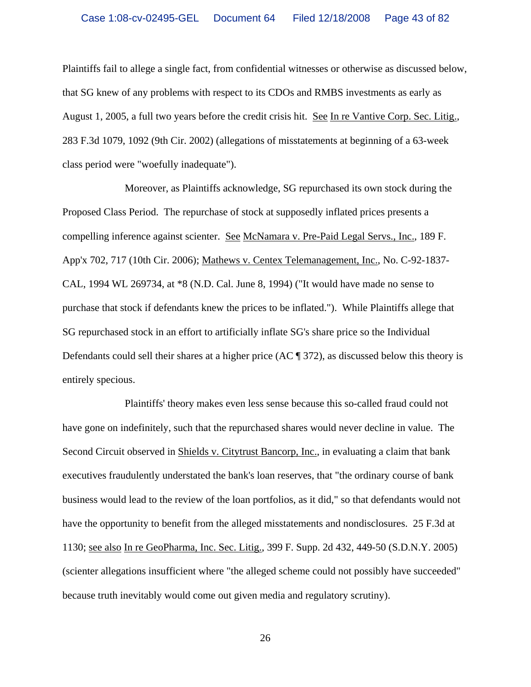Plaintiffs fail to allege a single fact, from confidential witnesses or otherwise as discussed below, that SG knew of any problems with respect to its CDOs and RMBS investments as early as August 1, 2005, a full two years before the credit crisis hit. See In re Vantive Corp. Sec. Litig., 283 F.3d 1079, 1092 (9th Cir. 2002) (allegations of misstatements at beginning of a 63-week class period were "woefully inadequate").

Moreover, as Plaintiffs acknowledge, SG repurchased its own stock during the Proposed Class Period. The repurchase of stock at supposedly inflated prices presents a compelling inference against scienter. See McNamara v. Pre-Paid Legal Servs., Inc., 189 F. App'x 702, 717 (10th Cir. 2006); Mathews v. Centex Telemanagement, Inc., No. C-92-1837- CAL, 1994 WL 269734, at \*8 (N.D. Cal. June 8, 1994) ("It would have made no sense to purchase that stock if defendants knew the prices to be inflated."). While Plaintiffs allege that SG repurchased stock in an effort to artificially inflate SG's share price so the Individual Defendants could sell their shares at a higher price (AC ¶ 372), as discussed below this theory is entirely specious.

Plaintiffs' theory makes even less sense because this so-called fraud could not have gone on indefinitely, such that the repurchased shares would never decline in value. The Second Circuit observed in Shields v. Citytrust Bancorp, Inc., in evaluating a claim that bank executives fraudulently understated the bank's loan reserves, that "the ordinary course of bank business would lead to the review of the loan portfolios, as it did," so that defendants would not have the opportunity to benefit from the alleged misstatements and nondisclosures. 25 F.3d at 1130; see also In re GeoPharma, Inc. Sec. Litig., 399 F. Supp. 2d 432, 449-50 (S.D.N.Y. 2005) (scienter allegations insufficient where "the alleged scheme could not possibly have succeeded" because truth inevitably would come out given media and regulatory scrutiny).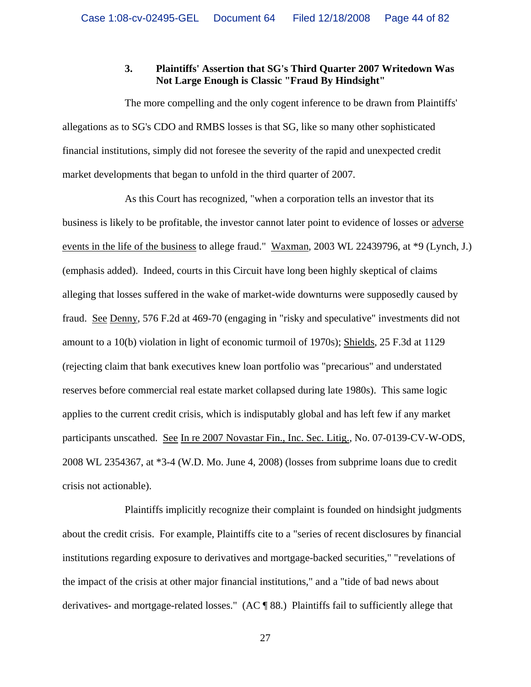## **3. Plaintiffs' Assertion that SG's Third Quarter 2007 Writedown Was Not Large Enough is Classic "Fraud By Hindsight"**

The more compelling and the only cogent inference to be drawn from Plaintiffs' allegations as to SG's CDO and RMBS losses is that SG, like so many other sophisticated financial institutions, simply did not foresee the severity of the rapid and unexpected credit market developments that began to unfold in the third quarter of 2007.

As this Court has recognized, "when a corporation tells an investor that its business is likely to be profitable, the investor cannot later point to evidence of losses or adverse events in the life of the business to allege fraud." Waxman, 2003 WL 22439796, at \*9 (Lynch, J.) (emphasis added). Indeed, courts in this Circuit have long been highly skeptical of claims alleging that losses suffered in the wake of market-wide downturns were supposedly caused by fraud. See Denny, 576 F.2d at 469-70 (engaging in "risky and speculative" investments did not amount to a 10(b) violation in light of economic turmoil of 1970s); Shields, 25 F.3d at 1129 (rejecting claim that bank executives knew loan portfolio was "precarious" and understated reserves before commercial real estate market collapsed during late 1980s). This same logic applies to the current credit crisis, which is indisputably global and has left few if any market participants unscathed. See In re 2007 Novastar Fin., Inc. Sec. Litig., No. 07-0139-CV-W-ODS, 2008 WL 2354367, at \*3-4 (W.D. Mo. June 4, 2008) (losses from subprime loans due to credit crisis not actionable).

Plaintiffs implicitly recognize their complaint is founded on hindsight judgments about the credit crisis. For example, Plaintiffs cite to a "series of recent disclosures by financial institutions regarding exposure to derivatives and mortgage-backed securities," "revelations of the impact of the crisis at other major financial institutions," and a "tide of bad news about derivatives- and mortgage-related losses." (AC ¶ 88.) Plaintiffs fail to sufficiently allege that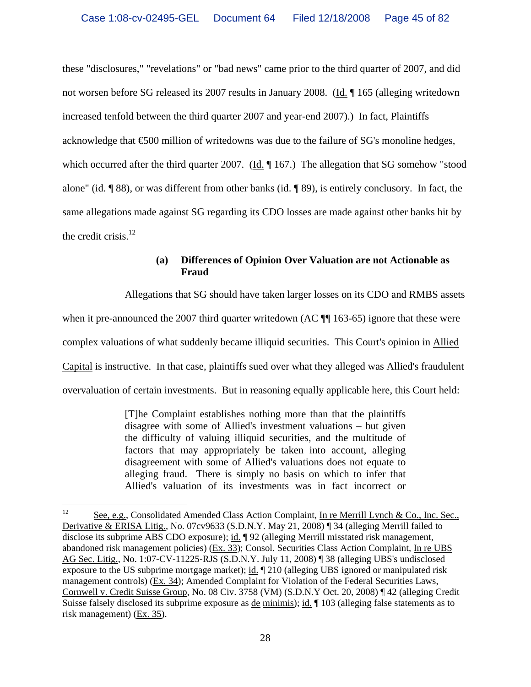these "disclosures," "revelations" or "bad news" came prior to the third quarter of 2007, and did not worsen before SG released its 2007 results in January 2008. (Id. ¶ 165 (alleging writedown increased tenfold between the third quarter 2007 and year-end 2007).) In fact, Plaintiffs acknowledge that €500 million of writedowns was due to the failure of SG's monoline hedges, which occurred after the third quarter 2007. (Id. 167.) The allegation that SG somehow "stood alone" (id. ¶ 88), or was different from other banks (id. ¶ 89), is entirely conclusory. In fact, the same allegations made against SG regarding its CDO losses are made against other banks hit by the credit crisis. $^{12}$ 

# **(a) Differences of Opinion Over Valuation are not Actionable as Fraud**

Allegations that SG should have taken larger losses on its CDO and RMBS assets

when it pre-announced the 2007 third quarter writedown (AC  $\P$  163-65) ignore that these were

complex valuations of what suddenly became illiquid securities. This Court's opinion in Allied

Capital is instructive. In that case, plaintiffs sued over what they alleged was Allied's fraudulent

overvaluation of certain investments. But in reasoning equally applicable here, this Court held:

[T]he Complaint establishes nothing more than that the plaintiffs disagree with some of Allied's investment valuations – but given the difficulty of valuing illiquid securities, and the multitude of factors that may appropriately be taken into account, alleging disagreement with some of Allied's valuations does not equate to alleging fraud. There is simply no basis on which to infer that Allied's valuation of its investments was in fact incorrect or

 $12 \,$ See, e.g., Consolidated Amended Class Action Complaint, In re Merrill Lynch & Co., Inc. Sec., Derivative & ERISA Litig., No. 07cv9633 (S.D.N.Y. May 21, 2008) ¶ 34 (alleging Merrill failed to disclose its subprime ABS CDO exposure); id. ¶ 92 (alleging Merrill misstated risk management, abandoned risk management policies) (Ex. 33); Consol. Securities Class Action Complaint, In re UBS AG Sec. Litig., No. 1:07-CV-11225-RJS (S.D.N.Y. July 11, 2008) ¶ 38 (alleging UBS's undisclosed exposure to the US subprime mortgage market); id. ¶ 210 (alleging UBS ignored or manipulated risk management controls) (Ex. 34); Amended Complaint for Violation of the Federal Securities Laws, Cornwell v. Credit Suisse Group, No. 08 Civ. 3758 (VM) (S.D.N.Y Oct. 20, 2008) ¶ 42 (alleging Credit Suisse falsely disclosed its subprime exposure as <u>de minimis</u>); id. ¶ 103 (alleging false statements as to risk management) (Ex. 35).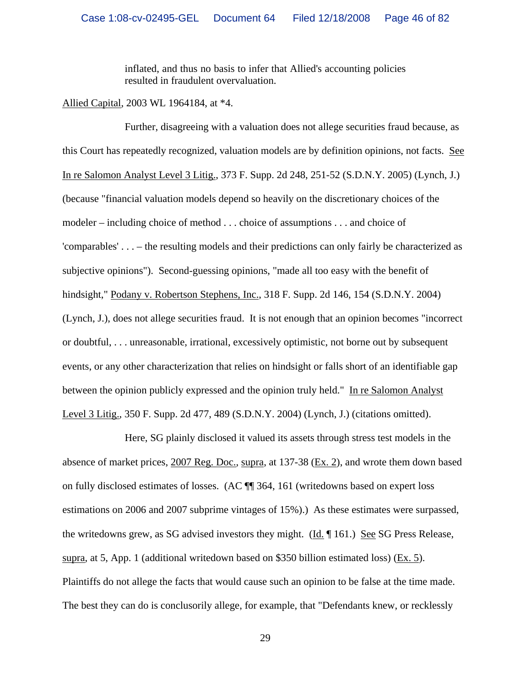inflated, and thus no basis to infer that Allied's accounting policies resulted in fraudulent overvaluation.

Allied Capital, 2003 WL 1964184, at \*4.

Further, disagreeing with a valuation does not allege securities fraud because, as this Court has repeatedly recognized, valuation models are by definition opinions, not facts. See In re Salomon Analyst Level 3 Litig., 373 F. Supp. 2d 248, 251-52 (S.D.N.Y. 2005) (Lynch, J.) (because "financial valuation models depend so heavily on the discretionary choices of the modeler – including choice of method . . . choice of assumptions . . . and choice of 'comparables' . . . – the resulting models and their predictions can only fairly be characterized as subjective opinions"). Second-guessing opinions, "made all too easy with the benefit of hindsight," Podany v. Robertson Stephens, Inc., 318 F. Supp. 2d 146, 154 (S.D.N.Y. 2004) (Lynch, J.), does not allege securities fraud. It is not enough that an opinion becomes "incorrect or doubtful, . . . unreasonable, irrational, excessively optimistic, not borne out by subsequent events, or any other characterization that relies on hindsight or falls short of an identifiable gap between the opinion publicly expressed and the opinion truly held." In re Salomon Analyst Level 3 Litig., 350 F. Supp. 2d 477, 489 (S.D.N.Y. 2004) (Lynch, J.) (citations omitted).

Here, SG plainly disclosed it valued its assets through stress test models in the absence of market prices, 2007 Reg. Doc., supra, at 137-38 (Ex. 2), and wrote them down based on fully disclosed estimates of losses. (AC ¶¶ 364, 161 (writedowns based on expert loss estimations on 2006 and 2007 subprime vintages of 15%).) As these estimates were surpassed, the writedowns grew, as SG advised investors they might. (Id. ¶ 161.) See SG Press Release, supra, at 5, App. 1 (additional writedown based on \$350 billion estimated loss) (Ex. 5). Plaintiffs do not allege the facts that would cause such an opinion to be false at the time made. The best they can do is conclusorily allege, for example, that "Defendants knew, or recklessly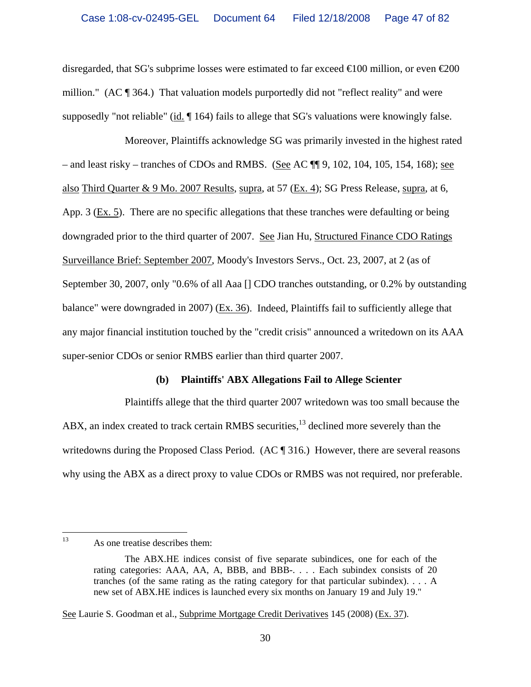disregarded, that SG's subprime losses were estimated to far exceed  $\infty$  00 million, or even  $\infty$ million." (AC ¶ 364.) That valuation models purportedly did not "reflect reality" and were supposedly "not reliable" (id. ¶ 164) fails to allege that SG's valuations were knowingly false.

Moreover, Plaintiffs acknowledge SG was primarily invested in the highest rated – and least risky – tranches of CDOs and RMBS. (See AC  $\P$ ] 9, 102, 104, 105, 154, 168); see also Third Quarter & 9 Mo. 2007 Results, supra, at 57 (Ex. 4); SG Press Release, supra, at 6, App. 3 (Ex. 5). There are no specific allegations that these tranches were defaulting or being downgraded prior to the third quarter of 2007. See Jian Hu, Structured Finance CDO Ratings Surveillance Brief: September 2007, Moody's Investors Servs., Oct. 23, 2007, at 2 (as of September 30, 2007, only "0.6% of all Aaa [] CDO tranches outstanding, or 0.2% by outstanding balance" were downgraded in 2007) (Ex. 36). Indeed, Plaintiffs fail to sufficiently allege that any major financial institution touched by the "credit crisis" announced a writedown on its AAA super-senior CDOs or senior RMBS earlier than third quarter 2007.

#### **(b) Plaintiffs' ABX Allegations Fail to Allege Scienter**

Plaintiffs allege that the third quarter 2007 writedown was too small because the ABX, an index created to track certain RMBS securities,<sup>13</sup> declined more severely than the writedowns during the Proposed Class Period. (AC  $\P$  316.) However, there are several reasons why using the ABX as a direct proxy to value CDOs or RMBS was not required, nor preferable.

See Laurie S. Goodman et al., Subprime Mortgage Credit Derivatives 145 (2008) (Ex. 37).

<sup>13</sup> As one treatise describes them:

The ABX.HE indices consist of five separate subindices, one for each of the rating categories: AAA, AA, A, BBB, and BBB-. . . . Each subindex consists of 20 tranches (of the same rating as the rating category for that particular subindex). . . . A new set of ABX.HE indices is launched every six months on January 19 and July 19."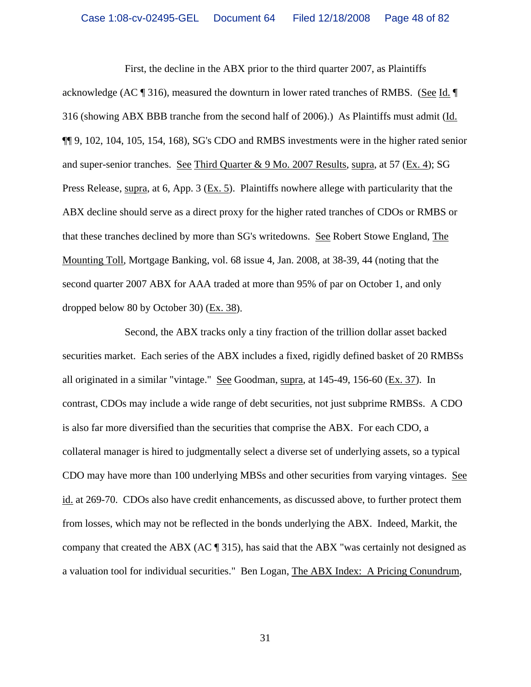First, the decline in the ABX prior to the third quarter 2007, as Plaintiffs acknowledge (AC ¶ 316), measured the downturn in lower rated tranches of RMBS. (See Id. ¶ 316 (showing ABX BBB tranche from the second half of 2006).) As Plaintiffs must admit (Id. ¶¶ 9, 102, 104, 105, 154, 168), SG's CDO and RMBS investments were in the higher rated senior and super-senior tranches. See Third Quarter & 9 Mo. 2007 Results, supra, at 57 (Ex. 4); SG Press Release, supra, at 6, App. 3 (Ex. 5). Plaintiffs nowhere allege with particularity that the ABX decline should serve as a direct proxy for the higher rated tranches of CDOs or RMBS or that these tranches declined by more than SG's writedowns. See Robert Stowe England, The Mounting Toll, Mortgage Banking, vol. 68 issue 4, Jan. 2008, at 38-39, 44 (noting that the second quarter 2007 ABX for AAA traded at more than 95% of par on October 1, and only dropped below 80 by October 30) (Ex. 38).

Second, the ABX tracks only a tiny fraction of the trillion dollar asset backed securities market. Each series of the ABX includes a fixed, rigidly defined basket of 20 RMBSs all originated in a similar "vintage." See Goodman, supra, at 145-49, 156-60 (Ex. 37). In contrast, CDOs may include a wide range of debt securities, not just subprime RMBSs. A CDO is also far more diversified than the securities that comprise the ABX. For each CDO, a collateral manager is hired to judgmentally select a diverse set of underlying assets, so a typical CDO may have more than 100 underlying MBSs and other securities from varying vintages. See id. at 269-70. CDOs also have credit enhancements, as discussed above, to further protect them from losses, which may not be reflected in the bonds underlying the ABX. Indeed, Markit, the company that created the ABX (AC ¶ 315), has said that the ABX "was certainly not designed as a valuation tool for individual securities." Ben Logan, The ABX Index: A Pricing Conundrum,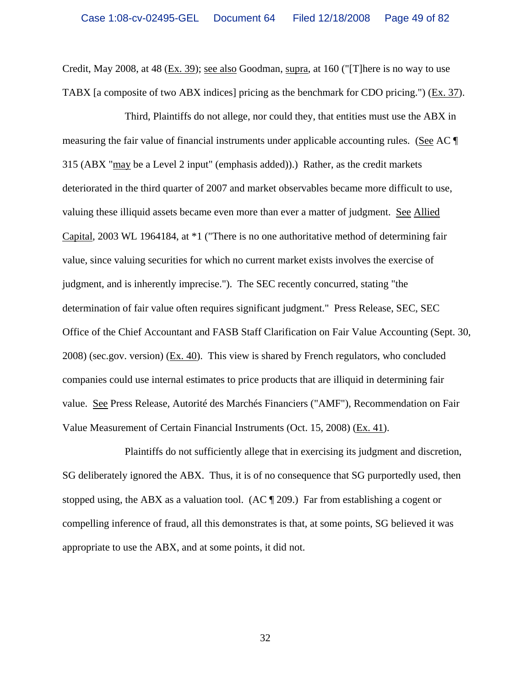Credit, May 2008, at 48 (Ex. 39); see also Goodman, supra, at 160 ("[T]here is no way to use TABX [a composite of two ABX indices] pricing as the benchmark for CDO pricing.") (Ex. 37).

Third, Plaintiffs do not allege, nor could they, that entities must use the ABX in measuring the fair value of financial instruments under applicable accounting rules. (See AC ¶ 315 (ABX "may be a Level 2 input" (emphasis added)).) Rather, as the credit markets deteriorated in the third quarter of 2007 and market observables became more difficult to use, valuing these illiquid assets became even more than ever a matter of judgment. See Allied Capital, 2003 WL 1964184, at \*1 ("There is no one authoritative method of determining fair value, since valuing securities for which no current market exists involves the exercise of judgment, and is inherently imprecise."). The SEC recently concurred, stating "the determination of fair value often requires significant judgment." Press Release, SEC, SEC Office of the Chief Accountant and FASB Staff Clarification on Fair Value Accounting (Sept. 30, 2008) (sec.gov. version) (Ex. 40). This view is shared by French regulators, who concluded companies could use internal estimates to price products that are illiquid in determining fair value. See Press Release, Autorité des Marchés Financiers ("AMF"), Recommendation on Fair Value Measurement of Certain Financial Instruments (Oct. 15, 2008) (Ex. 41).

Plaintiffs do not sufficiently allege that in exercising its judgment and discretion, SG deliberately ignored the ABX. Thus, it is of no consequence that SG purportedly used, then stopped using, the ABX as a valuation tool. (AC  $\parallel$  209.) Far from establishing a cogent or compelling inference of fraud, all this demonstrates is that, at some points, SG believed it was appropriate to use the ABX, and at some points, it did not.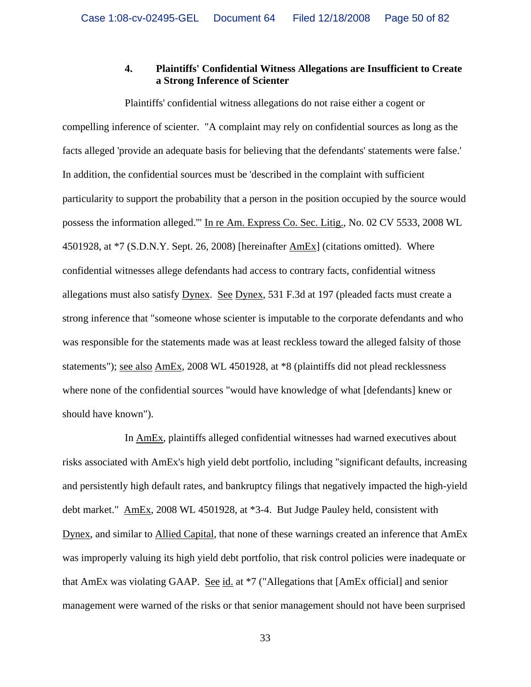## **4. Plaintiffs' Confidential Witness Allegations are Insufficient to Create a Strong Inference of Scienter**

Plaintiffs' confidential witness allegations do not raise either a cogent or compelling inference of scienter. "A complaint may rely on confidential sources as long as the facts alleged 'provide an adequate basis for believing that the defendants' statements were false.' In addition, the confidential sources must be 'described in the complaint with sufficient particularity to support the probability that a person in the position occupied by the source would possess the information alleged.'" In re Am. Express Co. Sec. Litig., No. 02 CV 5533, 2008 WL 4501928, at \*7 (S.D.N.Y. Sept. 26, 2008) [hereinafter AmEx] (citations omitted). Where confidential witnesses allege defendants had access to contrary facts, confidential witness allegations must also satisfy Dynex. See Dynex, 531 F.3d at 197 (pleaded facts must create a strong inference that "someone whose scienter is imputable to the corporate defendants and who was responsible for the statements made was at least reckless toward the alleged falsity of those statements"); see also AmEx, 2008 WL 4501928, at \*8 (plaintiffs did not plead recklessness where none of the confidential sources "would have knowledge of what [defendants] knew or should have known").

In AmEx, plaintiffs alleged confidential witnesses had warned executives about risks associated with AmEx's high yield debt portfolio, including "significant defaults, increasing and persistently high default rates, and bankruptcy filings that negatively impacted the high-yield debt market." AmEx, 2008 WL 4501928, at \*3-4. But Judge Pauley held, consistent with Dynex, and similar to Allied Capital, that none of these warnings created an inference that AmEx was improperly valuing its high yield debt portfolio, that risk control policies were inadequate or that AmEx was violating GAAP. See id. at \*7 ("Allegations that [AmEx official] and senior management were warned of the risks or that senior management should not have been surprised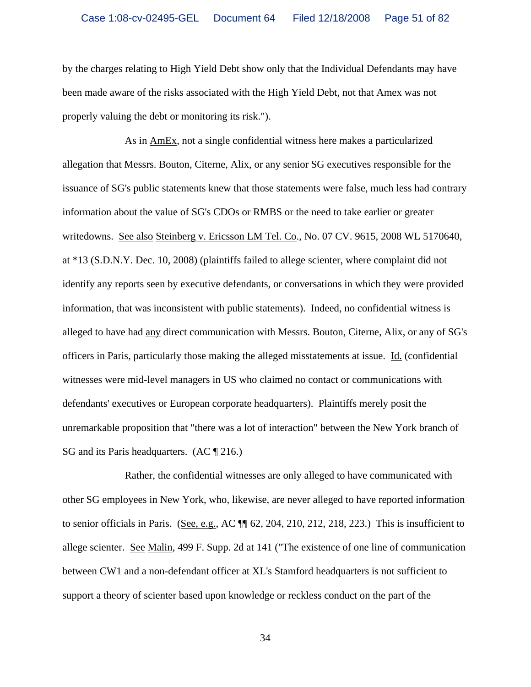by the charges relating to High Yield Debt show only that the Individual Defendants may have been made aware of the risks associated with the High Yield Debt, not that Amex was not properly valuing the debt or monitoring its risk.").

As in AmEx, not a single confidential witness here makes a particularized allegation that Messrs. Bouton, Citerne, Alix, or any senior SG executives responsible for the issuance of SG's public statements knew that those statements were false, much less had contrary information about the value of SG's CDOs or RMBS or the need to take earlier or greater writedowns. See also Steinberg v. Ericsson LM Tel. Co., No. 07 CV. 9615, 2008 WL 5170640, at \*13 (S.D.N.Y. Dec. 10, 2008) (plaintiffs failed to allege scienter, where complaint did not identify any reports seen by executive defendants, or conversations in which they were provided information, that was inconsistent with public statements). Indeed, no confidential witness is alleged to have had any direct communication with Messrs. Bouton, Citerne, Alix, or any of SG's officers in Paris, particularly those making the alleged misstatements at issue. Id. (confidential witnesses were mid-level managers in US who claimed no contact or communications with defendants' executives or European corporate headquarters). Plaintiffs merely posit the unremarkable proposition that "there was a lot of interaction" between the New York branch of SG and its Paris headquarters. (AC ¶ 216.)

Rather, the confidential witnesses are only alleged to have communicated with other SG employees in New York, who, likewise, are never alleged to have reported information to senior officials in Paris. (See, e.g., AC ¶¶ 62, 204, 210, 212, 218, 223.) This is insufficient to allege scienter. See Malin, 499 F. Supp. 2d at 141 ("The existence of one line of communication between CW1 and a non-defendant officer at XL's Stamford headquarters is not sufficient to support a theory of scienter based upon knowledge or reckless conduct on the part of the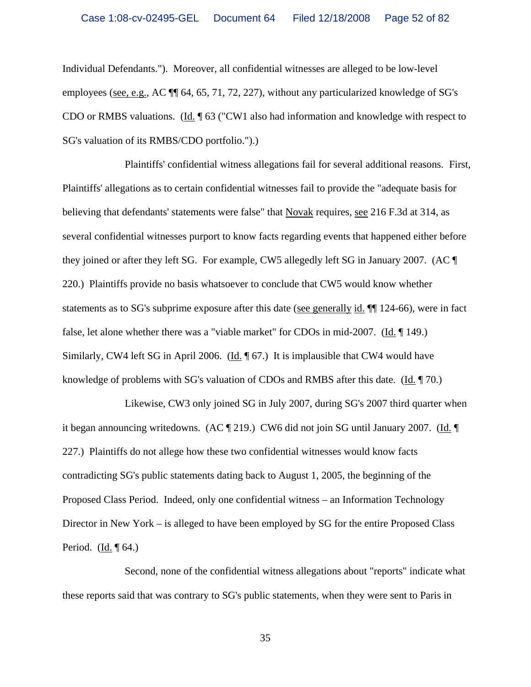Individual Defendants."). Moreover, all confidential witnesses are alleged to be low-level employees (see, e.g., AC ¶¶ 64, 65, 71, 72, 227), without any particularized knowledge of SG's CDO or RMBS valuations. (Id. ¶ 63 ("CW1 also had information and knowledge with respect to SG's valuation of its RMBS/CDO portfolio.").)

Plaintiffs' confidential witness allegations fail for several additional reasons. First, Plaintiffs' allegations as to certain confidential witnesses fail to provide the "adequate basis for believing that defendants' statements were false" that Novak requires, see 216 F.3d at 314, as several confidential witnesses purport to know facts regarding events that happened either before they joined or after they left SG. For example, CW5 allegedly left SG in January 2007. (AC ¶ 220.) Plaintiffs provide no basis whatsoever to conclude that CW5 would know whether statements as to SG's subprime exposure after this date (see generally id. ¶¶ 124-66), were in fact false, let alone whether there was a "viable market" for CDOs in mid-2007. (Id. ¶ 149.) Similarly, CW4 left SG in April 2006. (Id. ¶ 67.) It is implausible that CW4 would have knowledge of problems with SG's valuation of CDOs and RMBS after this date.  $(\underline{Id}, \P$  70.)

Likewise, CW3 only joined SG in July 2007, during SG's 2007 third quarter when it began announcing writedowns. (AC ¶ 219.) CW6 did not join SG until January 2007. (Id. ¶ 227.) Plaintiffs do not allege how these two confidential witnesses would know facts contradicting SG's public statements dating back to August 1, 2005, the beginning of the Proposed Class Period. Indeed, only one confidential witness – an Information Technology Director in New York – is alleged to have been employed by SG for the entire Proposed Class Period. (Id. ¶ 64.)

Second, none of the confidential witness allegations about "reports" indicate what these reports said that was contrary to SG's public statements, when they were sent to Paris in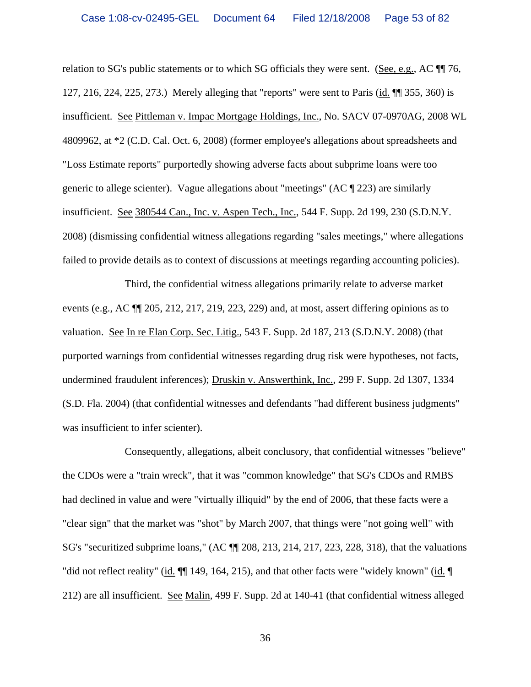relation to SG's public statements or to which SG officials they were sent. (See, e.g., AC ¶¶ 76, 127, 216, 224, 225, 273.) Merely alleging that "reports" were sent to Paris (id. ¶¶ 355, 360) is insufficient. See Pittleman v. Impac Mortgage Holdings, Inc., No. SACV 07-0970AG, 2008 WL 4809962, at \*2 (C.D. Cal. Oct. 6, 2008) (former employee's allegations about spreadsheets and "Loss Estimate reports" purportedly showing adverse facts about subprime loans were too generic to allege scienter). Vague allegations about "meetings" ( $AC \parallel 223$ ) are similarly insufficient. See 380544 Can., Inc. v. Aspen Tech., Inc., 544 F. Supp. 2d 199, 230 (S.D.N.Y. 2008) (dismissing confidential witness allegations regarding "sales meetings," where allegations failed to provide details as to context of discussions at meetings regarding accounting policies).

Third, the confidential witness allegations primarily relate to adverse market events (e.g., AC ¶¶ 205, 212, 217, 219, 223, 229) and, at most, assert differing opinions as to valuation. See In re Elan Corp. Sec. Litig., 543 F. Supp. 2d 187, 213 (S.D.N.Y. 2008) (that purported warnings from confidential witnesses regarding drug risk were hypotheses, not facts, undermined fraudulent inferences); Druskin v. Answerthink, Inc., 299 F. Supp. 2d 1307, 1334 (S.D. Fla. 2004) (that confidential witnesses and defendants "had different business judgments" was insufficient to infer scienter).

Consequently, allegations, albeit conclusory, that confidential witnesses "believe" the CDOs were a "train wreck", that it was "common knowledge" that SG's CDOs and RMBS had declined in value and were "virtually illiquid" by the end of 2006, that these facts were a "clear sign" that the market was "shot" by March 2007, that things were "not going well" with SG's "securitized subprime loans," (AC ¶¶ 208, 213, 214, 217, 223, 228, 318), that the valuations "did not reflect reality" (id. ¶¶ 149, 164, 215), and that other facts were "widely known" (id. ¶ 212) are all insufficient. See Malin, 499 F. Supp. 2d at 140-41 (that confidential witness alleged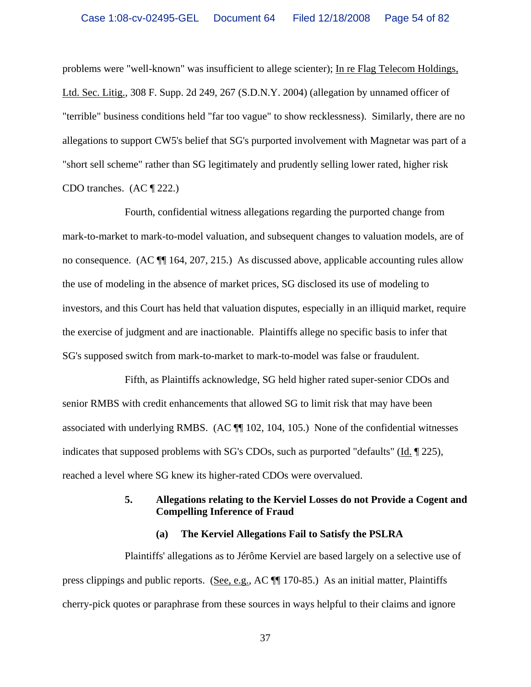problems were "well-known" was insufficient to allege scienter); In re Flag Telecom Holdings, Ltd. Sec. Litig., 308 F. Supp. 2d 249, 267 (S.D.N.Y. 2004) (allegation by unnamed officer of "terrible" business conditions held "far too vague" to show recklessness). Similarly, there are no allegations to support CW5's belief that SG's purported involvement with Magnetar was part of a "short sell scheme" rather than SG legitimately and prudently selling lower rated, higher risk CDO tranches. (AC ¶ 222.)

Fourth, confidential witness allegations regarding the purported change from mark-to-market to mark-to-model valuation, and subsequent changes to valuation models, are of no consequence. (AC ¶¶ 164, 207, 215.) As discussed above, applicable accounting rules allow the use of modeling in the absence of market prices, SG disclosed its use of modeling to investors, and this Court has held that valuation disputes, especially in an illiquid market, require the exercise of judgment and are inactionable. Plaintiffs allege no specific basis to infer that SG's supposed switch from mark-to-market to mark-to-model was false or fraudulent.

Fifth, as Plaintiffs acknowledge, SG held higher rated super-senior CDOs and senior RMBS with credit enhancements that allowed SG to limit risk that may have been associated with underlying RMBS. (AC ¶¶ 102, 104, 105.) None of the confidential witnesses indicates that supposed problems with SG's CDOs, such as purported "defaults" (Id. ¶ 225), reached a level where SG knew its higher-rated CDOs were overvalued.

## **5. Allegations relating to the Kerviel Losses do not Provide a Cogent and Compelling Inference of Fraud**

## **(a) The Kerviel Allegations Fail to Satisfy the PSLRA**

Plaintiffs' allegations as to Jérôme Kerviel are based largely on a selective use of press clippings and public reports. (See, e.g., AC ¶¶ 170-85.) As an initial matter, Plaintiffs cherry-pick quotes or paraphrase from these sources in ways helpful to their claims and ignore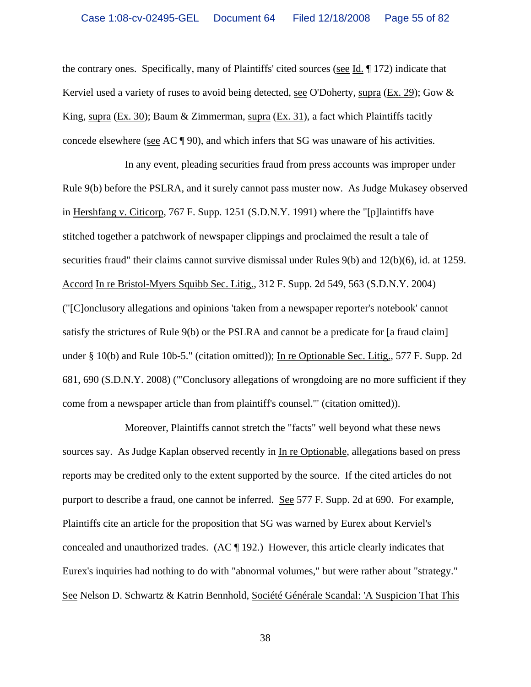the contrary ones. Specifically, many of Plaintiffs' cited sources (see Id. ¶ 172) indicate that Kerviel used a variety of ruses to avoid being detected, see O'Doherty, supra (Ex. 29); Gow & King, supra (Ex. 30); Baum & Zimmerman, supra (Ex. 31), a fact which Plaintiffs tacitly concede elsewhere (see AC ¶ 90), and which infers that SG was unaware of his activities.

In any event, pleading securities fraud from press accounts was improper under Rule 9(b) before the PSLRA, and it surely cannot pass muster now. As Judge Mukasey observed in Hershfang v. Citicorp, 767 F. Supp. 1251 (S.D.N.Y. 1991) where the "[p]laintiffs have stitched together a patchwork of newspaper clippings and proclaimed the result a tale of securities fraud" their claims cannot survive dismissal under Rules 9(b) and 12(b)(6), id. at 1259. Accord In re Bristol-Myers Squibb Sec. Litig., 312 F. Supp. 2d 549, 563 (S.D.N.Y. 2004) ("[C]onclusory allegations and opinions 'taken from a newspaper reporter's notebook' cannot satisfy the strictures of Rule 9(b) or the PSLRA and cannot be a predicate for [a fraud claim] under § 10(b) and Rule 10b-5." (citation omitted)); In re Optionable Sec. Litig., 577 F. Supp. 2d 681, 690 (S.D.N.Y. 2008) ("'Conclusory allegations of wrongdoing are no more sufficient if they come from a newspaper article than from plaintiff's counsel.'" (citation omitted)).

Moreover, Plaintiffs cannot stretch the "facts" well beyond what these news sources say. As Judge Kaplan observed recently in In re Optionable, allegations based on press reports may be credited only to the extent supported by the source. If the cited articles do not purport to describe a fraud, one cannot be inferred. See 577 F. Supp. 2d at 690. For example, Plaintiffs cite an article for the proposition that SG was warned by Eurex about Kerviel's concealed and unauthorized trades. (AC ¶ 192.) However, this article clearly indicates that Eurex's inquiries had nothing to do with "abnormal volumes," but were rather about "strategy." See Nelson D. Schwartz & Katrin Bennhold, Société Générale Scandal: 'A Suspicion That This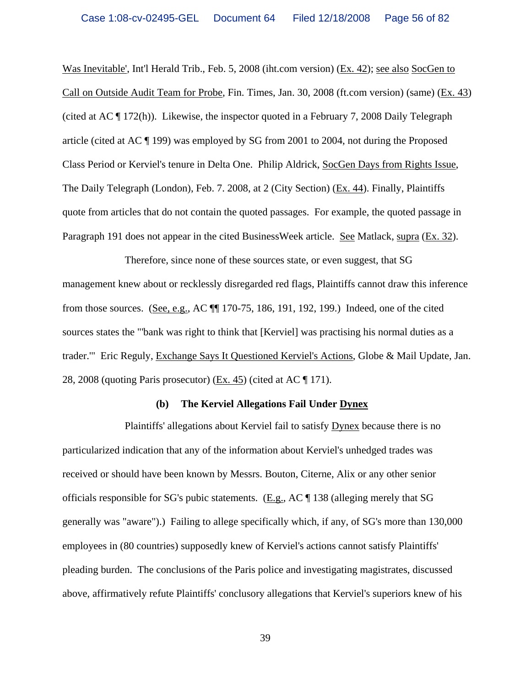Was Inevitable', Int'l Herald Trib., Feb. 5, 2008 (iht.com version) (Ex. 42); see also SocGen to Call on Outside Audit Team for Probe, Fin. Times, Jan. 30, 2008 (ft.com version) (same) (Ex. 43) (cited at AC ¶ 172(h)). Likewise, the inspector quoted in a February 7, 2008 Daily Telegraph article (cited at AC ¶ 199) was employed by SG from 2001 to 2004, not during the Proposed Class Period or Kerviel's tenure in Delta One. Philip Aldrick, SocGen Days from Rights Issue, The Daily Telegraph (London), Feb. 7. 2008, at 2 (City Section) (Ex. 44). Finally, Plaintiffs quote from articles that do not contain the quoted passages. For example, the quoted passage in Paragraph 191 does not appear in the cited BusinessWeek article. See Matlack, supra (Ex. 32).

Therefore, since none of these sources state, or even suggest, that SG management knew about or recklessly disregarded red flags, Plaintiffs cannot draw this inference from those sources. (See, e.g., AC ¶¶ 170-75, 186, 191, 192, 199.) Indeed, one of the cited sources states the "'bank was right to think that [Kerviel] was practising his normal duties as a trader.'" Eric Reguly, Exchange Says It Questioned Kerviel's Actions, Globe & Mail Update, Jan. 28, 2008 (quoting Paris prosecutor) (Ex. 45) (cited at AC ¶ 171).

#### **(b) The Kerviel Allegations Fail Under Dynex**

Plaintiffs' allegations about Kerviel fail to satisfy Dynex because there is no particularized indication that any of the information about Kerviel's unhedged trades was received or should have been known by Messrs. Bouton, Citerne, Alix or any other senior officials responsible for SG's pubic statements. (E.g., AC ¶ 138 (alleging merely that SG generally was "aware").) Failing to allege specifically which, if any, of SG's more than 130,000 employees in (80 countries) supposedly knew of Kerviel's actions cannot satisfy Plaintiffs' pleading burden. The conclusions of the Paris police and investigating magistrates, discussed above, affirmatively refute Plaintiffs' conclusory allegations that Kerviel's superiors knew of his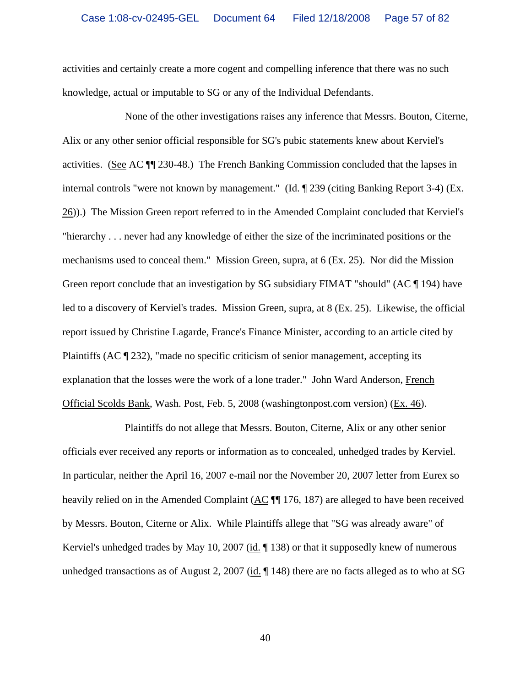activities and certainly create a more cogent and compelling inference that there was no such knowledge, actual or imputable to SG or any of the Individual Defendants.

None of the other investigations raises any inference that Messrs. Bouton, Citerne, Alix or any other senior official responsible for SG's pubic statements knew about Kerviel's activities. (See AC ¶¶ 230-48.) The French Banking Commission concluded that the lapses in internal controls "were not known by management." (Id. ¶ 239 (citing Banking Report 3-4) (Ex. 26)).) The Mission Green report referred to in the Amended Complaint concluded that Kerviel's "hierarchy . . . never had any knowledge of either the size of the incriminated positions or the mechanisms used to conceal them." Mission Green, supra, at 6 (Ex. 25). Nor did the Mission Green report conclude that an investigation by SG subsidiary FIMAT "should" (AC ¶ 194) have led to a discovery of Kerviel's trades. Mission Green, supra, at 8 (Ex. 25). Likewise, the official report issued by Christine Lagarde, France's Finance Minister, according to an article cited by Plaintiffs (AC ¶ 232), "made no specific criticism of senior management, accepting its explanation that the losses were the work of a lone trader." John Ward Anderson, French Official Scolds Bank, Wash. Post, Feb. 5, 2008 (washingtonpost.com version) (Ex. 46).

Plaintiffs do not allege that Messrs. Bouton, Citerne, Alix or any other senior officials ever received any reports or information as to concealed, unhedged trades by Kerviel. In particular, neither the April 16, 2007 e-mail nor the November 20, 2007 letter from Eurex so heavily relied on in the Amended Complaint (AC  $\P$  176, 187) are alleged to have been received by Messrs. Bouton, Citerne or Alix. While Plaintiffs allege that "SG was already aware" of Kerviel's unhedged trades by May 10, 2007 (id. 138) or that it supposedly knew of numerous unhedged transactions as of August 2, 2007 (id.  $\parallel$  148) there are no facts alleged as to who at SG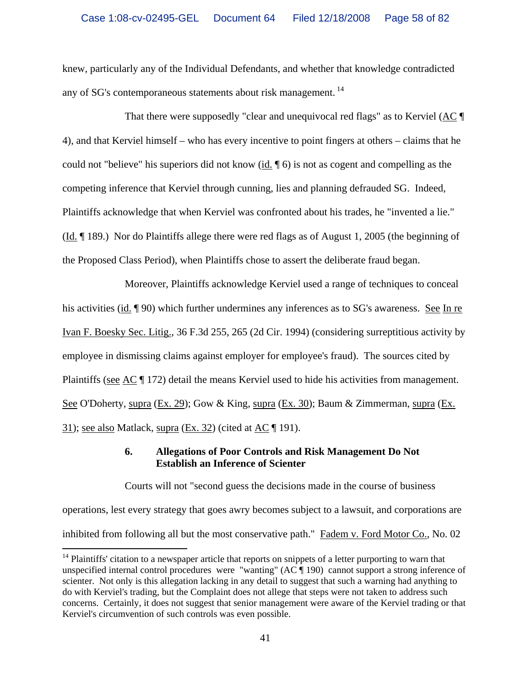knew, particularly any of the Individual Defendants, and whether that knowledge contradicted any of SG's contemporaneous statements about risk management. <sup>14</sup>

That there were supposedly "clear and unequivocal red flags" as to Kerviel (AC ¶ 4), and that Kerviel himself – who has every incentive to point fingers at others – claims that he could not "believe" his superiors did not know (id. ¶ 6) is not as cogent and compelling as the competing inference that Kerviel through cunning, lies and planning defrauded SG. Indeed, Plaintiffs acknowledge that when Kerviel was confronted about his trades, he "invented a lie." (Id. ¶ 189.) Nor do Plaintiffs allege there were red flags as of August 1, 2005 (the beginning of the Proposed Class Period), when Plaintiffs chose to assert the deliberate fraud began.

Moreover, Plaintiffs acknowledge Kerviel used a range of techniques to conceal his activities (id. ¶ 90) which further undermines any inferences as to SG's awareness. See In re Ivan F. Boesky Sec. Litig., 36 F.3d 255, 265 (2d Cir. 1994) (considering surreptitious activity by employee in dismissing claims against employer for employee's fraud). The sources cited by Plaintiffs (see AC  $\parallel$  172) detail the means Kerviel used to hide his activities from management. See O'Doherty, supra (Ex. 29); Gow & King, supra (Ex. 30); Baum & Zimmerman, supra (Ex. 31); see also Matlack, supra  $(Ex. 32)$  (cited at  $AC \parallel 191$ ).

# **6. Allegations of Poor Controls and Risk Management Do Not Establish an Inference of Scienter**

Courts will not "second guess the decisions made in the course of business operations, lest every strategy that goes awry becomes subject to a lawsuit, and corporations are inhibited from following all but the most conservative path." Fadem v. Ford Motor Co., No. 02

 $14$  Plaintiffs' citation to a newspaper article that reports on snippets of a letter purporting to warn that unspecified internal control procedures were "wanting" (AC ¶ 190) cannot support a strong inference of scienter. Not only is this allegation lacking in any detail to suggest that such a warning had anything to do with Kerviel's trading, but the Complaint does not allege that steps were not taken to address such concerns. Certainly, it does not suggest that senior management were aware of the Kerviel trading or that Kerviel's circumvention of such controls was even possible.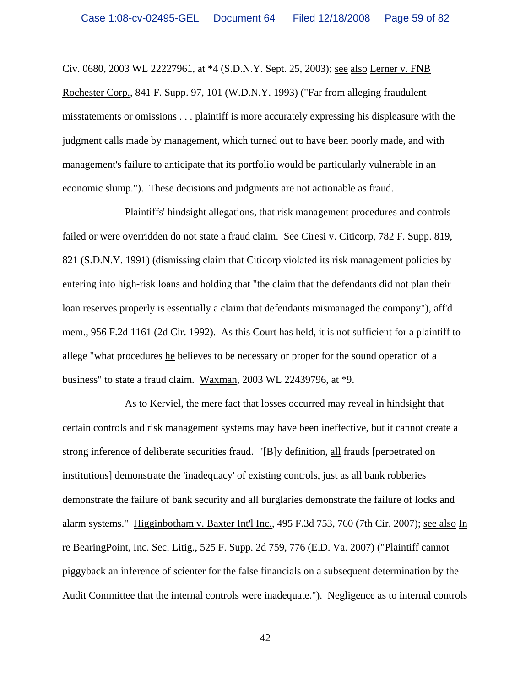Civ. 0680, 2003 WL 22227961, at \*4 (S.D.N.Y. Sept. 25, 2003); see also Lerner v. FNB Rochester Corp., 841 F. Supp. 97, 101 (W.D.N.Y. 1993) ("Far from alleging fraudulent misstatements or omissions . . . plaintiff is more accurately expressing his displeasure with the judgment calls made by management, which turned out to have been poorly made, and with management's failure to anticipate that its portfolio would be particularly vulnerable in an economic slump."). These decisions and judgments are not actionable as fraud.

Plaintiffs' hindsight allegations, that risk management procedures and controls failed or were overridden do not state a fraud claim. See Ciresi v. Citicorp, 782 F. Supp. 819, 821 (S.D.N.Y. 1991) (dismissing claim that Citicorp violated its risk management policies by entering into high-risk loans and holding that "the claim that the defendants did not plan their loan reserves properly is essentially a claim that defendants mismanaged the company"), aff'd mem., 956 F.2d 1161 (2d Cir. 1992). As this Court has held, it is not sufficient for a plaintiff to allege "what procedures he believes to be necessary or proper for the sound operation of a business" to state a fraud claim. Waxman, 2003 WL 22439796, at \*9.

As to Kerviel, the mere fact that losses occurred may reveal in hindsight that certain controls and risk management systems may have been ineffective, but it cannot create a strong inference of deliberate securities fraud. "[B]y definition, all frauds [perpetrated on institutions] demonstrate the 'inadequacy' of existing controls, just as all bank robberies demonstrate the failure of bank security and all burglaries demonstrate the failure of locks and alarm systems." Higginbotham v. Baxter Int'l Inc., 495 F.3d 753, 760 (7th Cir. 2007); see also In re BearingPoint, Inc. Sec. Litig., 525 F. Supp. 2d 759, 776 (E.D. Va. 2007) ("Plaintiff cannot piggyback an inference of scienter for the false financials on a subsequent determination by the Audit Committee that the internal controls were inadequate."). Negligence as to internal controls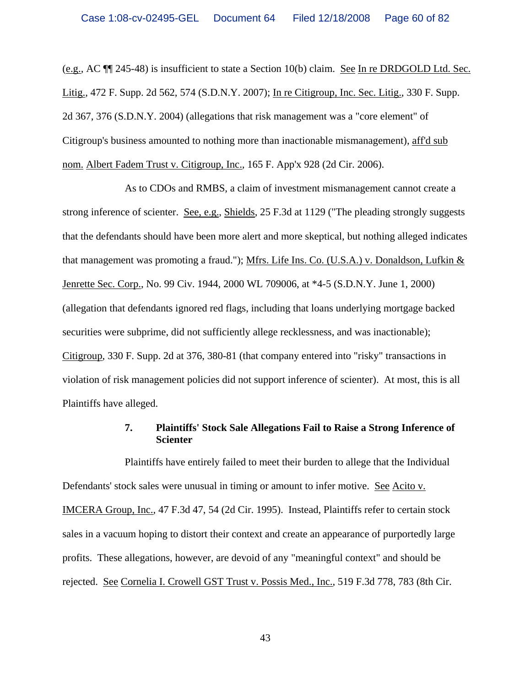(e.g., AC ¶¶ 245-48) is insufficient to state a Section 10(b) claim. See In re DRDGOLD Ltd. Sec. Litig., 472 F. Supp. 2d 562, 574 (S.D.N.Y. 2007); In re Citigroup, Inc. Sec. Litig., 330 F. Supp. 2d 367, 376 (S.D.N.Y. 2004) (allegations that risk management was a "core element" of Citigroup's business amounted to nothing more than inactionable mismanagement), aff'd sub nom. Albert Fadem Trust v. Citigroup, Inc., 165 F. App'x 928 (2d Cir. 2006).

As to CDOs and RMBS, a claim of investment mismanagement cannot create a strong inference of scienter. See, e.g., Shields, 25 F.3d at 1129 ("The pleading strongly suggests that the defendants should have been more alert and more skeptical, but nothing alleged indicates that management was promoting a fraud."); Mfrs. Life Ins. Co. (U.S.A.) v. Donaldson, Lufkin & Jenrette Sec. Corp., No. 99 Civ. 1944, 2000 WL 709006, at \*4-5 (S.D.N.Y. June 1, 2000) (allegation that defendants ignored red flags, including that loans underlying mortgage backed securities were subprime, did not sufficiently allege recklessness, and was inactionable); Citigroup, 330 F. Supp. 2d at 376, 380-81 (that company entered into "risky" transactions in violation of risk management policies did not support inference of scienter). At most, this is all Plaintiffs have alleged.

## **7. Plaintiffs' Stock Sale Allegations Fail to Raise a Strong Inference of Scienter**

Plaintiffs have entirely failed to meet their burden to allege that the Individual Defendants' stock sales were unusual in timing or amount to infer motive. See Acito v. IMCERA Group, Inc., 47 F.3d 47, 54 (2d Cir. 1995). Instead, Plaintiffs refer to certain stock sales in a vacuum hoping to distort their context and create an appearance of purportedly large profits. These allegations, however, are devoid of any "meaningful context" and should be rejected. See Cornelia I. Crowell GST Trust v. Possis Med., Inc., 519 F.3d 778, 783 (8th Cir.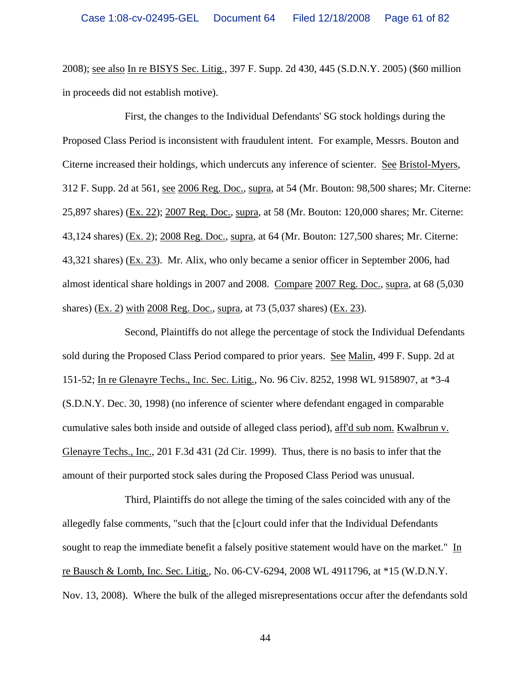2008); see also In re BISYS Sec. Litig., 397 F. Supp. 2d 430, 445 (S.D.N.Y. 2005) (\$60 million in proceeds did not establish motive).

First, the changes to the Individual Defendants' SG stock holdings during the Proposed Class Period is inconsistent with fraudulent intent. For example, Messrs. Bouton and Citerne increased their holdings, which undercuts any inference of scienter. See Bristol-Myers, 312 F. Supp. 2d at 561, see 2006 Reg. Doc., supra, at 54 (Mr. Bouton: 98,500 shares; Mr. Citerne: 25,897 shares) (Ex. 22); 2007 Reg. Doc., supra, at 58 (Mr. Bouton: 120,000 shares; Mr. Citerne: 43,124 shares) (Ex. 2); 2008 Reg. Doc., supra, at 64 (Mr. Bouton: 127,500 shares; Mr. Citerne: 43,321 shares) (Ex. 23). Mr. Alix, who only became a senior officer in September 2006, had almost identical share holdings in 2007 and 2008. Compare 2007 Reg. Doc., supra, at 68 (5,030 shares) (Ex. 2) with 2008 Reg. Doc., supra, at 73 (5,037 shares) (Ex. 23).

Second, Plaintiffs do not allege the percentage of stock the Individual Defendants sold during the Proposed Class Period compared to prior years. See Malin, 499 F. Supp. 2d at 151-52; In re Glenayre Techs., Inc. Sec. Litig., No. 96 Civ. 8252, 1998 WL 9158907, at \*3-4 (S.D.N.Y. Dec. 30, 1998) (no inference of scienter where defendant engaged in comparable cumulative sales both inside and outside of alleged class period), aff'd sub nom. Kwalbrun v. Glenayre Techs., Inc., 201 F.3d 431 (2d Cir. 1999). Thus, there is no basis to infer that the amount of their purported stock sales during the Proposed Class Period was unusual.

Third, Plaintiffs do not allege the timing of the sales coincided with any of the allegedly false comments, "such that the [c]ourt could infer that the Individual Defendants sought to reap the immediate benefit a falsely positive statement would have on the market." In re Bausch & Lomb, Inc. Sec. Litig., No. 06-CV-6294, 2008 WL 4911796, at \*15 (W.D.N.Y. Nov. 13, 2008). Where the bulk of the alleged misrepresentations occur after the defendants sold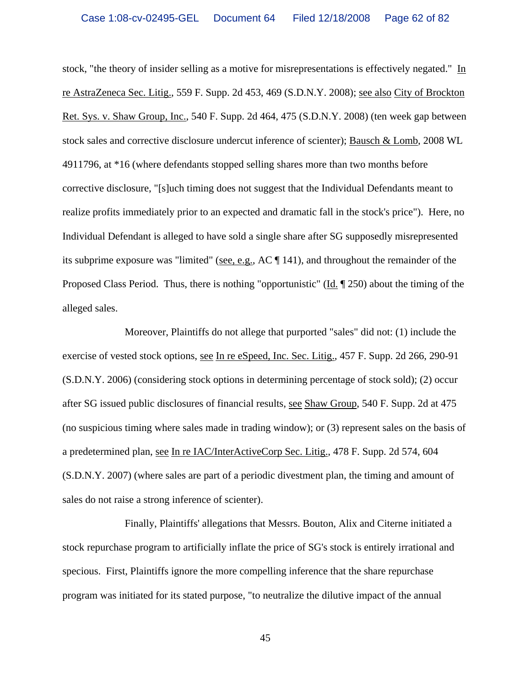stock, "the theory of insider selling as a motive for misrepresentations is effectively negated." In re AstraZeneca Sec. Litig., 559 F. Supp. 2d 453, 469 (S.D.N.Y. 2008); see also City of Brockton Ret. Sys. v. Shaw Group, Inc., 540 F. Supp. 2d 464, 475 (S.D.N.Y. 2008) (ten week gap between stock sales and corrective disclosure undercut inference of scienter); Bausch & Lomb, 2008 WL 4911796, at \*16 (where defendants stopped selling shares more than two months before corrective disclosure, "[s]uch timing does not suggest that the Individual Defendants meant to realize profits immediately prior to an expected and dramatic fall in the stock's price"). Here, no Individual Defendant is alleged to have sold a single share after SG supposedly misrepresented its subprime exposure was "limited" (see, e.g., AC ¶ 141), and throughout the remainder of the Proposed Class Period. Thus, there is nothing "opportunistic" (Id. 1950) about the timing of the alleged sales.

Moreover, Plaintiffs do not allege that purported "sales" did not: (1) include the exercise of vested stock options, see In re eSpeed, Inc. Sec. Litig., 457 F. Supp. 2d 266, 290-91 (S.D.N.Y. 2006) (considering stock options in determining percentage of stock sold); (2) occur after SG issued public disclosures of financial results, see Shaw Group, 540 F. Supp. 2d at 475 (no suspicious timing where sales made in trading window); or (3) represent sales on the basis of a predetermined plan, see In re IAC/InterActiveCorp Sec. Litig., 478 F. Supp. 2d 574, 604 (S.D.N.Y. 2007) (where sales are part of a periodic divestment plan, the timing and amount of sales do not raise a strong inference of scienter).

Finally, Plaintiffs' allegations that Messrs. Bouton, Alix and Citerne initiated a stock repurchase program to artificially inflate the price of SG's stock is entirely irrational and specious. First, Plaintiffs ignore the more compelling inference that the share repurchase program was initiated for its stated purpose, "to neutralize the dilutive impact of the annual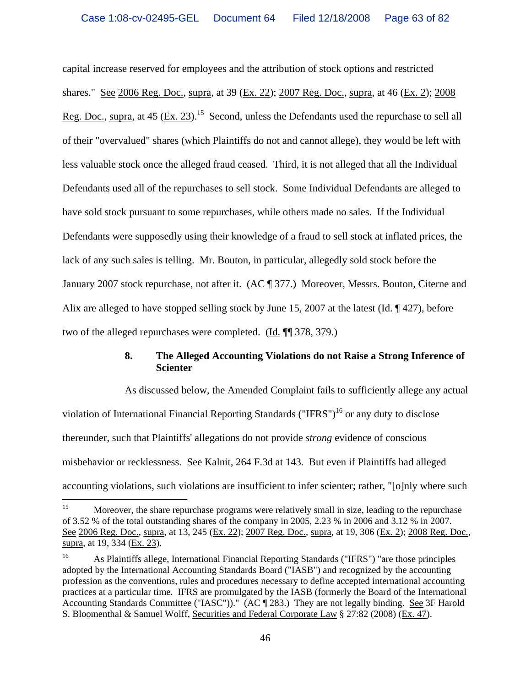capital increase reserved for employees and the attribution of stock options and restricted shares." See 2006 Reg. Doc., supra, at 39 (Ex. 22); 2007 Reg. Doc., supra, at 46 (Ex. 2); 2008 Reg. Doc., supra, at 45 (Ex. 23).<sup>15</sup> Second, unless the Defendants used the repurchase to sell all of their "overvalued" shares (which Plaintiffs do not and cannot allege), they would be left with less valuable stock once the alleged fraud ceased. Third, it is not alleged that all the Individual Defendants used all of the repurchases to sell stock. Some Individual Defendants are alleged to have sold stock pursuant to some repurchases, while others made no sales. If the Individual Defendants were supposedly using their knowledge of a fraud to sell stock at inflated prices, the lack of any such sales is telling. Mr. Bouton, in particular, allegedly sold stock before the January 2007 stock repurchase, not after it. (AC ¶ 377.) Moreover, Messrs. Bouton, Citerne and Alix are alleged to have stopped selling stock by June 15, 2007 at the latest (Id.  $\sim$  427), before two of the alleged repurchases were completed. (Id. ¶¶ 378, 379.)

# **8. The Alleged Accounting Violations do not Raise a Strong Inference of Scienter**

As discussed below, the Amended Complaint fails to sufficiently allege any actual violation of International Financial Reporting Standards ("IFRS")<sup>16</sup> or any duty to disclose thereunder, such that Plaintiffs' allegations do not provide *strong* evidence of conscious misbehavior or recklessness. See Kalnit, 264 F.3d at 143. But even if Plaintiffs had alleged accounting violations, such violations are insufficient to infer scienter; rather, "[o]nly where such

 $15\,$ Moreover, the share repurchase programs were relatively small in size, leading to the repurchase of 3.52 % of the total outstanding shares of the company in 2005, 2.23 % in 2006 and 3.12 % in 2007. See 2006 Reg. Doc., supra, at 13, 245 (Ex. 22); 2007 Reg. Doc., supra, at 19, 306 (Ex. 2); 2008 Reg. Doc., supra, at 19, 334 (Ex. 23).

<sup>16</sup> As Plaintiffs allege, International Financial Reporting Standards ("IFRS") "are those principles adopted by the International Accounting Standards Board ("IASB") and recognized by the accounting profession as the conventions, rules and procedures necessary to define accepted international accounting practices at a particular time. IFRS are promulgated by the IASB (formerly the Board of the International Accounting Standards Committee ("IASC"))." (AC [283.) They are not legally binding. See 3F Harold S. Bloomenthal & Samuel Wolff, Securities and Federal Corporate Law § 27:82 (2008) (Ex. 47).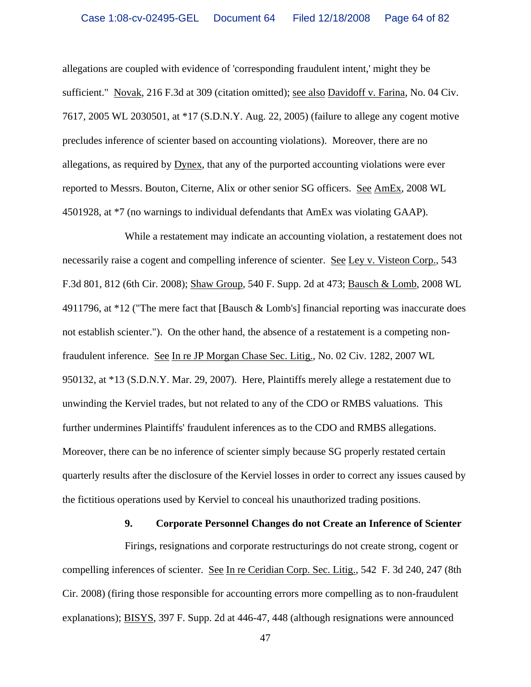allegations are coupled with evidence of 'corresponding fraudulent intent,' might they be sufficient." Novak, 216 F.3d at 309 (citation omitted); see also Davidoff v. Farina, No. 04 Civ. 7617, 2005 WL 2030501, at \*17 (S.D.N.Y. Aug. 22, 2005) (failure to allege any cogent motive precludes inference of scienter based on accounting violations). Moreover, there are no allegations, as required by Dynex, that any of the purported accounting violations were ever reported to Messrs. Bouton, Citerne, Alix or other senior SG officers. See AmEx, 2008 WL 4501928, at \*7 (no warnings to individual defendants that AmEx was violating GAAP).

While a restatement may indicate an accounting violation, a restatement does not necessarily raise a cogent and compelling inference of scienter. See Ley v. Visteon Corp., 543 F.3d 801, 812 (6th Cir. 2008); Shaw Group, 540 F. Supp. 2d at 473; Bausch & Lomb, 2008 WL 4911796, at \*12 ("The mere fact that [Bausch & Lomb's] financial reporting was inaccurate does not establish scienter."). On the other hand, the absence of a restatement is a competing nonfraudulent inference. See In re JP Morgan Chase Sec. Litig., No. 02 Civ. 1282, 2007 WL 950132, at \*13 (S.D.N.Y. Mar. 29, 2007). Here, Plaintiffs merely allege a restatement due to unwinding the Kerviel trades, but not related to any of the CDO or RMBS valuations. This further undermines Plaintiffs' fraudulent inferences as to the CDO and RMBS allegations. Moreover, there can be no inference of scienter simply because SG properly restated certain quarterly results after the disclosure of the Kerviel losses in order to correct any issues caused by the fictitious operations used by Kerviel to conceal his unauthorized trading positions.

#### **9. Corporate Personnel Changes do not Create an Inference of Scienter**

Firings, resignations and corporate restructurings do not create strong, cogent or compelling inferences of scienter. See In re Ceridian Corp. Sec. Litig., 542 F. 3d 240, 247 (8th Cir. 2008) (firing those responsible for accounting errors more compelling as to non-fraudulent explanations); BISYS, 397 F. Supp. 2d at 446-47, 448 (although resignations were announced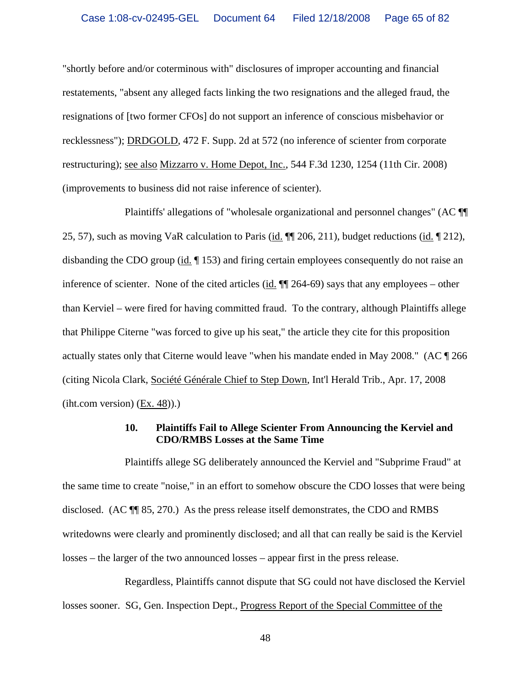"shortly before and/or coterminous with" disclosures of improper accounting and financial restatements, "absent any alleged facts linking the two resignations and the alleged fraud, the resignations of [two former CFOs] do not support an inference of conscious misbehavior or recklessness"); DRDGOLD, 472 F. Supp. 2d at 572 (no inference of scienter from corporate restructuring); see also Mizzarro v. Home Depot, Inc., 544 F.3d 1230, 1254 (11th Cir. 2008) (improvements to business did not raise inference of scienter).

Plaintiffs' allegations of "wholesale organizational and personnel changes" (AC ¶¶ 25, 57), such as moving VaR calculation to Paris (id.  $\P$  206, 211), budget reductions (id.  $\P$  212), disbanding the CDO group (id. ¶ 153) and firing certain employees consequently do not raise an inference of scienter. None of the cited articles (id.  $\P$  264-69) says that any employees – other than Kerviel – were fired for having committed fraud. To the contrary, although Plaintiffs allege that Philippe Citerne "was forced to give up his seat," the article they cite for this proposition actually states only that Citerne would leave "when his mandate ended in May 2008." (AC ¶ 266 (citing Nicola Clark, Société Générale Chief to Step Down, Int'l Herald Trib., Apr. 17, 2008  $(iht.com version)$   $(Ex. 48)$ ).)

## **10. Plaintiffs Fail to Allege Scienter From Announcing the Kerviel and CDO/RMBS Losses at the Same Time**

Plaintiffs allege SG deliberately announced the Kerviel and "Subprime Fraud" at the same time to create "noise," in an effort to somehow obscure the CDO losses that were being disclosed. (AC ¶¶ 85, 270.) As the press release itself demonstrates, the CDO and RMBS writedowns were clearly and prominently disclosed; and all that can really be said is the Kerviel losses – the larger of the two announced losses – appear first in the press release.

Regardless, Plaintiffs cannot dispute that SG could not have disclosed the Kerviel losses sooner. SG, Gen. Inspection Dept., Progress Report of the Special Committee of the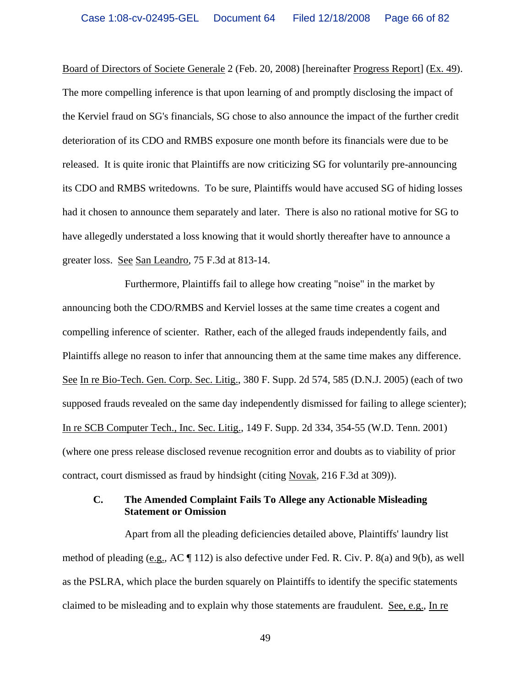Board of Directors of Societe Generale 2 (Feb. 20, 2008) [hereinafter Progress Report] (Ex. 49). The more compelling inference is that upon learning of and promptly disclosing the impact of the Kerviel fraud on SG's financials, SG chose to also announce the impact of the further credit deterioration of its CDO and RMBS exposure one month before its financials were due to be released. It is quite ironic that Plaintiffs are now criticizing SG for voluntarily pre-announcing its CDO and RMBS writedowns. To be sure, Plaintiffs would have accused SG of hiding losses had it chosen to announce them separately and later. There is also no rational motive for SG to have allegedly understated a loss knowing that it would shortly thereafter have to announce a greater loss. See San Leandro, 75 F.3d at 813-14.

Furthermore, Plaintiffs fail to allege how creating "noise" in the market by announcing both the CDO/RMBS and Kerviel losses at the same time creates a cogent and compelling inference of scienter. Rather, each of the alleged frauds independently fails, and Plaintiffs allege no reason to infer that announcing them at the same time makes any difference. See In re Bio-Tech. Gen. Corp. Sec. Litig., 380 F. Supp. 2d 574, 585 (D.N.J. 2005) (each of two supposed frauds revealed on the same day independently dismissed for failing to allege scienter); In re SCB Computer Tech., Inc. Sec. Litig., 149 F. Supp. 2d 334, 354-55 (W.D. Tenn. 2001) (where one press release disclosed revenue recognition error and doubts as to viability of prior contract, court dismissed as fraud by hindsight (citing Novak, 216 F.3d at 309)).

## **C. The Amended Complaint Fails To Allege any Actionable Misleading Statement or Omission**

Apart from all the pleading deficiencies detailed above, Plaintiffs' laundry list method of pleading (e.g., AC ¶ 112) is also defective under Fed. R. Civ. P. 8(a) and 9(b), as well as the PSLRA, which place the burden squarely on Plaintiffs to identify the specific statements claimed to be misleading and to explain why those statements are fraudulent. See, e.g., In re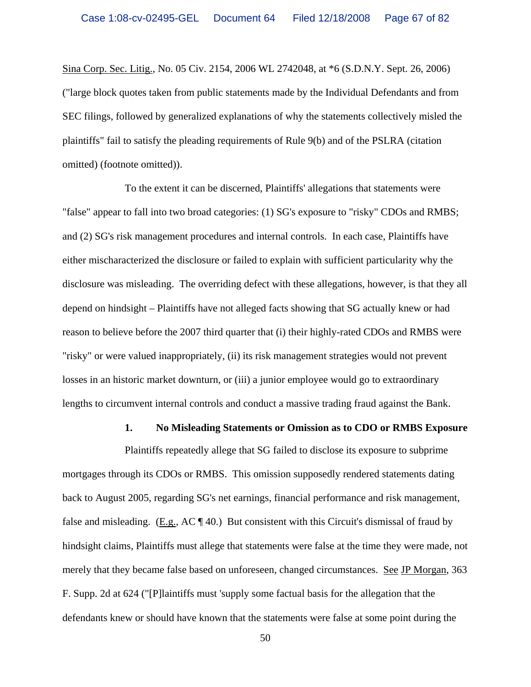Sina Corp. Sec. Litig., No. 05 Civ. 2154, 2006 WL 2742048, at \*6 (S.D.N.Y. Sept. 26, 2006) ("large block quotes taken from public statements made by the Individual Defendants and from SEC filings, followed by generalized explanations of why the statements collectively misled the plaintiffs" fail to satisfy the pleading requirements of Rule 9(b) and of the PSLRA (citation omitted) (footnote omitted)).

To the extent it can be discerned, Plaintiffs' allegations that statements were "false" appear to fall into two broad categories: (1) SG's exposure to "risky" CDOs and RMBS; and (2) SG's risk management procedures and internal controls. In each case, Plaintiffs have either mischaracterized the disclosure or failed to explain with sufficient particularity why the disclosure was misleading. The overriding defect with these allegations, however, is that they all depend on hindsight – Plaintiffs have not alleged facts showing that SG actually knew or had reason to believe before the 2007 third quarter that (i) their highly-rated CDOs and RMBS were "risky" or were valued inappropriately, (ii) its risk management strategies would not prevent losses in an historic market downturn, or (iii) a junior employee would go to extraordinary lengths to circumvent internal controls and conduct a massive trading fraud against the Bank.

#### **1. No Misleading Statements or Omission as to CDO or RMBS Exposure**

Plaintiffs repeatedly allege that SG failed to disclose its exposure to subprime mortgages through its CDOs or RMBS. This omission supposedly rendered statements dating back to August 2005, regarding SG's net earnings, financial performance and risk management, false and misleading. (E.g.,  $AC \P 40$ .) But consistent with this Circuit's dismissal of fraud by hindsight claims, Plaintiffs must allege that statements were false at the time they were made, not merely that they became false based on unforeseen, changed circumstances. See JP Morgan, 363 F. Supp. 2d at 624 ("[P]laintiffs must 'supply some factual basis for the allegation that the defendants knew or should have known that the statements were false at some point during the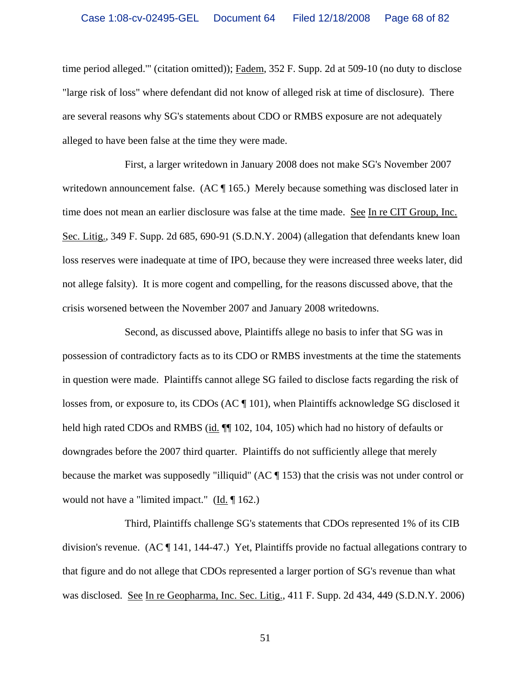time period alleged."' (citation omitted)); Fadem, 352 F. Supp. 2d at 509-10 (no duty to disclose "large risk of loss" where defendant did not know of alleged risk at time of disclosure). There are several reasons why SG's statements about CDO or RMBS exposure are not adequately alleged to have been false at the time they were made.

First, a larger writedown in January 2008 does not make SG's November 2007 writedown announcement false. (AC  $\P$  165.) Merely because something was disclosed later in time does not mean an earlier disclosure was false at the time made. See In re CIT Group, Inc. Sec. Litig., 349 F. Supp. 2d 685, 690-91 (S.D.N.Y. 2004) (allegation that defendants knew loan loss reserves were inadequate at time of IPO, because they were increased three weeks later, did not allege falsity). It is more cogent and compelling, for the reasons discussed above, that the crisis worsened between the November 2007 and January 2008 writedowns.

Second, as discussed above, Plaintiffs allege no basis to infer that SG was in possession of contradictory facts as to its CDO or RMBS investments at the time the statements in question were made. Plaintiffs cannot allege SG failed to disclose facts regarding the risk of losses from, or exposure to, its CDOs (AC ¶ 101), when Plaintiffs acknowledge SG disclosed it held high rated CDOs and RMBS (id.  $\P$  102, 104, 105) which had no history of defaults or downgrades before the 2007 third quarter. Plaintiffs do not sufficiently allege that merely because the market was supposedly "illiquid" (AC ¶ 153) that the crisis was not under control or would not have a "limited impact."  $(\underline{Id} \cdot \P 162)$ .

Third, Plaintiffs challenge SG's statements that CDOs represented 1% of its CIB division's revenue. (AC ¶ 141, 144-47.) Yet, Plaintiffs provide no factual allegations contrary to that figure and do not allege that CDOs represented a larger portion of SG's revenue than what was disclosed. See In re Geopharma, Inc. Sec. Litig., 411 F. Supp. 2d 434, 449 (S.D.N.Y. 2006)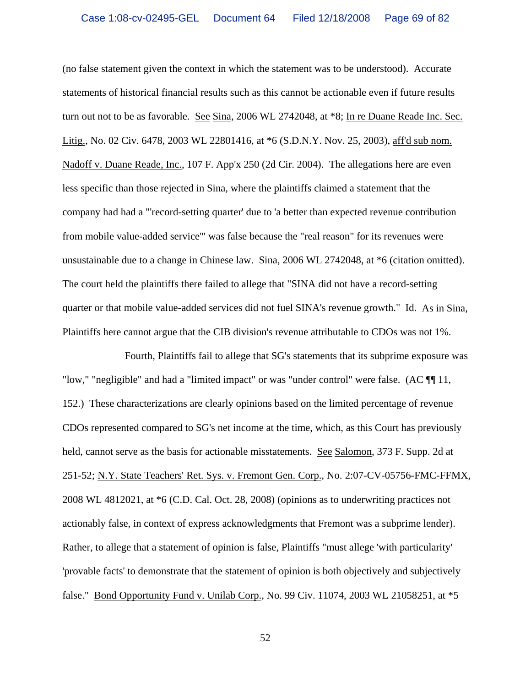(no false statement given the context in which the statement was to be understood). Accurate statements of historical financial results such as this cannot be actionable even if future results turn out not to be as favorable. See Sina, 2006 WL 2742048, at \*8; In re Duane Reade Inc. Sec. Litig., No. 02 Civ. 6478, 2003 WL 22801416, at \*6 (S.D.N.Y. Nov. 25, 2003), aff'd sub nom. Nadoff v. Duane Reade, Inc., 107 F. App'x 250 (2d Cir. 2004). The allegations here are even less specific than those rejected in Sina, where the plaintiffs claimed a statement that the company had had a "'record-setting quarter' due to 'a better than expected revenue contribution from mobile value-added service'" was false because the "real reason" for its revenues were unsustainable due to a change in Chinese law. Sina, 2006 WL 2742048, at \*6 (citation omitted). The court held the plaintiffs there failed to allege that "SINA did not have a record-setting quarter or that mobile value-added services did not fuel SINA's revenue growth." Id. As in Sina, Plaintiffs here cannot argue that the CIB division's revenue attributable to CDOs was not 1%.

Fourth, Plaintiffs fail to allege that SG's statements that its subprime exposure was "low," "negligible" and had a "limited impact" or was "under control" were false. (AC ¶¶ 11, 152.) These characterizations are clearly opinions based on the limited percentage of revenue CDOs represented compared to SG's net income at the time, which, as this Court has previously held, cannot serve as the basis for actionable misstatements. See Salomon, 373 F. Supp. 2d at 251-52; N.Y. State Teachers' Ret. Sys. v. Fremont Gen. Corp., No. 2:07-CV-05756-FMC-FFMX, 2008 WL 4812021, at \*6 (C.D. Cal. Oct. 28, 2008) (opinions as to underwriting practices not actionably false, in context of express acknowledgments that Fremont was a subprime lender). Rather, to allege that a statement of opinion is false, Plaintiffs "must allege 'with particularity' 'provable facts' to demonstrate that the statement of opinion is both objectively and subjectively false." Bond Opportunity Fund v. Unilab Corp., No. 99 Civ. 11074, 2003 WL 21058251, at \*5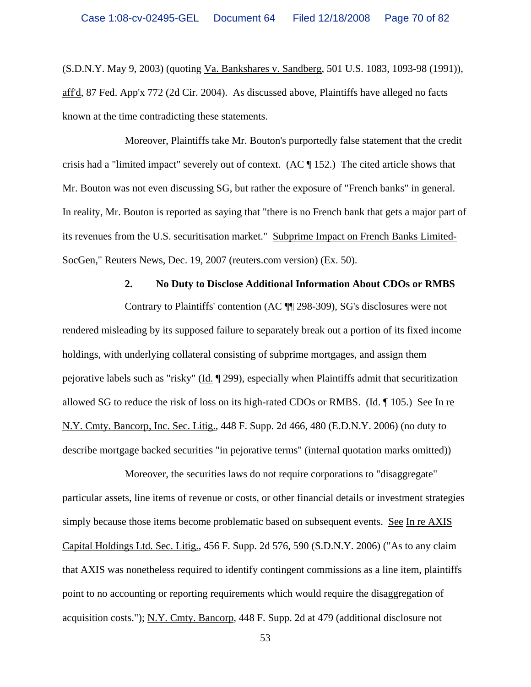(S.D.N.Y. May 9, 2003) (quoting Va. Bankshares v. Sandberg, 501 U.S. 1083, 1093-98 (1991)), aff'd, 87 Fed. App'x 772 (2d Cir. 2004). As discussed above, Plaintiffs have alleged no facts known at the time contradicting these statements.

Moreover, Plaintiffs take Mr. Bouton's purportedly false statement that the credit crisis had a "limited impact" severely out of context. (AC ¶ 152.) The cited article shows that Mr. Bouton was not even discussing SG, but rather the exposure of "French banks" in general. In reality, Mr. Bouton is reported as saying that "there is no French bank that gets a major part of its revenues from the U.S. securitisation market." Subprime Impact on French Banks Limited-SocGen," Reuters News, Dec. 19, 2007 (reuters.com version) (Ex. 50).

## **2. No Duty to Disclose Additional Information About CDOs or RMBS**

Contrary to Plaintiffs' contention (AC ¶¶ 298-309), SG's disclosures were not rendered misleading by its supposed failure to separately break out a portion of its fixed income holdings, with underlying collateral consisting of subprime mortgages, and assign them pejorative labels such as "risky" (Id. ¶ 299), especially when Plaintiffs admit that securitization allowed SG to reduce the risk of loss on its high-rated CDOs or RMBS. (Id. ¶ 105.) See In re N.Y. Cmty. Bancorp, Inc. Sec. Litig., 448 F. Supp. 2d 466, 480 (E.D.N.Y. 2006) (no duty to describe mortgage backed securities "in pejorative terms" (internal quotation marks omitted))

Moreover, the securities laws do not require corporations to "disaggregate" particular assets, line items of revenue or costs, or other financial details or investment strategies simply because those items become problematic based on subsequent events. See In re AXIS Capital Holdings Ltd. Sec. Litig., 456 F. Supp. 2d 576, 590 (S.D.N.Y. 2006) ("As to any claim that AXIS was nonetheless required to identify contingent commissions as a line item, plaintiffs point to no accounting or reporting requirements which would require the disaggregation of acquisition costs."); N.Y. Cmty. Bancorp, 448 F. Supp. 2d at 479 (additional disclosure not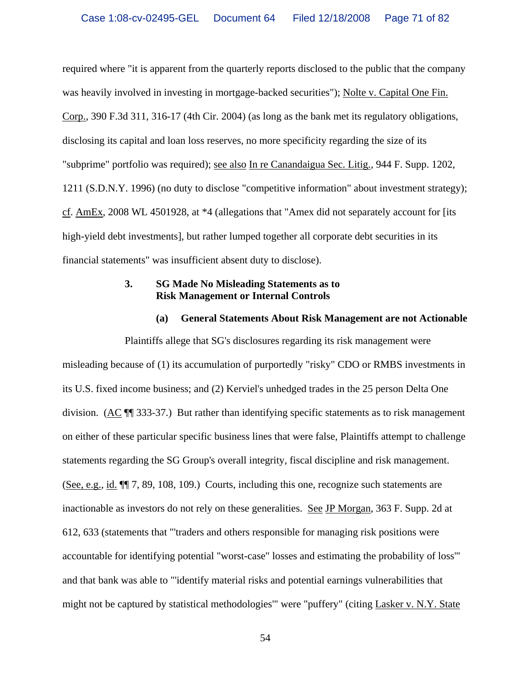required where "it is apparent from the quarterly reports disclosed to the public that the company was heavily involved in investing in mortgage-backed securities"); Nolte v. Capital One Fin. Corp., 390 F.3d 311, 316-17 (4th Cir. 2004) (as long as the bank met its regulatory obligations, disclosing its capital and loan loss reserves, no more specificity regarding the size of its "subprime" portfolio was required); see also In re Canandaigua Sec. Litig., 944 F. Supp. 1202, 1211 (S.D.N.Y. 1996) (no duty to disclose "competitive information" about investment strategy); cf. AmEx, 2008 WL 4501928, at \*4 (allegations that "Amex did not separately account for [its high-yield debt investments], but rather lumped together all corporate debt securities in its financial statements" was insufficient absent duty to disclose).

## **3. SG Made No Misleading Statements as to Risk Management or Internal Controls**

#### **(a) General Statements About Risk Management are not Actionable**

Plaintiffs allege that SG's disclosures regarding its risk management were misleading because of (1) its accumulation of purportedly "risky" CDO or RMBS investments in its U.S. fixed income business; and (2) Kerviel's unhedged trades in the 25 person Delta One division. (AC ¶¶ 333-37.) But rather than identifying specific statements as to risk management on either of these particular specific business lines that were false, Plaintiffs attempt to challenge statements regarding the SG Group's overall integrity, fiscal discipline and risk management. (See, e.g., id. ¶¶ 7, 89, 108, 109.) Courts, including this one, recognize such statements are inactionable as investors do not rely on these generalities. See JP Morgan, 363 F. Supp. 2d at 612, 633 (statements that "'traders and others responsible for managing risk positions were accountable for identifying potential "worst-case" losses and estimating the probability of loss'" and that bank was able to "'identify material risks and potential earnings vulnerabilities that might not be captured by statistical methodologies'" were "puffery" (citing Lasker v. N.Y. State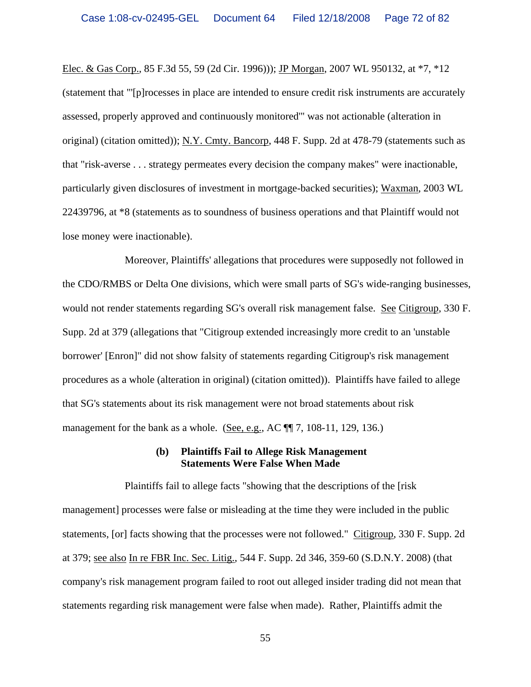Elec. & Gas Corp., 85 F.3d 55, 59 (2d Cir. 1996))); JP Morgan, 2007 WL 950132, at \*7, \*12 (statement that "'[p]rocesses in place are intended to ensure credit risk instruments are accurately assessed, properly approved and continuously monitored'" was not actionable (alteration in original) (citation omitted)); N.Y. Cmty. Bancorp, 448 F. Supp. 2d at 478-79 (statements such as that "risk-averse . . . strategy permeates every decision the company makes" were inactionable, particularly given disclosures of investment in mortgage-backed securities); Waxman, 2003 WL 22439796, at \*8 (statements as to soundness of business operations and that Plaintiff would not lose money were inactionable).

Moreover, Plaintiffs' allegations that procedures were supposedly not followed in the CDO/RMBS or Delta One divisions, which were small parts of SG's wide-ranging businesses, would not render statements regarding SG's overall risk management false. See Citigroup, 330 F. Supp. 2d at 379 (allegations that "Citigroup extended increasingly more credit to an 'unstable borrower' [Enron]" did not show falsity of statements regarding Citigroup's risk management procedures as a whole (alteration in original) (citation omitted)). Plaintiffs have failed to allege that SG's statements about its risk management were not broad statements about risk management for the bank as a whole. (See, e.g., AC  $\P$ , 7, 108-11, 129, 136.)

#### **(b) Plaintiffs Fail to Allege Risk Management Statements Were False When Made**

Plaintiffs fail to allege facts "showing that the descriptions of the [risk management] processes were false or misleading at the time they were included in the public statements, [or] facts showing that the processes were not followed." Citigroup, 330 F. Supp. 2d at 379; see also In re FBR Inc. Sec. Litig., 544 F. Supp. 2d 346, 359-60 (S.D.N.Y. 2008) (that company's risk management program failed to root out alleged insider trading did not mean that statements regarding risk management were false when made). Rather, Plaintiffs admit the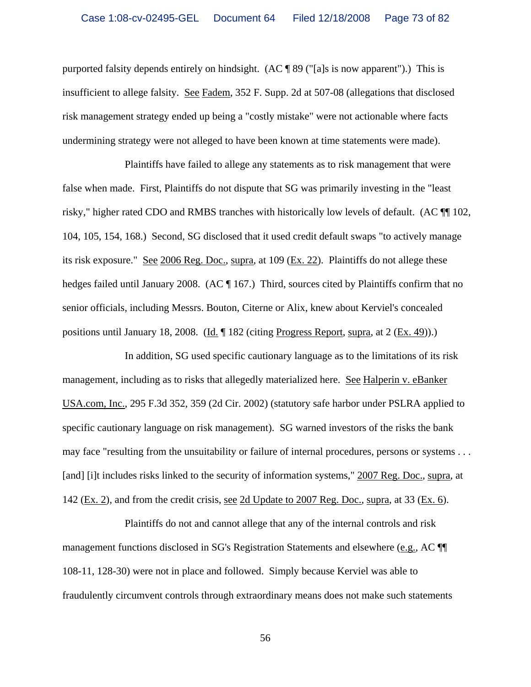purported falsity depends entirely on hindsight. (AC ¶ 89 ("[a]s is now apparent").) This is insufficient to allege falsity. See Fadem, 352 F. Supp. 2d at 507-08 (allegations that disclosed risk management strategy ended up being a "costly mistake" were not actionable where facts undermining strategy were not alleged to have been known at time statements were made).

Plaintiffs have failed to allege any statements as to risk management that were false when made. First, Plaintiffs do not dispute that SG was primarily investing in the "least risky," higher rated CDO and RMBS tranches with historically low levels of default. (AC ¶¶ 102, 104, 105, 154, 168.) Second, SG disclosed that it used credit default swaps "to actively manage its risk exposure." See 2006 Reg. Doc., supra, at 109 (Ex. 22). Plaintiffs do not allege these hedges failed until January 2008. (AC ¶ 167.) Third, sources cited by Plaintiffs confirm that no senior officials, including Messrs. Bouton, Citerne or Alix, knew about Kerviel's concealed positions until January 18, 2008. (Id.  $\parallel$  182 (citing Progress Report, supra, at 2 (Ex. 49)).)

In addition, SG used specific cautionary language as to the limitations of its risk management, including as to risks that allegedly materialized here. See Halperin v. eBanker USA.com, Inc., 295 F.3d 352, 359 (2d Cir. 2002) (statutory safe harbor under PSLRA applied to specific cautionary language on risk management). SG warned investors of the risks the bank may face "resulting from the unsuitability or failure of internal procedures, persons or systems . . . [and] [i]t includes risks linked to the security of information systems," 2007 Reg. Doc., supra, at 142 ( $Ex. 2$ ), and from the credit crisis, <u>see 2d Update to 2007 Reg. Doc.</u>, supra, at 33 ( $Ex. 6$ ).

Plaintiffs do not and cannot allege that any of the internal controls and risk management functions disclosed in SG's Registration Statements and elsewhere (e.g., AC ¶¶ 108-11, 128-30) were not in place and followed. Simply because Kerviel was able to fraudulently circumvent controls through extraordinary means does not make such statements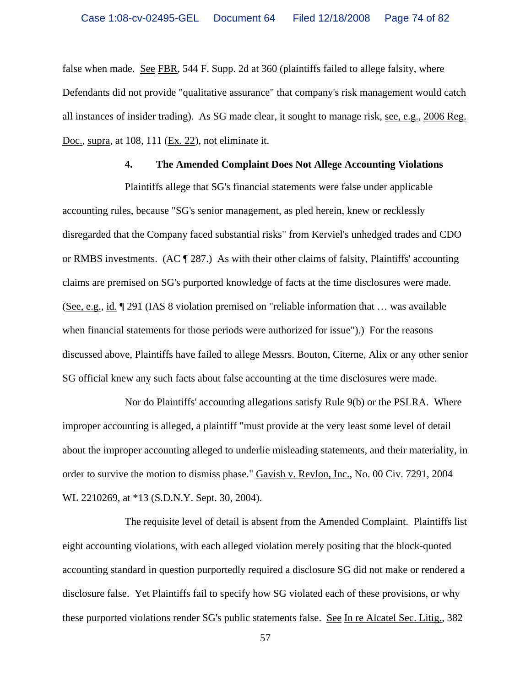false when made. See FBR, 544 F. Supp. 2d at 360 (plaintiffs failed to allege falsity, where Defendants did not provide "qualitative assurance" that company's risk management would catch all instances of insider trading). As SG made clear, it sought to manage risk, see, e.g., 2006 Reg. Doc., supra, at 108, 111 (Ex. 22), not eliminate it.

### **4. The Amended Complaint Does Not Allege Accounting Violations**

Plaintiffs allege that SG's financial statements were false under applicable accounting rules, because "SG's senior management, as pled herein, knew or recklessly disregarded that the Company faced substantial risks" from Kerviel's unhedged trades and CDO or RMBS investments. (AC  $\sqrt{ }$  287.) As with their other claims of falsity, Plaintiffs' accounting claims are premised on SG's purported knowledge of facts at the time disclosures were made. (See, e.g., id. ¶ 291 (IAS 8 violation premised on "reliable information that … was available when financial statements for those periods were authorized for issue").) For the reasons discussed above, Plaintiffs have failed to allege Messrs. Bouton, Citerne, Alix or any other senior SG official knew any such facts about false accounting at the time disclosures were made.

Nor do Plaintiffs' accounting allegations satisfy Rule 9(b) or the PSLRA. Where improper accounting is alleged, a plaintiff "must provide at the very least some level of detail about the improper accounting alleged to underlie misleading statements, and their materiality, in order to survive the motion to dismiss phase." Gavish v. Revlon, Inc., No. 00 Civ. 7291, 2004 WL 2210269, at \*13 (S.D.N.Y. Sept. 30, 2004).

The requisite level of detail is absent from the Amended Complaint. Plaintiffs list eight accounting violations, with each alleged violation merely positing that the block-quoted accounting standard in question purportedly required a disclosure SG did not make or rendered a disclosure false. Yet Plaintiffs fail to specify how SG violated each of these provisions, or why these purported violations render SG's public statements false. See In re Alcatel Sec. Litig., 382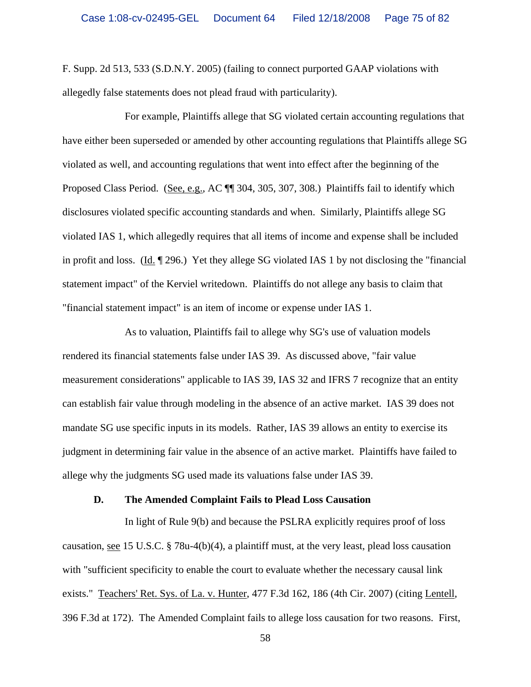F. Supp. 2d 513, 533 (S.D.N.Y. 2005) (failing to connect purported GAAP violations with allegedly false statements does not plead fraud with particularity).

For example, Plaintiffs allege that SG violated certain accounting regulations that have either been superseded or amended by other accounting regulations that Plaintiffs allege SG violated as well, and accounting regulations that went into effect after the beginning of the Proposed Class Period. (See, e.g., AC ¶¶ 304, 305, 307, 308.) Plaintiffs fail to identify which disclosures violated specific accounting standards and when. Similarly, Plaintiffs allege SG violated IAS 1, which allegedly requires that all items of income and expense shall be included in profit and loss. (Id. ¶ 296.) Yet they allege SG violated IAS 1 by not disclosing the "financial statement impact" of the Kerviel writedown. Plaintiffs do not allege any basis to claim that "financial statement impact" is an item of income or expense under IAS 1.

As to valuation, Plaintiffs fail to allege why SG's use of valuation models rendered its financial statements false under IAS 39. As discussed above, "fair value measurement considerations" applicable to IAS 39, IAS 32 and IFRS 7 recognize that an entity can establish fair value through modeling in the absence of an active market. IAS 39 does not mandate SG use specific inputs in its models. Rather, IAS 39 allows an entity to exercise its judgment in determining fair value in the absence of an active market. Plaintiffs have failed to allege why the judgments SG used made its valuations false under IAS 39.

#### **D. The Amended Complaint Fails to Plead Loss Causation**

In light of Rule 9(b) and because the PSLRA explicitly requires proof of loss causation, see 15 U.S.C. § 78u-4(b)(4), a plaintiff must, at the very least, plead loss causation with "sufficient specificity to enable the court to evaluate whether the necessary causal link exists." Teachers' Ret. Sys. of La. v. Hunter, 477 F.3d 162, 186 (4th Cir. 2007) (citing Lentell, 396 F.3d at 172). The Amended Complaint fails to allege loss causation for two reasons. First,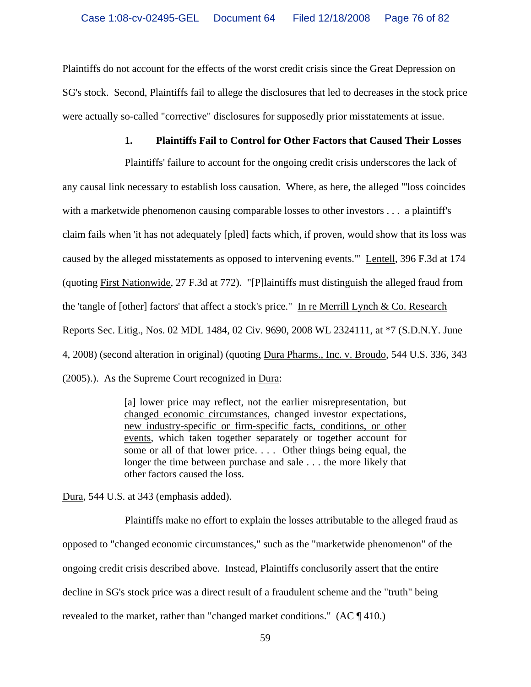Plaintiffs do not account for the effects of the worst credit crisis since the Great Depression on SG's stock. Second, Plaintiffs fail to allege the disclosures that led to decreases in the stock price were actually so-called "corrective" disclosures for supposedly prior misstatements at issue.

## **1. Plaintiffs Fail to Control for Other Factors that Caused Their Losses**

Plaintiffs' failure to account for the ongoing credit crisis underscores the lack of any causal link necessary to establish loss causation. Where, as here, the alleged "'loss coincides with a marketwide phenomenon causing comparable losses to other investors . . . a plaintiff's claim fails when 'it has not adequately [pled] facts which, if proven, would show that its loss was caused by the alleged misstatements as opposed to intervening events.'" Lentell, 396 F.3d at 174 (quoting First Nationwide, 27 F.3d at 772). "[P]laintiffs must distinguish the alleged fraud from the 'tangle of [other] factors' that affect a stock's price." In re Merrill Lynch & Co. Research Reports Sec. Litig., Nos. 02 MDL 1484, 02 Civ. 9690, 2008 WL 2324111, at \*7 (S.D.N.Y. June 4, 2008) (second alteration in original) (quoting Dura Pharms., Inc. v. Broudo, 544 U.S. 336, 343 (2005).). As the Supreme Court recognized in Dura:

> [a] lower price may reflect, not the earlier misrepresentation, but changed economic circumstances, changed investor expectations, new industry-specific or firm-specific facts, conditions, or other events, which taken together separately or together account for some or all of that lower price. . . . Other things being equal, the longer the time between purchase and sale . . . the more likely that other factors caused the loss.

Dura, 544 U.S. at 343 (emphasis added).

Plaintiffs make no effort to explain the losses attributable to the alleged fraud as opposed to "changed economic circumstances," such as the "marketwide phenomenon" of the ongoing credit crisis described above. Instead, Plaintiffs conclusorily assert that the entire decline in SG's stock price was a direct result of a fraudulent scheme and the "truth" being revealed to the market, rather than "changed market conditions." (AC ¶ 410.)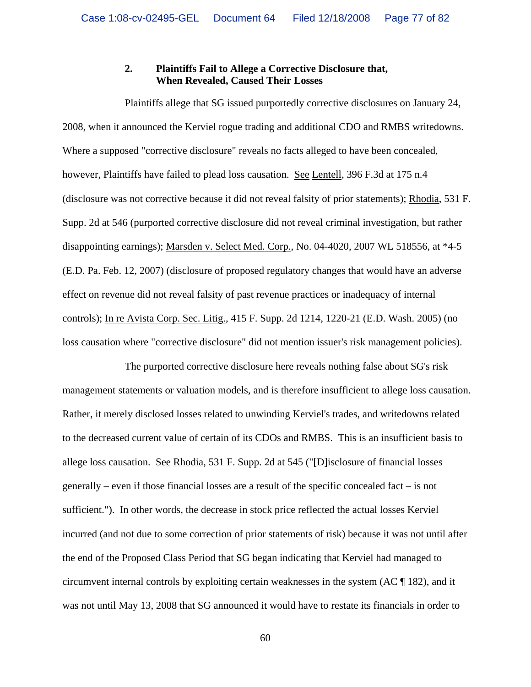# **2. Plaintiffs Fail to Allege a Corrective Disclosure that, When Revealed, Caused Their Losses**

Plaintiffs allege that SG issued purportedly corrective disclosures on January 24, 2008, when it announced the Kerviel rogue trading and additional CDO and RMBS writedowns. Where a supposed "corrective disclosure" reveals no facts alleged to have been concealed, however, Plaintiffs have failed to plead loss causation. See Lentell, 396 F.3d at 175 n.4 (disclosure was not corrective because it did not reveal falsity of prior statements); Rhodia, 531 F. Supp. 2d at 546 (purported corrective disclosure did not reveal criminal investigation, but rather disappointing earnings); Marsden v. Select Med. Corp., No. 04-4020, 2007 WL 518556, at \*4-5 (E.D. Pa. Feb. 12, 2007) (disclosure of proposed regulatory changes that would have an adverse effect on revenue did not reveal falsity of past revenue practices or inadequacy of internal controls); In re Avista Corp. Sec. Litig., 415 F. Supp. 2d 1214, 1220-21 (E.D. Wash. 2005) (no loss causation where "corrective disclosure" did not mention issuer's risk management policies).

The purported corrective disclosure here reveals nothing false about SG's risk management statements or valuation models, and is therefore insufficient to allege loss causation. Rather, it merely disclosed losses related to unwinding Kerviel's trades, and writedowns related to the decreased current value of certain of its CDOs and RMBS. This is an insufficient basis to allege loss causation. See Rhodia, 531 F. Supp. 2d at 545 ("[D]isclosure of financial losses generally – even if those financial losses are a result of the specific concealed fact – is not sufficient."). In other words, the decrease in stock price reflected the actual losses Kerviel incurred (and not due to some correction of prior statements of risk) because it was not until after the end of the Proposed Class Period that SG began indicating that Kerviel had managed to circumvent internal controls by exploiting certain weaknesses in the system (AC ¶ 182), and it was not until May 13, 2008 that SG announced it would have to restate its financials in order to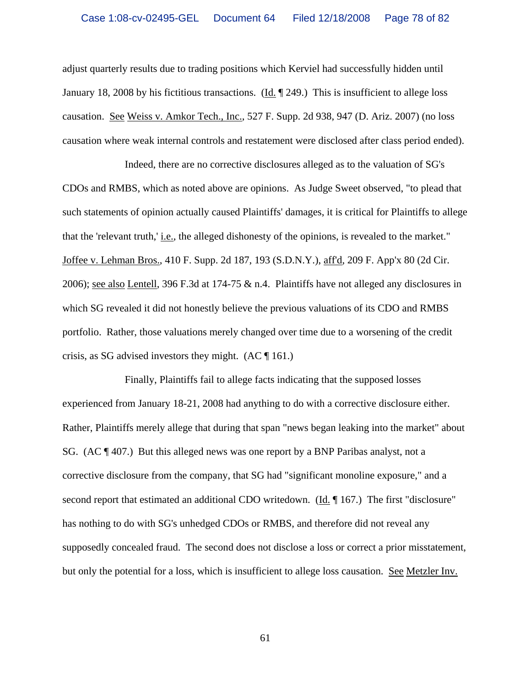adjust quarterly results due to trading positions which Kerviel had successfully hidden until January 18, 2008 by his fictitious transactions. (Id. ¶ 249.) This is insufficient to allege loss causation. See Weiss v. Amkor Tech., Inc., 527 F. Supp. 2d 938, 947 (D. Ariz. 2007) (no loss causation where weak internal controls and restatement were disclosed after class period ended).

Indeed, there are no corrective disclosures alleged as to the valuation of SG's CDOs and RMBS, which as noted above are opinions. As Judge Sweet observed, "to plead that such statements of opinion actually caused Plaintiffs' damages, it is critical for Plaintiffs to allege that the 'relevant truth,' i.e., the alleged dishonesty of the opinions, is revealed to the market." Joffee v. Lehman Bros., 410 F. Supp. 2d 187, 193 (S.D.N.Y.), aff'd, 209 F. App'x 80 (2d Cir. 2006); see also Lentell, 396 F.3d at 174-75 & n.4. Plaintiffs have not alleged any disclosures in which SG revealed it did not honestly believe the previous valuations of its CDO and RMBS portfolio. Rather, those valuations merely changed over time due to a worsening of the credit crisis, as SG advised investors they might.  $(AC \parallel 161)$ .

Finally, Plaintiffs fail to allege facts indicating that the supposed losses experienced from January 18-21, 2008 had anything to do with a corrective disclosure either. Rather, Plaintiffs merely allege that during that span "news began leaking into the market" about SG.  $(AC \parallel 407.)$  But this alleged news was one report by a BNP Paribas analyst, not a corrective disclosure from the company, that SG had "significant monoline exposure," and a second report that estimated an additional CDO writedown. ( $\underline{Id}$ ,  $\P$  167.) The first "disclosure" has nothing to do with SG's unhedged CDOs or RMBS, and therefore did not reveal any supposedly concealed fraud. The second does not disclose a loss or correct a prior misstatement, but only the potential for a loss, which is insufficient to allege loss causation. See Metzler Inv.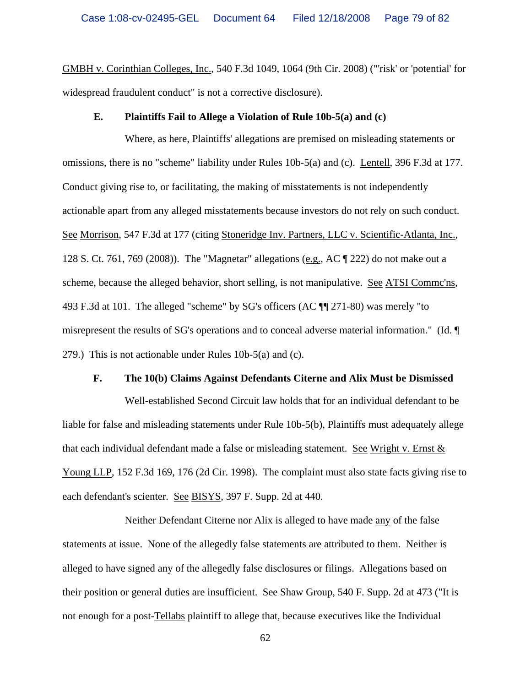GMBH v. Corinthian Colleges, Inc., 540 F.3d 1049, 1064 (9th Cir. 2008) ("'risk' or 'potential' for widespread fraudulent conduct" is not a corrective disclosure).

#### **E. Plaintiffs Fail to Allege a Violation of Rule 10b-5(a) and (c)**

Where, as here, Plaintiffs' allegations are premised on misleading statements or omissions, there is no "scheme" liability under Rules 10b-5(a) and (c). Lentell, 396 F.3d at 177. Conduct giving rise to, or facilitating, the making of misstatements is not independently actionable apart from any alleged misstatements because investors do not rely on such conduct. See Morrison, 547 F.3d at 177 (citing Stoneridge Inv. Partners, LLC v. Scientific-Atlanta, Inc., 128 S. Ct. 761, 769 (2008)). The "Magnetar" allegations (e.g., AC  $\P$  222) do not make out a scheme, because the alleged behavior, short selling, is not manipulative. See ATSI Commc'ns, 493 F.3d at 101. The alleged "scheme" by SG's officers (AC ¶¶ 271-80) was merely "to misrepresent the results of SG's operations and to conceal adverse material information." (Id. ¶ 279.) This is not actionable under Rules 10b-5(a) and (c).

#### **F. The 10(b) Claims Against Defendants Citerne and Alix Must be Dismissed**

Well-established Second Circuit law holds that for an individual defendant to be liable for false and misleading statements under Rule 10b-5(b), Plaintiffs must adequately allege that each individual defendant made a false or misleading statement. See Wright v. Ernst & Young LLP, 152 F.3d 169, 176 (2d Cir. 1998). The complaint must also state facts giving rise to each defendant's scienter. See BISYS, 397 F. Supp. 2d at 440.

Neither Defendant Citerne nor Alix is alleged to have made any of the false statements at issue. None of the allegedly false statements are attributed to them. Neither is alleged to have signed any of the allegedly false disclosures or filings. Allegations based on their position or general duties are insufficient. See Shaw Group, 540 F. Supp. 2d at 473 ("It is not enough for a post-Tellabs plaintiff to allege that, because executives like the Individual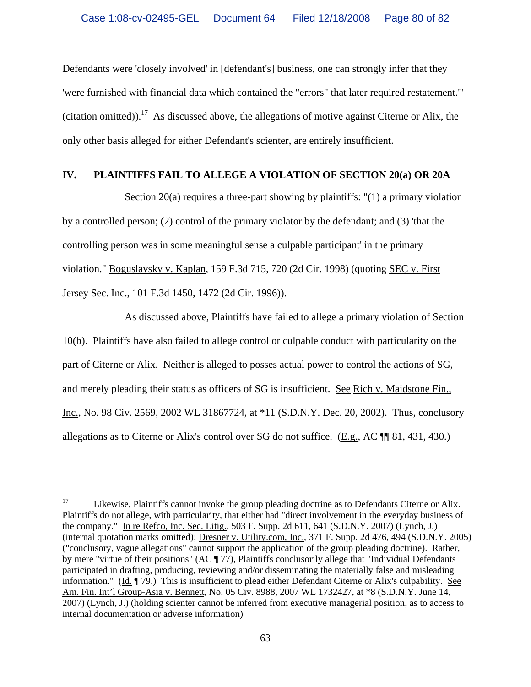Defendants were 'closely involved' in [defendant's] business, one can strongly infer that they 'were furnished with financial data which contained the "errors" that later required restatement.'" (citation omitted)).<sup>17</sup> As discussed above, the allegations of motive against Citerne or Alix, the only other basis alleged for either Defendant's scienter, are entirely insufficient.

### **IV. PLAINTIFFS FAIL TO ALLEGE A VIOLATION OF SECTION 20(a) OR 20A**

Section  $20(a)$  requires a three-part showing by plaintiffs: "(1) a primary violation by a controlled person; (2) control of the primary violator by the defendant; and (3) 'that the controlling person was in some meaningful sense a culpable participant' in the primary violation." Boguslavsky v. Kaplan, 159 F.3d 715, 720 (2d Cir. 1998) (quoting SEC v. First Jersey Sec. Inc., 101 F.3d 1450, 1472 (2d Cir. 1996)).

As discussed above, Plaintiffs have failed to allege a primary violation of Section 10(b). Plaintiffs have also failed to allege control or culpable conduct with particularity on the part of Citerne or Alix. Neither is alleged to posses actual power to control the actions of SG, and merely pleading their status as officers of SG is insufficient. See Rich v. Maidstone Fin., Inc., No. 98 Civ. 2569, 2002 WL 31867724, at \*11 (S.D.N.Y. Dec. 20, 2002). Thus, conclusory allegations as to Citerne or Alix's control over SG do not suffice. (E.g., AC ¶¶ 81, 431, 430.)

 $17<sup>17</sup>$ Likewise, Plaintiffs cannot invoke the group pleading doctrine as to Defendants Citerne or Alix. Plaintiffs do not allege, with particularity, that either had "direct involvement in the everyday business of the company." In re Refco, Inc. Sec. Litig., 503 F. Supp. 2d 611, 641 (S.D.N.Y. 2007) (Lynch, J.) (internal quotation marks omitted); Dresner v. Utility.com, Inc., 371 F. Supp. 2d 476, 494 (S.D.N.Y. 2005) ("conclusory, vague allegations" cannot support the application of the group pleading doctrine). Rather, by mere "virtue of their positions" (AC ¶ 77), Plaintiffs conclusorily allege that "Individual Defendants participated in drafting, producing, reviewing and/or disseminating the materially false and misleading information." (Id. ¶ 79.) This is insufficient to plead either Defendant Citerne or Alix's culpability. See Am. Fin. Int'l Group-Asia v. Bennett, No. 05 Civ. 8988, 2007 WL 1732427, at \*8 (S.D.N.Y. June 14, 2007) (Lynch, J.) (holding scienter cannot be inferred from executive managerial position, as to access to internal documentation or adverse information)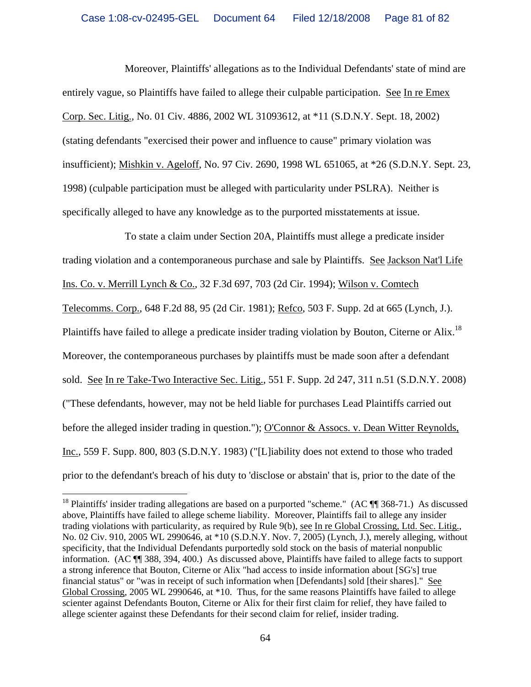Moreover, Plaintiffs' allegations as to the Individual Defendants' state of mind are entirely vague, so Plaintiffs have failed to allege their culpable participation. See In re Emex Corp. Sec. Litig., No. 01 Civ. 4886, 2002 WL 31093612, at \*11 (S.D.N.Y. Sept. 18, 2002) (stating defendants "exercised their power and influence to cause" primary violation was insufficient); Mishkin v. Ageloff, No. 97 Civ. 2690, 1998 WL 651065, at \*26 (S.D.N.Y. Sept. 23, 1998) (culpable participation must be alleged with particularity under PSLRA). Neither is specifically alleged to have any knowledge as to the purported misstatements at issue.

To state a claim under Section 20A, Plaintiffs must allege a predicate insider trading violation and a contemporaneous purchase and sale by Plaintiffs. See Jackson Nat'l Life Ins. Co. v. Merrill Lynch & Co., 32 F.3d 697, 703 (2d Cir. 1994); Wilson v. Comtech Telecomms. Corp., 648 F.2d 88, 95 (2d Cir. 1981); Refco, 503 F. Supp. 2d at 665 (Lynch, J.). Plaintiffs have failed to allege a predicate insider trading violation by Bouton, Citerne or Alix.<sup>18</sup> Moreover, the contemporaneous purchases by plaintiffs must be made soon after a defendant sold. See In re Take-Two Interactive Sec. Litig., 551 F. Supp. 2d 247, 311 n.51 (S.D.N.Y. 2008) ("These defendants, however, may not be held liable for purchases Lead Plaintiffs carried out before the alleged insider trading in question."); O'Connor & Assocs. v. Dean Witter Reynolds, Inc., 559 F. Supp. 800, 803 (S.D.N.Y. 1983) ("[L]iability does not extend to those who traded prior to the defendant's breach of his duty to 'disclose or abstain' that is, prior to the date of the

<sup>&</sup>lt;sup>18</sup> Plaintiffs' insider trading allegations are based on a purported "scheme." (AC  $\P$  368-71.) As discussed above, Plaintiffs have failed to allege scheme liability. Moreover, Plaintiffs fail to allege any insider trading violations with particularity, as required by Rule 9(b), see In re Global Crossing, Ltd. Sec. Litig., No. 02 Civ. 910, 2005 WL 2990646, at \*10 (S.D.N.Y. Nov. 7, 2005) (Lynch, J.), merely alleging, without specificity, that the Individual Defendants purportedly sold stock on the basis of material nonpublic information. (AC ¶¶ 388, 394, 400.) As discussed above, Plaintiffs have failed to allege facts to support a strong inference that Bouton, Citerne or Alix "had access to inside information about [SG's] true financial status" or "was in receipt of such information when [Defendants] sold [their shares]." See Global Crossing, 2005 WL 2990646, at \*10. Thus, for the same reasons Plaintiffs have failed to allege scienter against Defendants Bouton, Citerne or Alix for their first claim for relief, they have failed to allege scienter against these Defendants for their second claim for relief, insider trading.